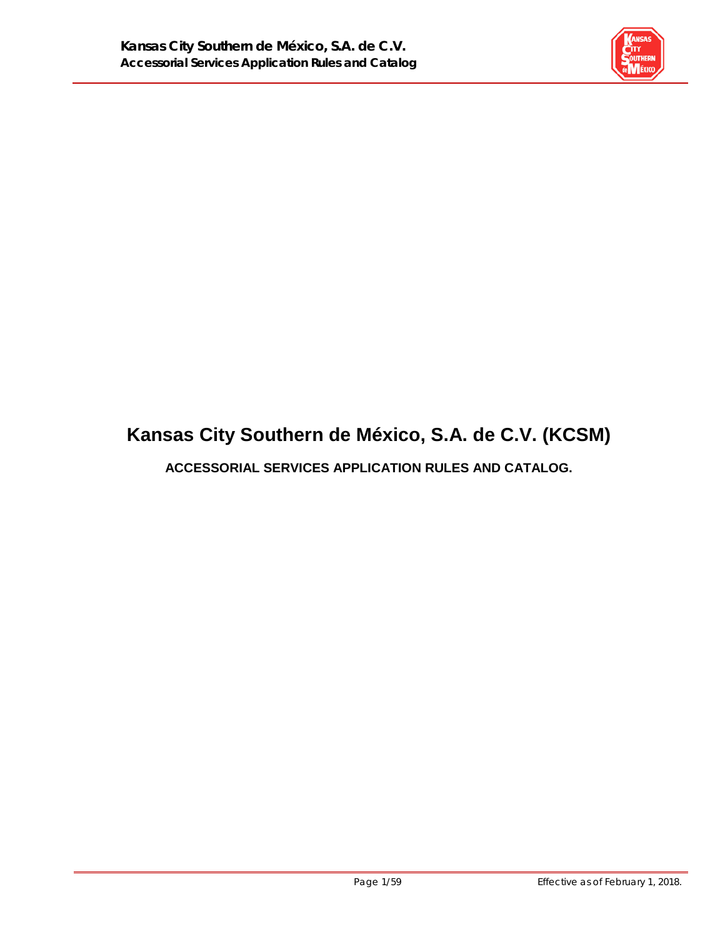

# **Kansas City Southern de México, S.A. de C.V. (KCSM)**

**ACCESSORIAL SERVICES APPLICATION RULES AND CATALOG.**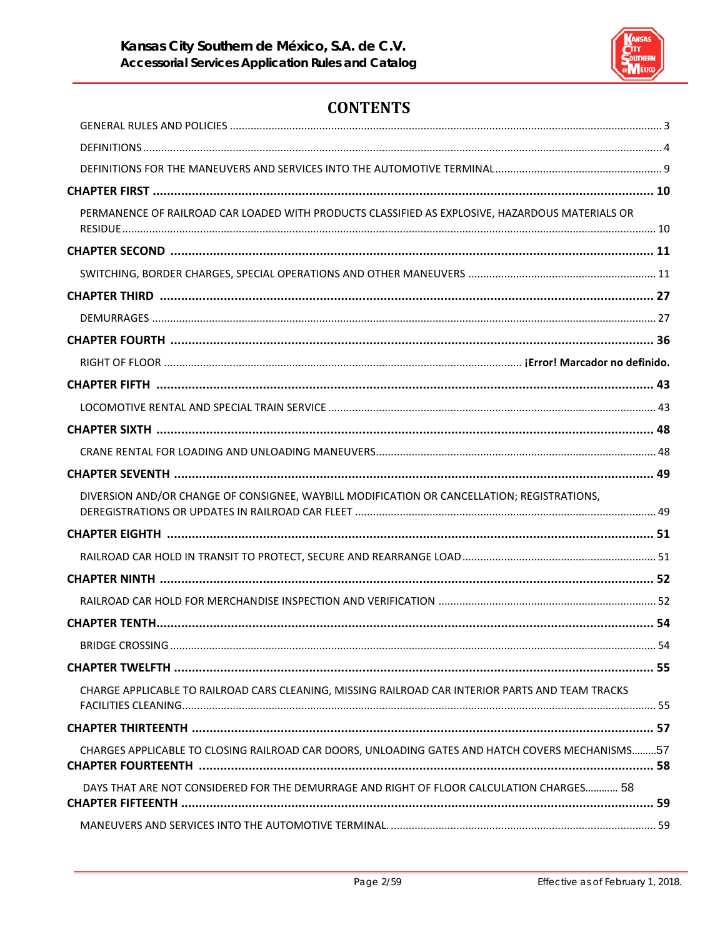

# **CONTENTS**

| PERMANENCE OF RAILROAD CAR LOADED WITH PRODUCTS CLASSIFIED AS EXPLOSIVE, HAZARDOUS MATERIALS OR  |  |
|--------------------------------------------------------------------------------------------------|--|
|                                                                                                  |  |
|                                                                                                  |  |
|                                                                                                  |  |
|                                                                                                  |  |
|                                                                                                  |  |
|                                                                                                  |  |
|                                                                                                  |  |
|                                                                                                  |  |
|                                                                                                  |  |
|                                                                                                  |  |
|                                                                                                  |  |
| DIVERSION AND/OR CHANGE OF CONSIGNEE, WAYBILL MODIFICATION OR CANCELLATION; REGISTRATIONS,       |  |
|                                                                                                  |  |
|                                                                                                  |  |
|                                                                                                  |  |
|                                                                                                  |  |
|                                                                                                  |  |
|                                                                                                  |  |
|                                                                                                  |  |
| CHARGE APPLICABLE TO RAILROAD CARS CLEANING, MISSING RAILROAD CAR INTERIOR PARTS AND TEAM TRACKS |  |
|                                                                                                  |  |
| CHARGES APPLICABLE TO CLOSING RAILROAD CAR DOORS, UNLOADING GATES AND HATCH COVERS MECHANISMS57  |  |
| DAYS THAT ARE NOT CONSIDERED FOR THE DEMURRAGE AND RIGHT OF FLOOR CALCULATION CHARGES 58         |  |
|                                                                                                  |  |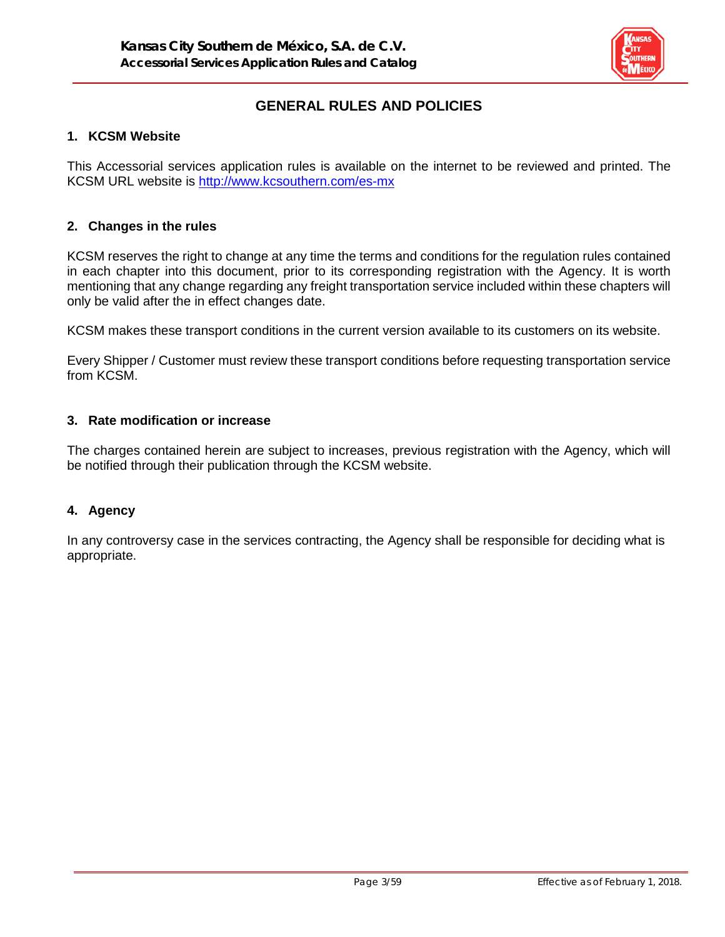

# **GENERAL RULES AND POLICIES**

#### **1. KCSM Website**

This Accessorial services application rules is available on the internet to be reviewed and printed. The KCSM URL website is<http://www.kcsouthern.com/es-mx>

#### **2. Changes in the rules**

KCSM reserves the right to change at any time the terms and conditions for the regulation rules contained in each chapter into this document, prior to its corresponding registration with the Agency. It is worth mentioning that any change regarding any freight transportation service included within these chapters will only be valid after the in effect changes date.

KCSM makes these transport conditions in the current version available to its customers on its website.

Every Shipper / Customer must review these transport conditions before requesting transportation service from KCSM.

#### **3. Rate modification or increase**

The charges contained herein are subject to increases, previous registration with the Agency, which will be notified through their publication through the KCSM website.

#### **4. Agency**

In any controversy case in the services contracting, the Agency shall be responsible for deciding what is appropriate.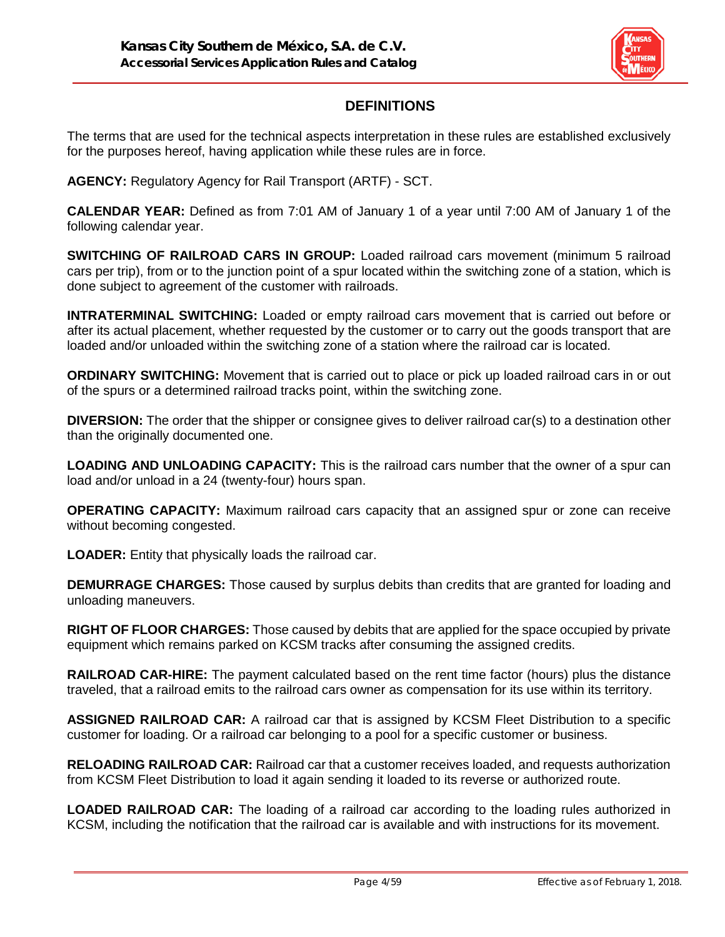

# **DEFINITIONS**

The terms that are used for the technical aspects interpretation in these rules are established exclusively for the purposes hereof, having application while these rules are in force.

**AGENCY:** Regulatory Agency for Rail Transport (ARTF) - SCT.

**CALENDAR YEAR:** Defined as from 7:01 AM of January 1 of a year until 7:00 AM of January 1 of the following calendar year.

**SWITCHING OF RAILROAD CARS IN GROUP:** Loaded railroad cars movement (minimum 5 railroad cars per trip), from or to the junction point of a spur located within the switching zone of a station, which is done subject to agreement of the customer with railroads.

**INTRATERMINAL SWITCHING:** Loaded or empty railroad cars movement that is carried out before or after its actual placement, whether requested by the customer or to carry out the goods transport that are loaded and/or unloaded within the switching zone of a station where the railroad car is located.

**ORDINARY SWITCHING:** Movement that is carried out to place or pick up loaded railroad cars in or out of the spurs or a determined railroad tracks point, within the switching zone.

**DIVERSION:** The order that the shipper or consignee gives to deliver railroad car(s) to a destination other than the originally documented one.

**LOADING AND UNLOADING CAPACITY:** This is the railroad cars number that the owner of a spur can load and/or unload in a 24 (twenty-four) hours span.

**OPERATING CAPACITY:** Maximum railroad cars capacity that an assigned spur or zone can receive without becoming congested.

**LOADER:** Entity that physically loads the railroad car.

**DEMURRAGE CHARGES:** Those caused by surplus debits than credits that are granted for loading and unloading maneuvers.

**RIGHT OF FLOOR CHARGES:** Those caused by debits that are applied for the space occupied by private equipment which remains parked on KCSM tracks after consuming the assigned credits.

**RAILROAD CAR-HIRE:** The payment calculated based on the rent time factor (hours) plus the distance traveled, that a railroad emits to the railroad cars owner as compensation for its use within its territory.

**ASSIGNED RAILROAD CAR:** A railroad car that is assigned by KCSM Fleet Distribution to a specific customer for loading. Or a railroad car belonging to a pool for a specific customer or business.

**RELOADING RAILROAD CAR:** Railroad car that a customer receives loaded, and requests authorization from KCSM Fleet Distribution to load it again sending it loaded to its reverse or authorized route.

**LOADED RAILROAD CAR:** The loading of a railroad car according to the loading rules authorized in KCSM, including the notification that the railroad car is available and with instructions for its movement.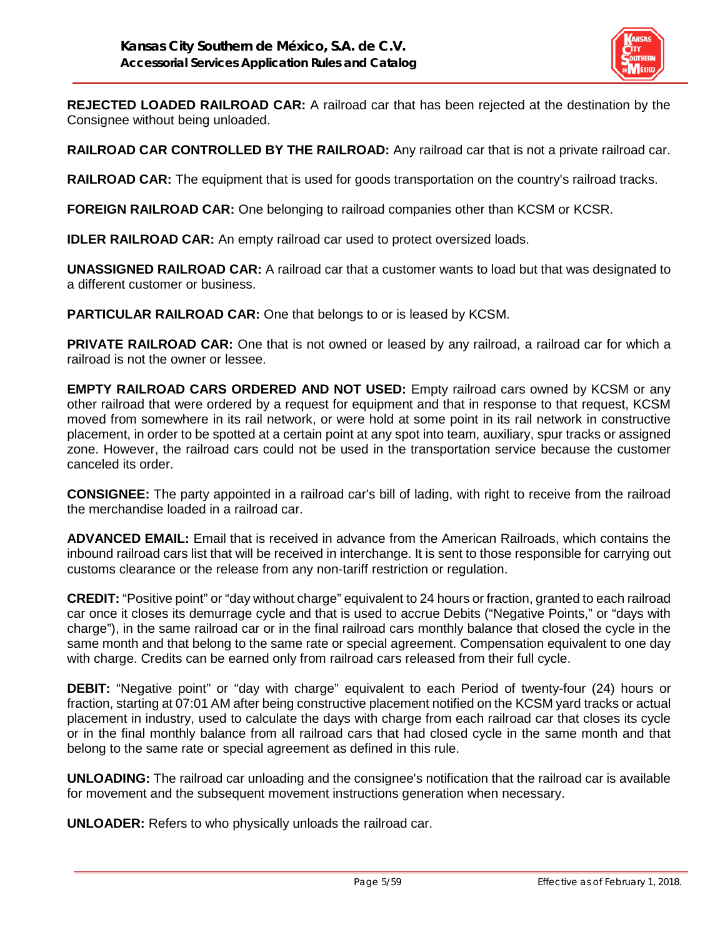

**REJECTED LOADED RAILROAD CAR:** A railroad car that has been rejected at the destination by the Consignee without being unloaded.

**RAILROAD CAR CONTROLLED BY THE RAILROAD:** Any railroad car that is not a private railroad car.

**RAILROAD CAR:** The equipment that is used for goods transportation on the country's railroad tracks.

**FOREIGN RAILROAD CAR:** One belonging to railroad companies other than KCSM or KCSR.

**IDLER RAILROAD CAR:** An empty railroad car used to protect oversized loads.

**UNASSIGNED RAILROAD CAR:** A railroad car that a customer wants to load but that was designated to a different customer or business.

**PARTICULAR RAILROAD CAR:** One that belongs to or is leased by KCSM.

**PRIVATE RAILROAD CAR:** One that is not owned or leased by any railroad, a railroad car for which a railroad is not the owner or lessee.

**EMPTY RAILROAD CARS ORDERED AND NOT USED:** Empty railroad cars owned by KCSM or any other railroad that were ordered by a request for equipment and that in response to that request, KCSM moved from somewhere in its rail network, or were hold at some point in its rail network in constructive placement, in order to be spotted at a certain point at any spot into team, auxiliary, spur tracks or assigned zone. However, the railroad cars could not be used in the transportation service because the customer canceled its order.

**CONSIGNEE:** The party appointed in a railroad car's bill of lading, with right to receive from the railroad the merchandise loaded in a railroad car.

**ADVANCED EMAIL:** Email that is received in advance from the American Railroads, which contains the inbound railroad cars list that will be received in interchange. It is sent to those responsible for carrying out customs clearance or the release from any non-tariff restriction or regulation.

**CREDIT:** "Positive point" or "day without charge" equivalent to 24 hours or fraction, granted to each railroad car once it closes its demurrage cycle and that is used to accrue Debits ("Negative Points," or "days with charge"), in the same railroad car or in the final railroad cars monthly balance that closed the cycle in the same month and that belong to the same rate or special agreement. Compensation equivalent to one day with charge. Credits can be earned only from railroad cars released from their full cycle.

**DEBIT:** "Negative point" or "day with charge" equivalent to each Period of twenty-four (24) hours or fraction, starting at 07:01 AM after being constructive placement notified on the KCSM yard tracks or actual placement in industry, used to calculate the days with charge from each railroad car that closes its cycle or in the final monthly balance from all railroad cars that had closed cycle in the same month and that belong to the same rate or special agreement as defined in this rule.

**UNLOADING:** The railroad car unloading and the consignee's notification that the railroad car is available for movement and the subsequent movement instructions generation when necessary.

**UNLOADER:** Refers to who physically unloads the railroad car.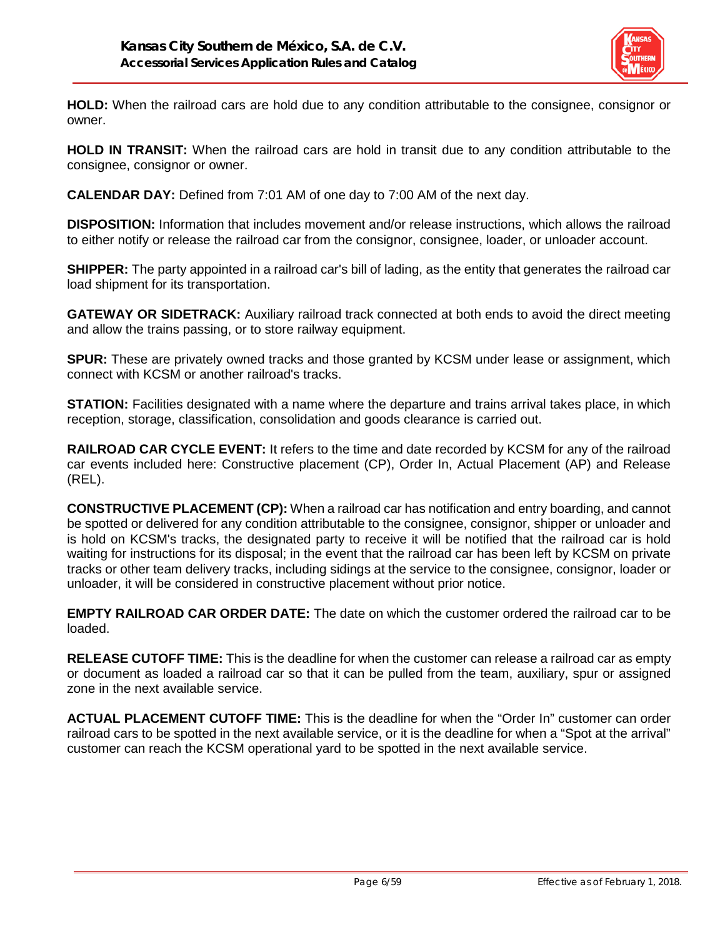

**HOLD:** When the railroad cars are hold due to any condition attributable to the consignee, consignor or owner.

**HOLD IN TRANSIT:** When the railroad cars are hold in transit due to any condition attributable to the consignee, consignor or owner.

**CALENDAR DAY:** Defined from 7:01 AM of one day to 7:00 AM of the next day.

**DISPOSITION:** Information that includes movement and/or release instructions, which allows the railroad to either notify or release the railroad car from the consignor, consignee, loader, or unloader account.

**SHIPPER:** The party appointed in a railroad car's bill of lading, as the entity that generates the railroad car load shipment for its transportation.

**GATEWAY OR SIDETRACK:** Auxiliary railroad track connected at both ends to avoid the direct meeting and allow the trains passing, or to store railway equipment.

**SPUR:** These are privately owned tracks and those granted by KCSM under lease or assignment, which connect with KCSM or another railroad's tracks.

**STATION:** Facilities designated with a name where the departure and trains arrival takes place, in which reception, storage, classification, consolidation and goods clearance is carried out.

**RAILROAD CAR CYCLE EVENT:** It refers to the time and date recorded by KCSM for any of the railroad car events included here: Constructive placement (CP), Order In, Actual Placement (AP) and Release (REL).

**CONSTRUCTIVE PLACEMENT (CP):** When a railroad car has notification and entry boarding, and cannot be spotted or delivered for any condition attributable to the consignee, consignor, shipper or unloader and is hold on KCSM's tracks, the designated party to receive it will be notified that the railroad car is hold waiting for instructions for its disposal; in the event that the railroad car has been left by KCSM on private tracks or other team delivery tracks, including sidings at the service to the consignee, consignor, loader or unloader, it will be considered in constructive placement without prior notice.

**EMPTY RAILROAD CAR ORDER DATE:** The date on which the customer ordered the railroad car to be loaded.

**RELEASE CUTOFF TIME:** This is the deadline for when the customer can release a railroad car as empty or document as loaded a railroad car so that it can be pulled from the team, auxiliary, spur or assigned zone in the next available service.

**ACTUAL PLACEMENT CUTOFF TIME:** This is the deadline for when the "Order In" customer can order railroad cars to be spotted in the next available service, or it is the deadline for when a "Spot at the arrival" customer can reach the KCSM operational yard to be spotted in the next available service.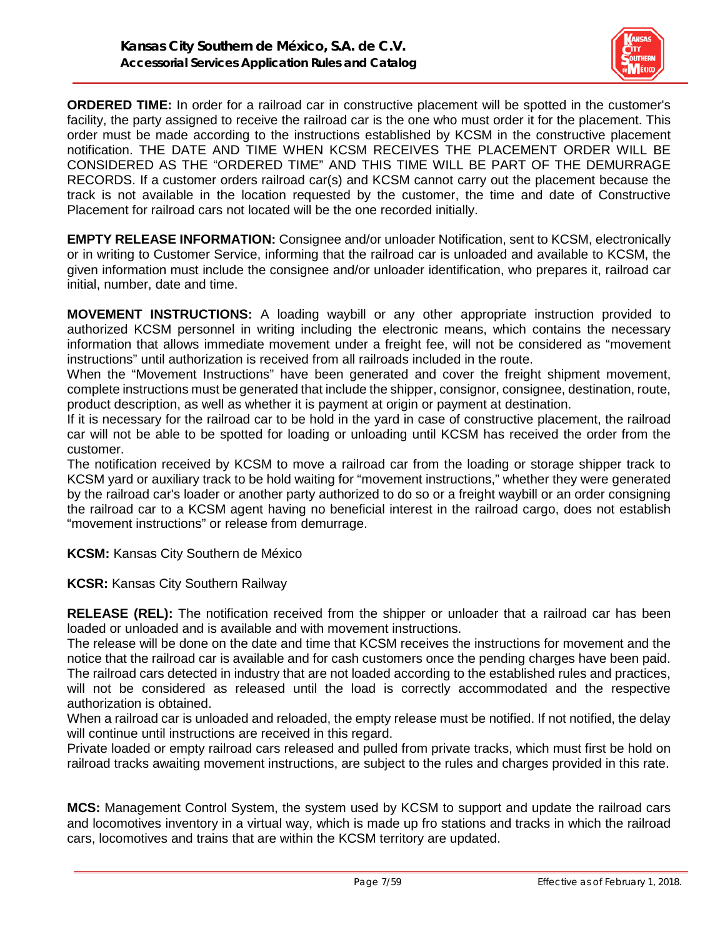

**ORDERED TIME:** In order for a railroad car in constructive placement will be spotted in the customer's facility, the party assigned to receive the railroad car is the one who must order it for the placement. This order must be made according to the instructions established by KCSM in the constructive placement notification. THE DATE AND TIME WHEN KCSM RECEIVES THE PLACEMENT ORDER WILL BE CONSIDERED AS THE "ORDERED TIME" AND THIS TIME WILL BE PART OF THE DEMURRAGE RECORDS. If a customer orders railroad car(s) and KCSM cannot carry out the placement because the track is not available in the location requested by the customer, the time and date of Constructive Placement for railroad cars not located will be the one recorded initially.

**EMPTY RELEASE INFORMATION:** Consignee and/or unloader Notification, sent to KCSM, electronically or in writing to Customer Service, informing that the railroad car is unloaded and available to KCSM, the given information must include the consignee and/or unloader identification, who prepares it, railroad car initial, number, date and time.

**MOVEMENT INSTRUCTIONS:** A loading waybill or any other appropriate instruction provided to authorized KCSM personnel in writing including the electronic means, which contains the necessary information that allows immediate movement under a freight fee, will not be considered as "movement instructions" until authorization is received from all railroads included in the route.

When the "Movement Instructions" have been generated and cover the freight shipment movement, complete instructions must be generated that include the shipper, consignor, consignee, destination, route, product description, as well as whether it is payment at origin or payment at destination.

If it is necessary for the railroad car to be hold in the yard in case of constructive placement, the railroad car will not be able to be spotted for loading or unloading until KCSM has received the order from the customer.

The notification received by KCSM to move a railroad car from the loading or storage shipper track to KCSM yard or auxiliary track to be hold waiting for "movement instructions," whether they were generated by the railroad car's loader or another party authorized to do so or a freight waybill or an order consigning the railroad car to a KCSM agent having no beneficial interest in the railroad cargo, does not establish "movement instructions" or release from demurrage.

**KCSM:** Kansas City Southern de México

**KCSR:** Kansas City Southern Railway

**RELEASE (REL):** The notification received from the shipper or unloader that a railroad car has been loaded or unloaded and is available and with movement instructions.

The release will be done on the date and time that KCSM receives the instructions for movement and the notice that the railroad car is available and for cash customers once the pending charges have been paid. The railroad cars detected in industry that are not loaded according to the established rules and practices, will not be considered as released until the load is correctly accommodated and the respective authorization is obtained.

When a railroad car is unloaded and reloaded, the empty release must be notified. If not notified, the delay will continue until instructions are received in this regard.

Private loaded or empty railroad cars released and pulled from private tracks, which must first be hold on railroad tracks awaiting movement instructions, are subject to the rules and charges provided in this rate.

**MCS:** Management Control System, the system used by KCSM to support and update the railroad cars and locomotives inventory in a virtual way, which is made up fro stations and tracks in which the railroad cars, locomotives and trains that are within the KCSM territory are updated.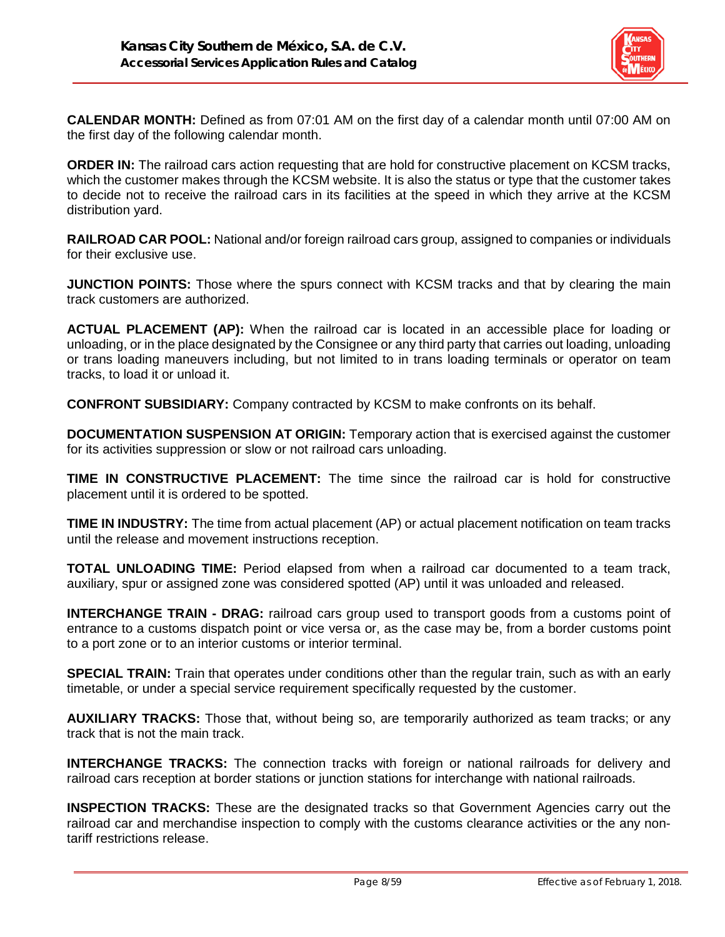

**CALENDAR MONTH:** Defined as from 07:01 AM on the first day of a calendar month until 07:00 AM on the first day of the following calendar month.

**ORDER IN:** The railroad cars action requesting that are hold for constructive placement on KCSM tracks, which the customer makes through the KCSM website. It is also the status or type that the customer takes to decide not to receive the railroad cars in its facilities at the speed in which they arrive at the KCSM distribution yard.

**RAILROAD CAR POOL:** National and/or foreign railroad cars group, assigned to companies or individuals for their exclusive use.

**JUNCTION POINTS:** Those where the spurs connect with KCSM tracks and that by clearing the main track customers are authorized.

**ACTUAL PLACEMENT (AP):** When the railroad car is located in an accessible place for loading or unloading, or in the place designated by the Consignee or any third party that carries out loading, unloading or trans loading maneuvers including, but not limited to in trans loading terminals or operator on team tracks, to load it or unload it.

**CONFRONT SUBSIDIARY:** Company contracted by KCSM to make confronts on its behalf.

**DOCUMENTATION SUSPENSION AT ORIGIN:** Temporary action that is exercised against the customer for its activities suppression or slow or not railroad cars unloading.

**TIME IN CONSTRUCTIVE PLACEMENT:** The time since the railroad car is hold for constructive placement until it is ordered to be spotted.

**TIME IN INDUSTRY:** The time from actual placement (AP) or actual placement notification on team tracks until the release and movement instructions reception.

**TOTAL UNLOADING TIME:** Period elapsed from when a railroad car documented to a team track, auxiliary, spur or assigned zone was considered spotted (AP) until it was unloaded and released.

**INTERCHANGE TRAIN - DRAG:** railroad cars group used to transport goods from a customs point of entrance to a customs dispatch point or vice versa or, as the case may be, from a border customs point to a port zone or to an interior customs or interior terminal.

**SPECIAL TRAIN:** Train that operates under conditions other than the regular train, such as with an early timetable, or under a special service requirement specifically requested by the customer.

**AUXILIARY TRACKS:** Those that, without being so, are temporarily authorized as team tracks; or any track that is not the main track.

**INTERCHANGE TRACKS:** The connection tracks with foreign or national railroads for delivery and railroad cars reception at border stations or junction stations for interchange with national railroads.

**INSPECTION TRACKS:** These are the designated tracks so that Government Agencies carry out the railroad car and merchandise inspection to comply with the customs clearance activities or the any nontariff restrictions release.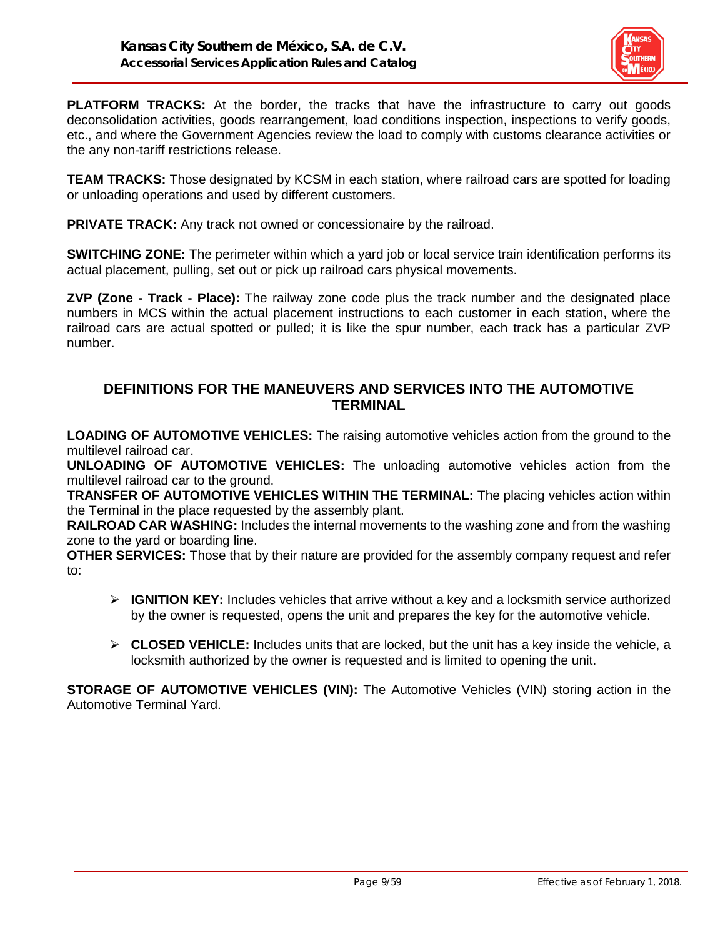

**PLATFORM TRACKS:** At the border, the tracks that have the infrastructure to carry out goods deconsolidation activities, goods rearrangement, load conditions inspection, inspections to verify goods, etc., and where the Government Agencies review the load to comply with customs clearance activities or the any non-tariff restrictions release.

**TEAM TRACKS:** Those designated by KCSM in each station, where railroad cars are spotted for loading or unloading operations and used by different customers.

**PRIVATE TRACK:** Any track not owned or concessionaire by the railroad.

**SWITCHING ZONE:** The perimeter within which a yard job or local service train identification performs its actual placement, pulling, set out or pick up railroad cars physical movements.

**ZVP (Zone - Track - Place):** The railway zone code plus the track number and the designated place numbers in MCS within the actual placement instructions to each customer in each station, where the railroad cars are actual spotted or pulled; it is like the spur number, each track has a particular ZVP number.

## **DEFINITIONS FOR THE MANEUVERS AND SERVICES INTO THE AUTOMOTIVE TERMINAL**

**LOADING OF AUTOMOTIVE VEHICLES:** The raising automotive vehicles action from the ground to the multilevel railroad car.

**UNLOADING OF AUTOMOTIVE VEHICLES:** The unloading automotive vehicles action from the multilevel railroad car to the ground.

**TRANSFER OF AUTOMOTIVE VEHICLES WITHIN THE TERMINAL:** The placing vehicles action within the Terminal in the place requested by the assembly plant.

**RAILROAD CAR WASHING:** Includes the internal movements to the washing zone and from the washing zone to the yard or boarding line.

**OTHER SERVICES:** Those that by their nature are provided for the assembly company request and refer to:

- **IGNITION KEY:** Includes vehicles that arrive without a key and a locksmith service authorized by the owner is requested, opens the unit and prepares the key for the automotive vehicle.
- **CLOSED VEHICLE:** Includes units that are locked, but the unit has a key inside the vehicle, a locksmith authorized by the owner is requested and is limited to opening the unit.

**STORAGE OF AUTOMOTIVE VEHICLES (VIN):** The Automotive Vehicles (VIN) storing action in the Automotive Terminal Yard.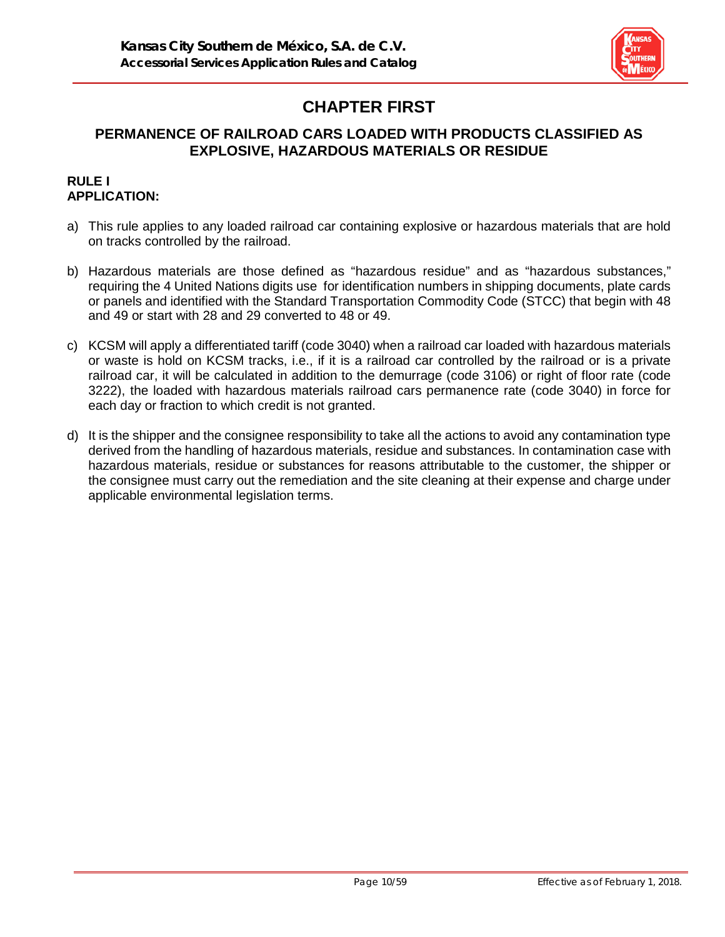

# **CHAPTER FIRST**

# **PERMANENCE OF RAILROAD CARS LOADED WITH PRODUCTS CLASSIFIED AS EXPLOSIVE, HAZARDOUS MATERIALS OR RESIDUE**

### **RULE I APPLICATION:**

- a) This rule applies to any loaded railroad car containing explosive or hazardous materials that are hold on tracks controlled by the railroad.
- b) Hazardous materials are those defined as "hazardous residue" and as "hazardous substances," requiring the 4 United Nations digits use for identification numbers in shipping documents, plate cards or panels and identified with the Standard Transportation Commodity Code (STCC) that begin with 48 and 49 or start with 28 and 29 converted to 48 or 49.
- c) KCSM will apply a differentiated tariff (code 3040) when a railroad car loaded with hazardous materials or waste is hold on KCSM tracks, i.e., if it is a railroad car controlled by the railroad or is a private railroad car, it will be calculated in addition to the demurrage (code 3106) or right of floor rate (code 3222), the loaded with hazardous materials railroad cars permanence rate (code 3040) in force for each day or fraction to which credit is not granted.
- d) It is the shipper and the consignee responsibility to take all the actions to avoid any contamination type derived from the handling of hazardous materials, residue and substances. In contamination case with hazardous materials, residue or substances for reasons attributable to the customer, the shipper or the consignee must carry out the remediation and the site cleaning at their expense and charge under applicable environmental legislation terms.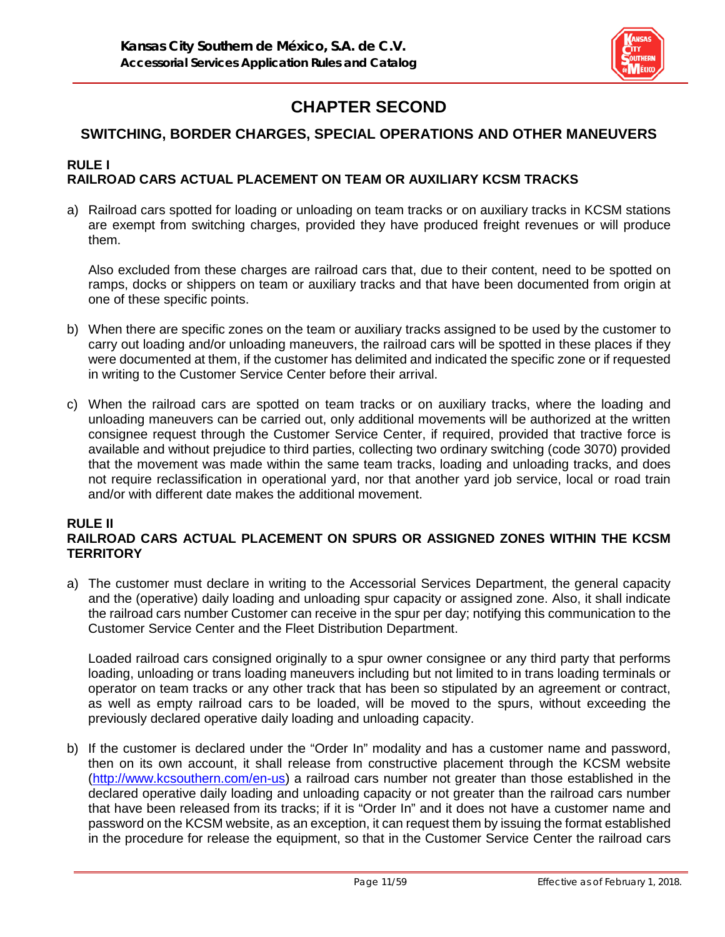

# **CHAPTER SECOND**

# **SWITCHING, BORDER CHARGES, SPECIAL OPERATIONS AND OTHER MANEUVERS**

#### **RULE I RAILROAD CARS ACTUAL PLACEMENT ON TEAM OR AUXILIARY KCSM TRACKS**

a) Railroad cars spotted for loading or unloading on team tracks or on auxiliary tracks in KCSM stations are exempt from switching charges, provided they have produced freight revenues or will produce them.

Also excluded from these charges are railroad cars that, due to their content, need to be spotted on ramps, docks or shippers on team or auxiliary tracks and that have been documented from origin at one of these specific points.

- b) When there are specific zones on the team or auxiliary tracks assigned to be used by the customer to carry out loading and/or unloading maneuvers, the railroad cars will be spotted in these places if they were documented at them, if the customer has delimited and indicated the specific zone or if requested in writing to the Customer Service Center before their arrival.
- c) When the railroad cars are spotted on team tracks or on auxiliary tracks, where the loading and unloading maneuvers can be carried out, only additional movements will be authorized at the written consignee request through the Customer Service Center, if required, provided that tractive force is available and without prejudice to third parties, collecting two ordinary switching (code 3070) provided that the movement was made within the same team tracks, loading and unloading tracks, and does not require reclassification in operational yard, nor that another yard job service, local or road train and/or with different date makes the additional movement.

#### **RULE II RAILROAD CARS ACTUAL PLACEMENT ON SPURS OR ASSIGNED ZONES WITHIN THE KCSM TERRITORY**

a) The customer must declare in writing to the Accessorial Services Department, the general capacity and the (operative) daily loading and unloading spur capacity or assigned zone. Also, it shall indicate the railroad cars number Customer can receive in the spur per day; notifying this communication to the Customer Service Center and the Fleet Distribution Department.

Loaded railroad cars consigned originally to a spur owner consignee or any third party that performs loading, unloading or trans loading maneuvers including but not limited to in trans loading terminals or operator on team tracks or any other track that has been so stipulated by an agreement or contract, as well as empty railroad cars to be loaded, will be moved to the spurs, without exceeding the previously declared operative daily loading and unloading capacity.

b) If the customer is declared under the "Order In" modality and has a customer name and password, then on its own account, it shall release from constructive placement through the KCSM website [\(http://www.kcsouthern.com/en-us\)](http://www.kcsouthern.com/es-mx) a railroad cars number not greater than those established in the declared operative daily loading and unloading capacity or not greater than the railroad cars number that have been released from its tracks; if it is "Order In" and it does not have a customer name and password on the KCSM website, as an exception, it can request them by issuing the format established in the procedure for release the equipment, so that in the Customer Service Center the railroad cars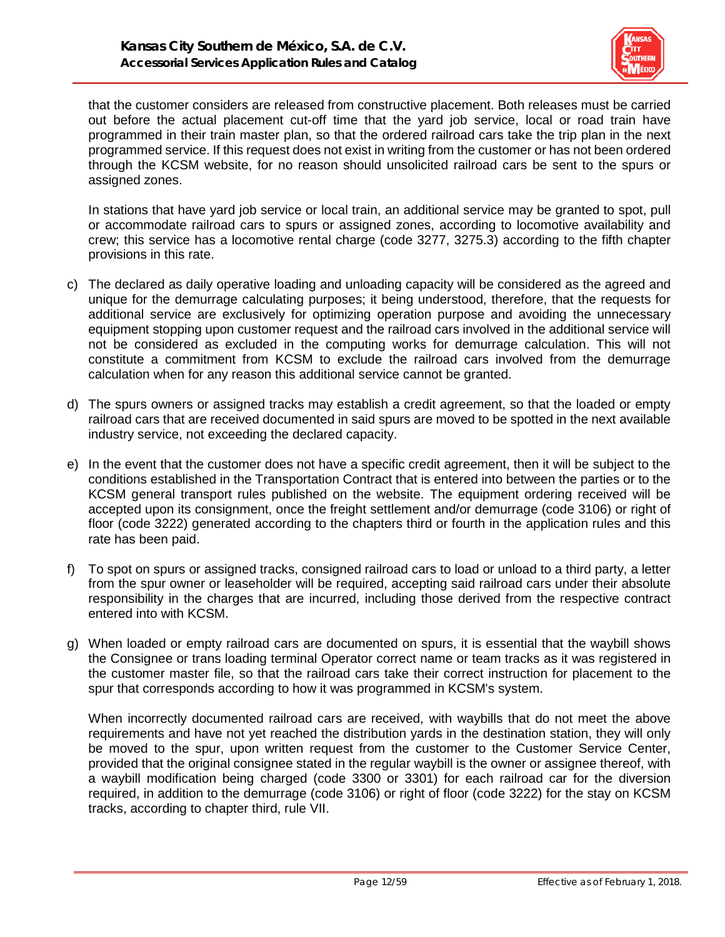

that the customer considers are released from constructive placement. Both releases must be carried out before the actual placement cut-off time that the yard job service, local or road train have programmed in their train master plan, so that the ordered railroad cars take the trip plan in the next programmed service. If this request does not exist in writing from the customer or has not been ordered through the KCSM website, for no reason should unsolicited railroad cars be sent to the spurs or assigned zones.

In stations that have yard job service or local train, an additional service may be granted to spot, pull or accommodate railroad cars to spurs or assigned zones, according to locomotive availability and crew; this service has a locomotive rental charge (code 3277, 3275.3) according to the fifth chapter provisions in this rate.

- c) The declared as daily operative loading and unloading capacity will be considered as the agreed and unique for the demurrage calculating purposes; it being understood, therefore, that the requests for additional service are exclusively for optimizing operation purpose and avoiding the unnecessary equipment stopping upon customer request and the railroad cars involved in the additional service will not be considered as excluded in the computing works for demurrage calculation. This will not constitute a commitment from KCSM to exclude the railroad cars involved from the demurrage calculation when for any reason this additional service cannot be granted.
- d) The spurs owners or assigned tracks may establish a credit agreement, so that the loaded or empty railroad cars that are received documented in said spurs are moved to be spotted in the next available industry service, not exceeding the declared capacity.
- e) In the event that the customer does not have a specific credit agreement, then it will be subject to the conditions established in the Transportation Contract that is entered into between the parties or to the KCSM general transport rules published on the website. The equipment ordering received will be accepted upon its consignment, once the freight settlement and/or demurrage (code 3106) or right of floor (code 3222) generated according to the chapters third or fourth in the application rules and this rate has been paid.
- f) To spot on spurs or assigned tracks, consigned railroad cars to load or unload to a third party, a letter from the spur owner or leaseholder will be required, accepting said railroad cars under their absolute responsibility in the charges that are incurred, including those derived from the respective contract entered into with KCSM.
- g) When loaded or empty railroad cars are documented on spurs, it is essential that the waybill shows the Consignee or trans loading terminal Operator correct name or team tracks as it was registered in the customer master file, so that the railroad cars take their correct instruction for placement to the spur that corresponds according to how it was programmed in KCSM's system.

When incorrectly documented railroad cars are received, with waybills that do not meet the above requirements and have not yet reached the distribution yards in the destination station, they will only be moved to the spur, upon written request from the customer to the Customer Service Center, provided that the original consignee stated in the regular waybill is the owner or assignee thereof, with a waybill modification being charged (code 3300 or 3301) for each railroad car for the diversion required, in addition to the demurrage (code 3106) or right of floor (code 3222) for the stay on KCSM tracks, according to chapter third, rule VII.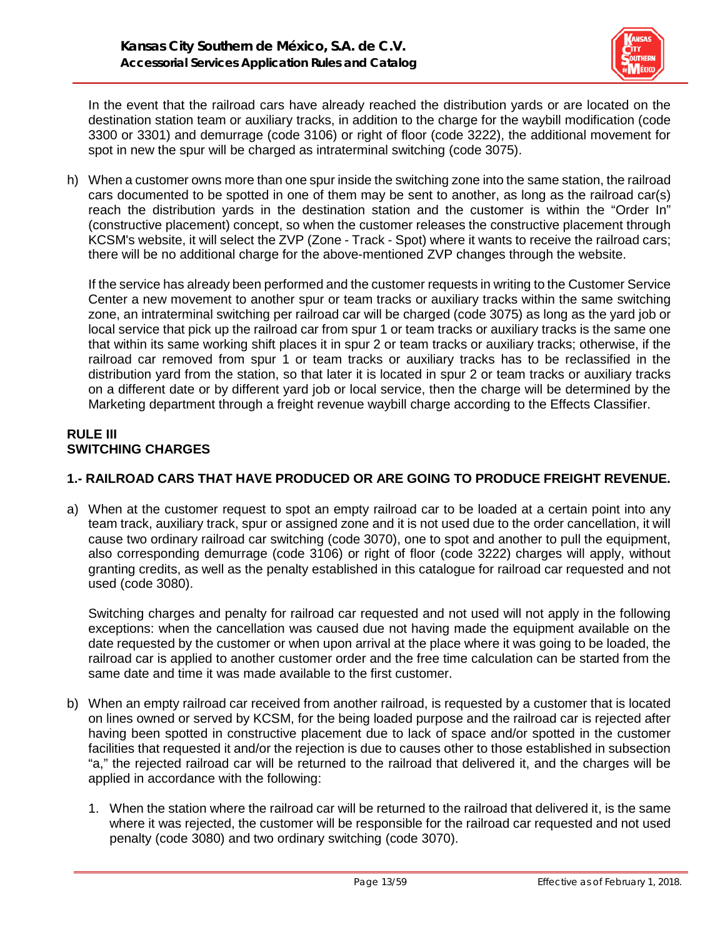

In the event that the railroad cars have already reached the distribution yards or are located on the destination station team or auxiliary tracks, in addition to the charge for the waybill modification (code 3300 or 3301) and demurrage (code 3106) or right of floor (code 3222), the additional movement for spot in new the spur will be charged as intraterminal switching (code 3075).

h) When a customer owns more than one spur inside the switching zone into the same station, the railroad cars documented to be spotted in one of them may be sent to another, as long as the railroad car(s) reach the distribution yards in the destination station and the customer is within the "Order In" (constructive placement) concept, so when the customer releases the constructive placement through KCSM's website, it will select the ZVP (Zone - Track - Spot) where it wants to receive the railroad cars; there will be no additional charge for the above-mentioned ZVP changes through the website.

If the service has already been performed and the customer requests in writing to the Customer Service Center a new movement to another spur or team tracks or auxiliary tracks within the same switching zone, an intraterminal switching per railroad car will be charged (code 3075) as long as the yard job or local service that pick up the railroad car from spur 1 or team tracks or auxiliary tracks is the same one that within its same working shift places it in spur 2 or team tracks or auxiliary tracks; otherwise, if the railroad car removed from spur 1 or team tracks or auxiliary tracks has to be reclassified in the distribution yard from the station, so that later it is located in spur 2 or team tracks or auxiliary tracks on a different date or by different yard job or local service, then the charge will be determined by the Marketing department through a freight revenue waybill charge according to the Effects Classifier.

# **RULE III SWITCHING CHARGES**

# **1.- RAILROAD CARS THAT HAVE PRODUCED OR ARE GOING TO PRODUCE FREIGHT REVENUE.**

a) When at the customer request to spot an empty railroad car to be loaded at a certain point into any team track, auxiliary track, spur or assigned zone and it is not used due to the order cancellation, it will cause two ordinary railroad car switching (code 3070), one to spot and another to pull the equipment, also corresponding demurrage (code 3106) or right of floor (code 3222) charges will apply, without granting credits, as well as the penalty established in this catalogue for railroad car requested and not used (code 3080).

Switching charges and penalty for railroad car requested and not used will not apply in the following exceptions: when the cancellation was caused due not having made the equipment available on the date requested by the customer or when upon arrival at the place where it was going to be loaded, the railroad car is applied to another customer order and the free time calculation can be started from the same date and time it was made available to the first customer.

- b) When an empty railroad car received from another railroad, is requested by a customer that is located on lines owned or served by KCSM, for the being loaded purpose and the railroad car is rejected after having been spotted in constructive placement due to lack of space and/or spotted in the customer facilities that requested it and/or the rejection is due to causes other to those established in subsection "a," the rejected railroad car will be returned to the railroad that delivered it, and the charges will be applied in accordance with the following:
	- 1. When the station where the railroad car will be returned to the railroad that delivered it, is the same where it was rejected, the customer will be responsible for the railroad car requested and not used penalty (code 3080) and two ordinary switching (code 3070).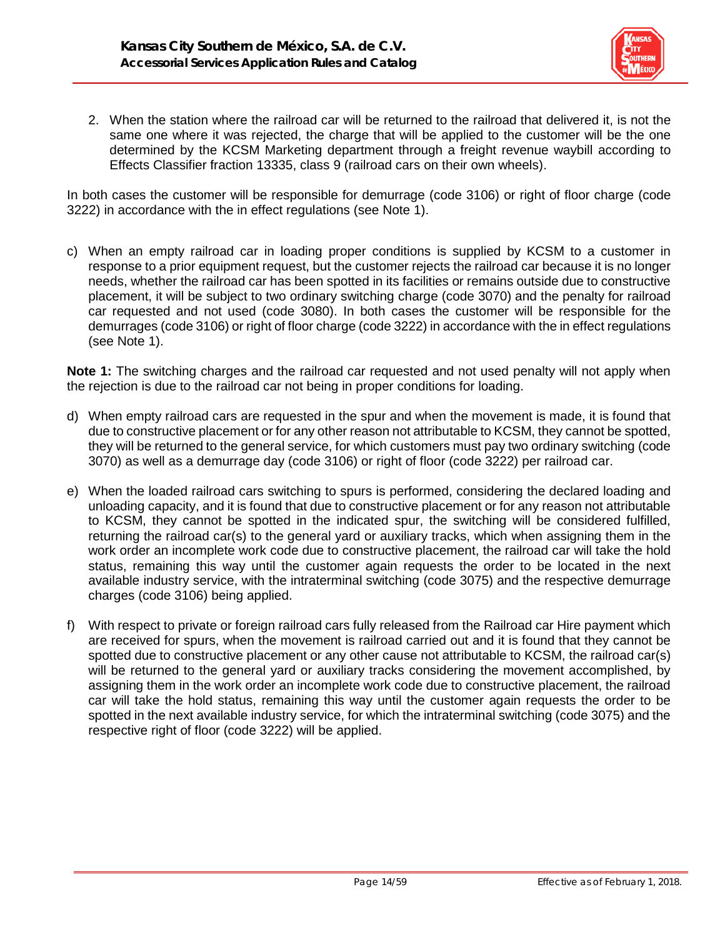

2. When the station where the railroad car will be returned to the railroad that delivered it, is not the same one where it was rejected, the charge that will be applied to the customer will be the one determined by the KCSM Marketing department through a freight revenue waybill according to Effects Classifier fraction 13335, class 9 (railroad cars on their own wheels).

In both cases the customer will be responsible for demurrage (code 3106) or right of floor charge (code 3222) in accordance with the in effect regulations (see Note 1).

c) When an empty railroad car in loading proper conditions is supplied by KCSM to a customer in response to a prior equipment request, but the customer rejects the railroad car because it is no longer needs, whether the railroad car has been spotted in its facilities or remains outside due to constructive placement, it will be subject to two ordinary switching charge (code 3070) and the penalty for railroad car requested and not used (code 3080). In both cases the customer will be responsible for the demurrages (code 3106) or right of floor charge (code 3222) in accordance with the in effect regulations (see Note 1).

**Note 1:** The switching charges and the railroad car requested and not used penalty will not apply when the rejection is due to the railroad car not being in proper conditions for loading.

- d) When empty railroad cars are requested in the spur and when the movement is made, it is found that due to constructive placement or for any other reason not attributable to KCSM, they cannot be spotted, they will be returned to the general service, for which customers must pay two ordinary switching (code 3070) as well as a demurrage day (code 3106) or right of floor (code 3222) per railroad car.
- e) When the loaded railroad cars switching to spurs is performed, considering the declared loading and unloading capacity, and it is found that due to constructive placement or for any reason not attributable to KCSM, they cannot be spotted in the indicated spur, the switching will be considered fulfilled, returning the railroad car(s) to the general yard or auxiliary tracks, which when assigning them in the work order an incomplete work code due to constructive placement, the railroad car will take the hold status, remaining this way until the customer again requests the order to be located in the next available industry service, with the intraterminal switching (code 3075) and the respective demurrage charges (code 3106) being applied.
- f) With respect to private or foreign railroad cars fully released from the Railroad car Hire payment which are received for spurs, when the movement is railroad carried out and it is found that they cannot be spotted due to constructive placement or any other cause not attributable to KCSM, the railroad car(s) will be returned to the general yard or auxiliary tracks considering the movement accomplished, by assigning them in the work order an incomplete work code due to constructive placement, the railroad car will take the hold status, remaining this way until the customer again requests the order to be spotted in the next available industry service, for which the intraterminal switching (code 3075) and the respective right of floor (code 3222) will be applied.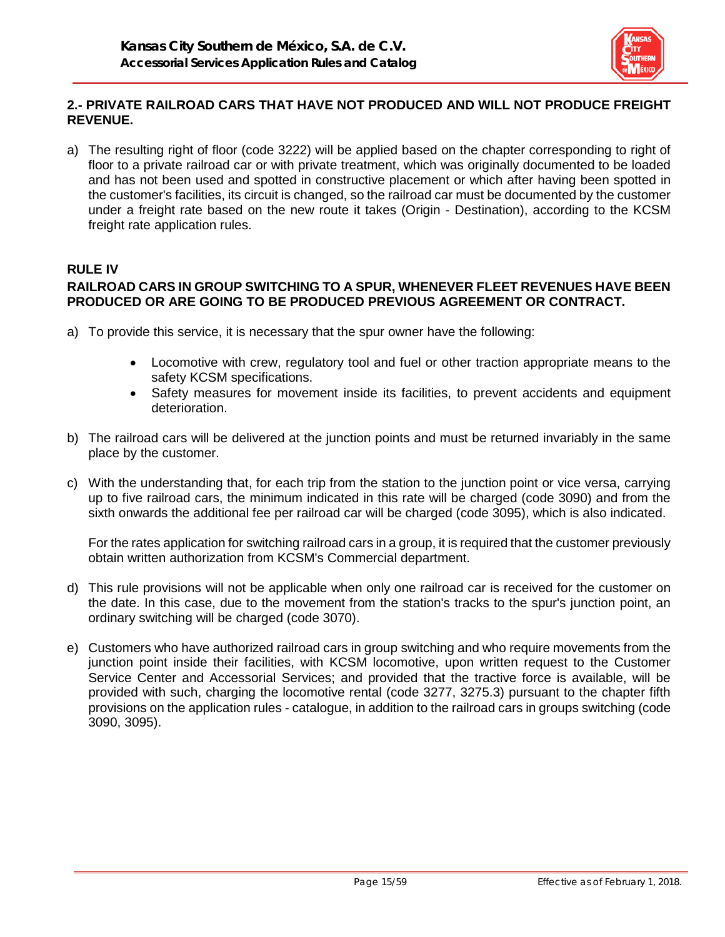

# **2.- PRIVATE RAILROAD CARS THAT HAVE NOT PRODUCED AND WILL NOT PRODUCE FREIGHT REVENUE.**

a) The resulting right of floor (code 3222) will be applied based on the chapter corresponding to right of floor to a private railroad car or with private treatment, which was originally documented to be loaded and has not been used and spotted in constructive placement or which after having been spotted in the customer's facilities, its circuit is changed, so the railroad car must be documented by the customer under a freight rate based on the new route it takes (Origin - Destination), according to the KCSM freight rate application rules.

# **RULE IV RAILROAD CARS IN GROUP SWITCHING TO A SPUR, WHENEVER FLEET REVENUES HAVE BEEN PRODUCED OR ARE GOING TO BE PRODUCED PREVIOUS AGREEMENT OR CONTRACT.**

- a) To provide this service, it is necessary that the spur owner have the following:
	- Locomotive with crew, regulatory tool and fuel or other traction appropriate means to the safety KCSM specifications.
	- Safety measures for movement inside its facilities, to prevent accidents and equipment deterioration.
- b) The railroad cars will be delivered at the junction points and must be returned invariably in the same place by the customer.
- c) With the understanding that, for each trip from the station to the junction point or vice versa, carrying up to five railroad cars, the minimum indicated in this rate will be charged (code 3090) and from the sixth onwards the additional fee per railroad car will be charged (code 3095), which is also indicated.

For the rates application for switching railroad cars in a group, it is required that the customer previously obtain written authorization from KCSM's Commercial department.

- d) This rule provisions will not be applicable when only one railroad car is received for the customer on the date. In this case, due to the movement from the station's tracks to the spur's junction point, an ordinary switching will be charged (code 3070).
- e) Customers who have authorized railroad cars in group switching and who require movements from the junction point inside their facilities, with KCSM locomotive, upon written request to the Customer Service Center and Accessorial Services; and provided that the tractive force is available, will be provided with such, charging the locomotive rental (code 3277, 3275.3) pursuant to the chapter fifth provisions on the application rules - catalogue, in addition to the railroad cars in groups switching (code 3090, 3095).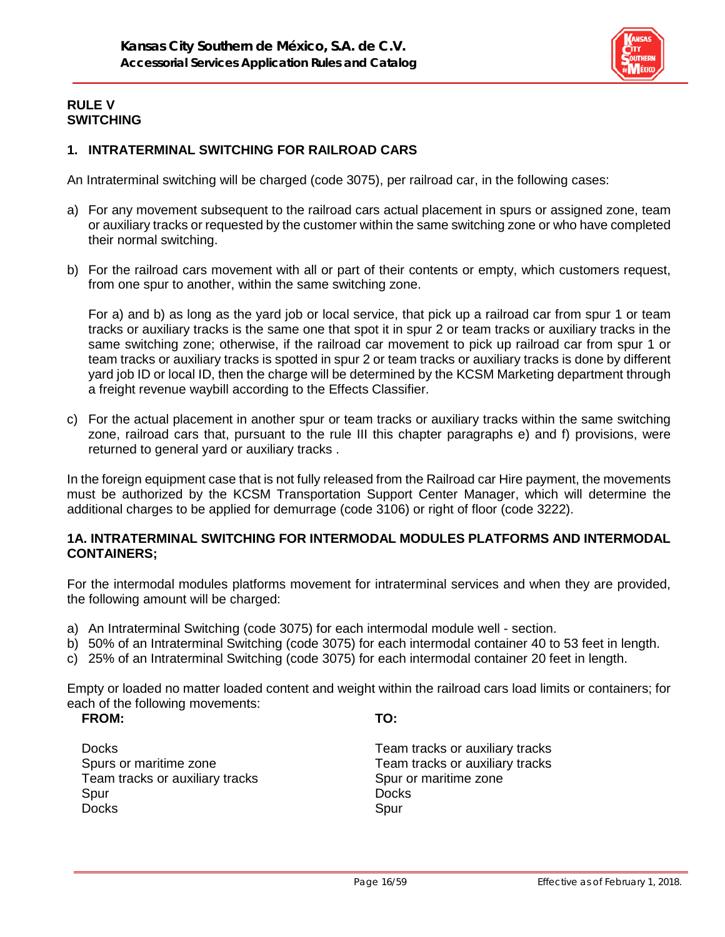

#### **RULE V SWITCHING**

## **1. INTRATERMINAL SWITCHING FOR RAILROAD CARS**

An Intraterminal switching will be charged (code 3075), per railroad car, in the following cases:

- a) For any movement subsequent to the railroad cars actual placement in spurs or assigned zone, team or auxiliary tracks or requested by the customer within the same switching zone or who have completed their normal switching.
- b) For the railroad cars movement with all or part of their contents or empty, which customers request, from one spur to another, within the same switching zone.

For a) and b) as long as the yard job or local service, that pick up a railroad car from spur 1 or team tracks or auxiliary tracks is the same one that spot it in spur 2 or team tracks or auxiliary tracks in the same switching zone; otherwise, if the railroad car movement to pick up railroad car from spur 1 or team tracks or auxiliary tracks is spotted in spur 2 or team tracks or auxiliary tracks is done by different yard job ID or local ID, then the charge will be determined by the KCSM Marketing department through a freight revenue waybill according to the Effects Classifier.

c) For the actual placement in another spur or team tracks or auxiliary tracks within the same switching zone, railroad cars that, pursuant to the rule III this chapter paragraphs e) and f) provisions, were returned to general yard or auxiliary tracks .

In the foreign equipment case that is not fully released from the Railroad car Hire payment, the movements must be authorized by the KCSM Transportation Support Center Manager, which will determine the additional charges to be applied for demurrage (code 3106) or right of floor (code 3222).

#### **1A. INTRATERMINAL SWITCHING FOR INTERMODAL MODULES PLATFORMS AND INTERMODAL CONTAINERS;**

For the intermodal modules platforms movement for intraterminal services and when they are provided, the following amount will be charged:

- a) An Intraterminal Switching (code 3075) for each intermodal module well section.
- b) 50% of an Intraterminal Switching (code 3075) for each intermodal container 40 to 53 feet in length.
- c) 25% of an Intraterminal Switching (code 3075) for each intermodal container 20 feet in length.

Empty or loaded no matter loaded content and weight within the railroad cars load limits or containers; for each of the following movements:

#### **FROM: TO:**

Docks **Team tracks or auxiliary tracks** Team tracks or auxiliary tracks Team Spur or maritime zone Spur Docks **Docks** Docks Spur

Spurs or maritime zone Team tracks or auxiliary tracks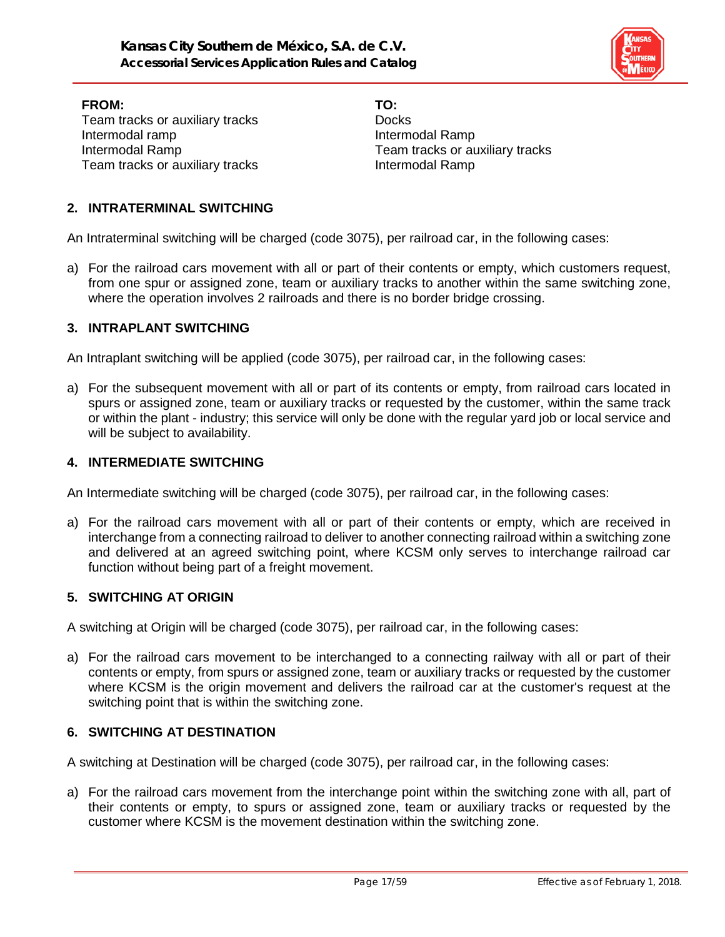

**FROM: TO:** Team tracks or auxiliary tracks Docks Intermodal ramp **Intermodal Ramp** Intermodal Ramp Team tracks or auxiliary tracks Team tracks or auxiliary tracks **Intermodal Ramp** 

#### **2. INTRATERMINAL SWITCHING**

An Intraterminal switching will be charged (code 3075), per railroad car, in the following cases:

a) For the railroad cars movement with all or part of their contents or empty, which customers request, from one spur or assigned zone, team or auxiliary tracks to another within the same switching zone, where the operation involves 2 railroads and there is no border bridge crossing.

#### **3. INTRAPLANT SWITCHING**

An Intraplant switching will be applied (code 3075), per railroad car, in the following cases:

a) For the subsequent movement with all or part of its contents or empty, from railroad cars located in spurs or assigned zone, team or auxiliary tracks or requested by the customer, within the same track or within the plant - industry; this service will only be done with the regular yard job or local service and will be subject to availability.

#### **4. INTERMEDIATE SWITCHING**

An Intermediate switching will be charged (code 3075), per railroad car, in the following cases:

a) For the railroad cars movement with all or part of their contents or empty, which are received in interchange from a connecting railroad to deliver to another connecting railroad within a switching zone and delivered at an agreed switching point, where KCSM only serves to interchange railroad car function without being part of a freight movement.

#### **5. SWITCHING AT ORIGIN**

A switching at Origin will be charged (code 3075), per railroad car, in the following cases:

a) For the railroad cars movement to be interchanged to a connecting railway with all or part of their contents or empty, from spurs or assigned zone, team or auxiliary tracks or requested by the customer where KCSM is the origin movement and delivers the railroad car at the customer's request at the switching point that is within the switching zone.

#### **6. SWITCHING AT DESTINATION**

A switching at Destination will be charged (code 3075), per railroad car, in the following cases:

a) For the railroad cars movement from the interchange point within the switching zone with all, part of their contents or empty, to spurs or assigned zone, team or auxiliary tracks or requested by the customer where KCSM is the movement destination within the switching zone.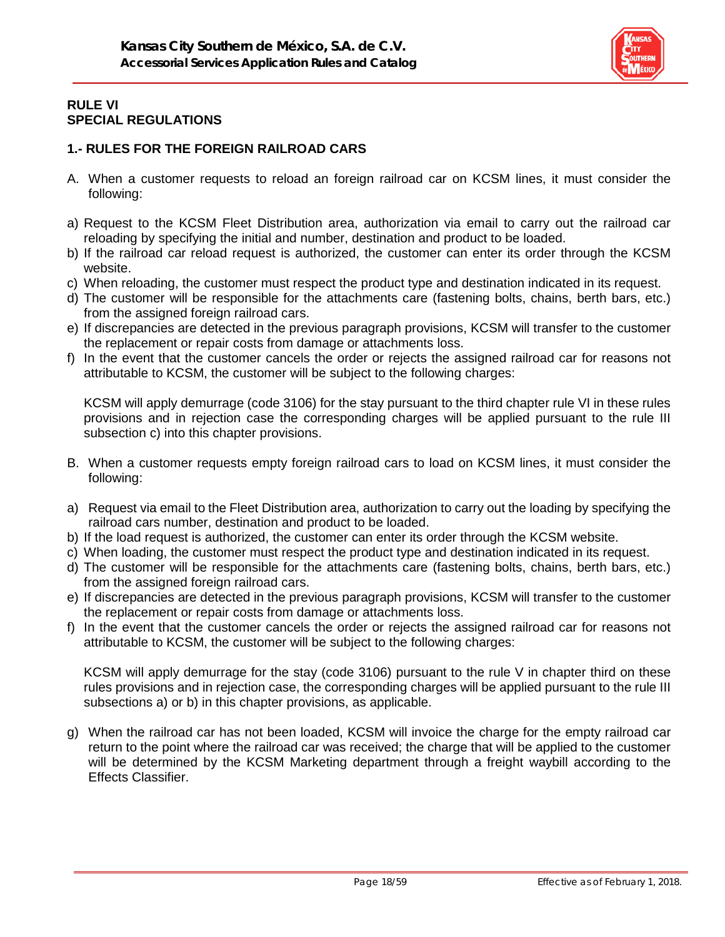

## **RULE VI SPECIAL REGULATIONS**

# **1.- RULES FOR THE FOREIGN RAILROAD CARS**

- A. When a customer requests to reload an foreign railroad car on KCSM lines, it must consider the following:
- a) Request to the KCSM Fleet Distribution area, authorization via email to carry out the railroad car reloading by specifying the initial and number, destination and product to be loaded.
- b) If the railroad car reload request is authorized, the customer can enter its order through the KCSM website.
- c) When reloading, the customer must respect the product type and destination indicated in its request.
- d) The customer will be responsible for the attachments care (fastening bolts, chains, berth bars, etc.) from the assigned foreign railroad cars.
- e) If discrepancies are detected in the previous paragraph provisions, KCSM will transfer to the customer the replacement or repair costs from damage or attachments loss.
- f) In the event that the customer cancels the order or rejects the assigned railroad car for reasons not attributable to KCSM, the customer will be subject to the following charges:

KCSM will apply demurrage (code 3106) for the stay pursuant to the third chapter rule VI in these rules provisions and in rejection case the corresponding charges will be applied pursuant to the rule III subsection c) into this chapter provisions.

- B. When a customer requests empty foreign railroad cars to load on KCSM lines, it must consider the following:
- a) Request via email to the Fleet Distribution area, authorization to carry out the loading by specifying the railroad cars number, destination and product to be loaded.
- b) If the load request is authorized, the customer can enter its order through the KCSM website.
- c) When loading, the customer must respect the product type and destination indicated in its request.
- d) The customer will be responsible for the attachments care (fastening bolts, chains, berth bars, etc.) from the assigned foreign railroad cars.
- e) If discrepancies are detected in the previous paragraph provisions, KCSM will transfer to the customer the replacement or repair costs from damage or attachments loss.
- f) In the event that the customer cancels the order or rejects the assigned railroad car for reasons not attributable to KCSM, the customer will be subject to the following charges:

KCSM will apply demurrage for the stay (code 3106) pursuant to the rule V in chapter third on these rules provisions and in rejection case, the corresponding charges will be applied pursuant to the rule III subsections a) or b) in this chapter provisions, as applicable.

g) When the railroad car has not been loaded, KCSM will invoice the charge for the empty railroad car return to the point where the railroad car was received; the charge that will be applied to the customer will be determined by the KCSM Marketing department through a freight waybill according to the Effects Classifier.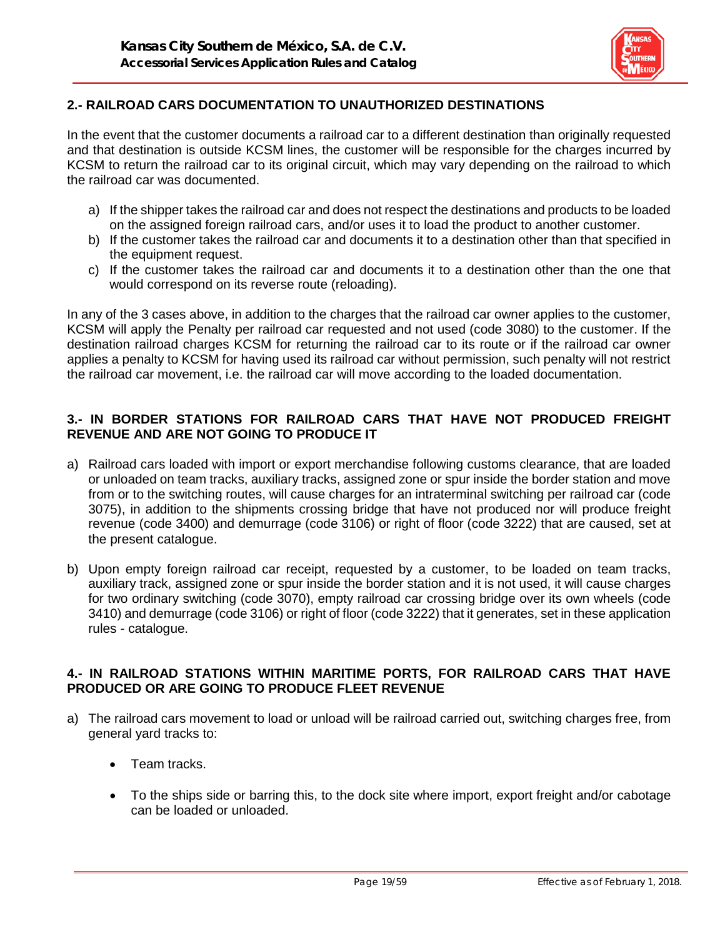

# **2.- RAILROAD CARS DOCUMENTATION TO UNAUTHORIZED DESTINATIONS**

In the event that the customer documents a railroad car to a different destination than originally requested and that destination is outside KCSM lines, the customer will be responsible for the charges incurred by KCSM to return the railroad car to its original circuit, which may vary depending on the railroad to which the railroad car was documented.

- a) If the shipper takes the railroad car and does not respect the destinations and products to be loaded on the assigned foreign railroad cars, and/or uses it to load the product to another customer.
- b) If the customer takes the railroad car and documents it to a destination other than that specified in the equipment request.
- c) If the customer takes the railroad car and documents it to a destination other than the one that would correspond on its reverse route (reloading).

In any of the 3 cases above, in addition to the charges that the railroad car owner applies to the customer, KCSM will apply the Penalty per railroad car requested and not used (code 3080) to the customer. If the destination railroad charges KCSM for returning the railroad car to its route or if the railroad car owner applies a penalty to KCSM for having used its railroad car without permission, such penalty will not restrict the railroad car movement, i.e. the railroad car will move according to the loaded documentation.

#### **3.- IN BORDER STATIONS FOR RAILROAD CARS THAT HAVE NOT PRODUCED FREIGHT REVENUE AND ARE NOT GOING TO PRODUCE IT**

- a) Railroad cars loaded with import or export merchandise following customs clearance, that are loaded or unloaded on team tracks, auxiliary tracks, assigned zone or spur inside the border station and move from or to the switching routes, will cause charges for an intraterminal switching per railroad car (code 3075), in addition to the shipments crossing bridge that have not produced nor will produce freight revenue (code 3400) and demurrage (code 3106) or right of floor (code 3222) that are caused, set at the present catalogue.
- b) Upon empty foreign railroad car receipt, requested by a customer, to be loaded on team tracks, auxiliary track, assigned zone or spur inside the border station and it is not used, it will cause charges for two ordinary switching (code 3070), empty railroad car crossing bridge over its own wheels (code 3410) and demurrage (code 3106) or right of floor (code 3222) that it generates, set in these application rules - catalogue.

#### **4.- IN RAILROAD STATIONS WITHIN MARITIME PORTS, FOR RAILROAD CARS THAT HAVE PRODUCED OR ARE GOING TO PRODUCE FLEET REVENUE**

- a) The railroad cars movement to load or unload will be railroad carried out, switching charges free, from general yard tracks to:
	- Team tracks.
	- To the ships side or barring this, to the dock site where import, export freight and/or cabotage can be loaded or unloaded.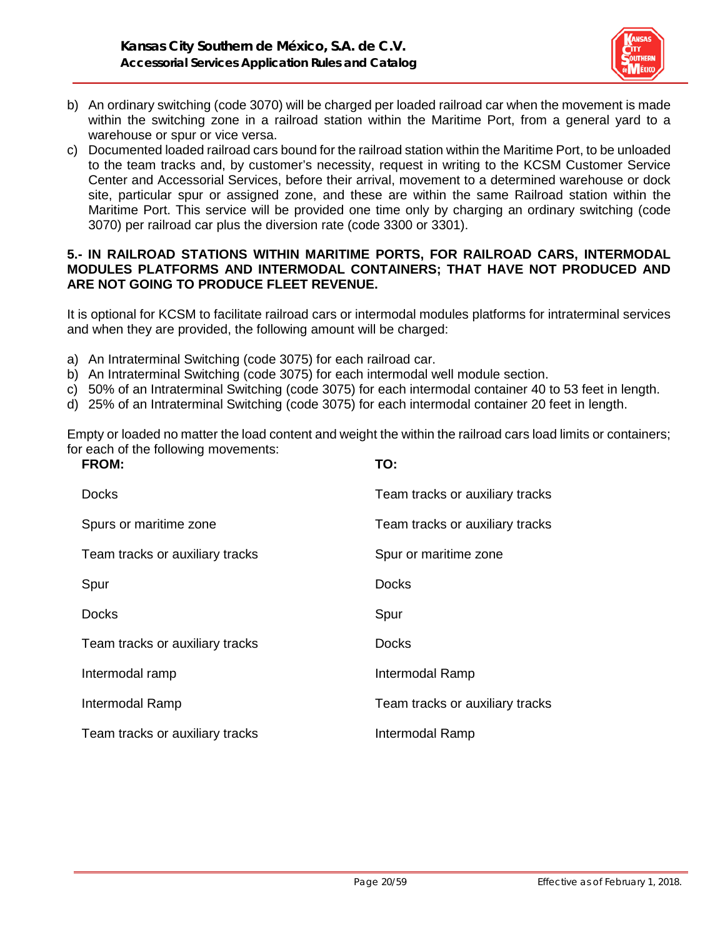

- b) An ordinary switching (code 3070) will be charged per loaded railroad car when the movement is made within the switching zone in a railroad station within the Maritime Port, from a general yard to a warehouse or spur or vice versa.
- c) Documented loaded railroad cars bound for the railroad station within the Maritime Port, to be unloaded to the team tracks and, by customer's necessity, request in writing to the KCSM Customer Service Center and Accessorial Services, before their arrival, movement to a determined warehouse or dock site, particular spur or assigned zone, and these are within the same Railroad station within the Maritime Port. This service will be provided one time only by charging an ordinary switching (code 3070) per railroad car plus the diversion rate (code 3300 or 3301).

#### **5.- IN RAILROAD STATIONS WITHIN MARITIME PORTS, FOR RAILROAD CARS, INTERMODAL MODULES PLATFORMS AND INTERMODAL CONTAINERS; THAT HAVE NOT PRODUCED AND ARE NOT GOING TO PRODUCE FLEET REVENUE.**

It is optional for KCSM to facilitate railroad cars or intermodal modules platforms for intraterminal services and when they are provided, the following amount will be charged:

- a) An Intraterminal Switching (code 3075) for each railroad car.
- b) An Intraterminal Switching (code 3075) for each intermodal well module section.
- c) 50% of an Intraterminal Switching (code 3075) for each intermodal container 40 to 53 feet in length.
- d) 25% of an Intraterminal Switching (code 3075) for each intermodal container 20 feet in length.

Empty or loaded no matter the load content and weight the within the railroad cars load limits or containers; for each of the following movements:<br>FROM

| <b>FROM:</b>                    | TO:                             |
|---------------------------------|---------------------------------|
| <b>Docks</b>                    | Team tracks or auxiliary tracks |
| Spurs or maritime zone          | Team tracks or auxiliary tracks |
| Team tracks or auxiliary tracks | Spur or maritime zone           |
| Spur                            | <b>Docks</b>                    |
| Docks                           | Spur                            |
| Team tracks or auxiliary tracks | <b>Docks</b>                    |
| Intermodal ramp                 | Intermodal Ramp                 |
| Intermodal Ramp                 | Team tracks or auxiliary tracks |
| Team tracks or auxiliary tracks | Intermodal Ramp                 |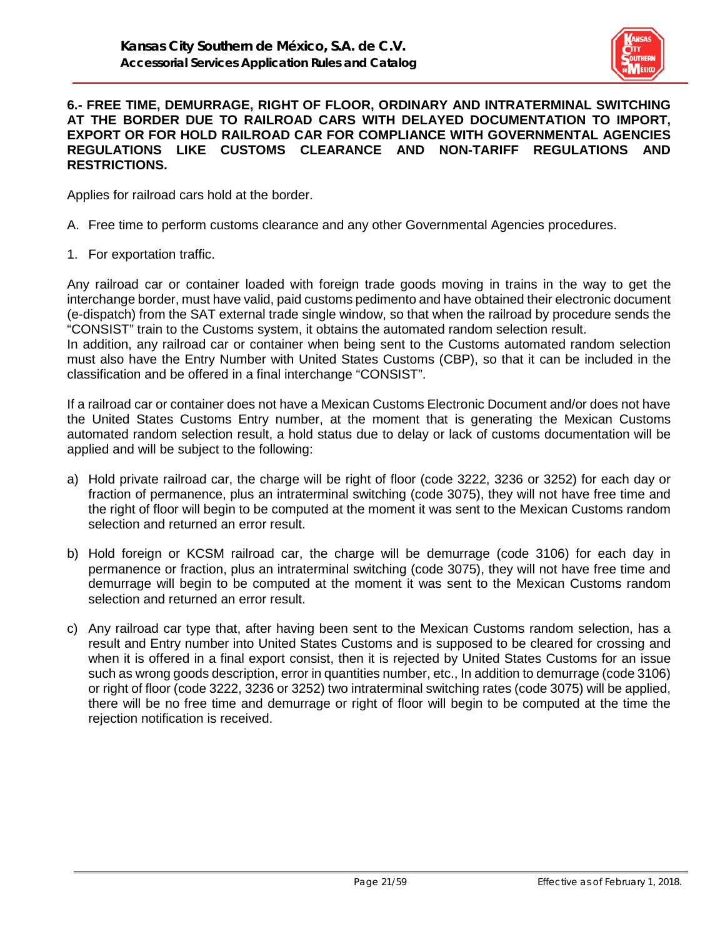

#### **6.- FREE TIME, DEMURRAGE, RIGHT OF FLOOR, ORDINARY AND INTRATERMINAL SWITCHING AT THE BORDER DUE TO RAILROAD CARS WITH DELAYED DOCUMENTATION TO IMPORT, EXPORT OR FOR HOLD RAILROAD CAR FOR COMPLIANCE WITH GOVERNMENTAL AGENCIES REGULATIONS LIKE CUSTOMS CLEARANCE AND NON-TARIFF REGULATIONS AND RESTRICTIONS.**

Applies for railroad cars hold at the border.

- A. Free time to perform customs clearance and any other Governmental Agencies procedures.
- 1. For exportation traffic.

Any railroad car or container loaded with foreign trade goods moving in trains in the way to get the interchange border, must have valid, paid customs pedimento and have obtained their electronic document (e-dispatch) from the SAT external trade single window, so that when the railroad by procedure sends the "CONSIST" train to the Customs system, it obtains the automated random selection result. In addition, any railroad car or container when being sent to the Customs automated random selection must also have the Entry Number with United States Customs (CBP), so that it can be included in the classification and be offered in a final interchange "CONSIST".

If a railroad car or container does not have a Mexican Customs Electronic Document and/or does not have the United States Customs Entry number, at the moment that is generating the Mexican Customs automated random selection result, a hold status due to delay or lack of customs documentation will be applied and will be subject to the following:

- a) Hold private railroad car, the charge will be right of floor (code 3222, 3236 or 3252) for each day or fraction of permanence, plus an intraterminal switching (code 3075), they will not have free time and the right of floor will begin to be computed at the moment it was sent to the Mexican Customs random selection and returned an error result.
- b) Hold foreign or KCSM railroad car, the charge will be demurrage (code 3106) for each day in permanence or fraction, plus an intraterminal switching (code 3075), they will not have free time and demurrage will begin to be computed at the moment it was sent to the Mexican Customs random selection and returned an error result.
- c) Any railroad car type that, after having been sent to the Mexican Customs random selection, has a result and Entry number into United States Customs and is supposed to be cleared for crossing and when it is offered in a final export consist, then it is rejected by United States Customs for an issue such as wrong goods description, error in quantities number, etc., In addition to demurrage (code 3106) or right of floor (code 3222, 3236 or 3252) two intraterminal switching rates (code 3075) will be applied, there will be no free time and demurrage or right of floor will begin to be computed at the time the rejection notification is received.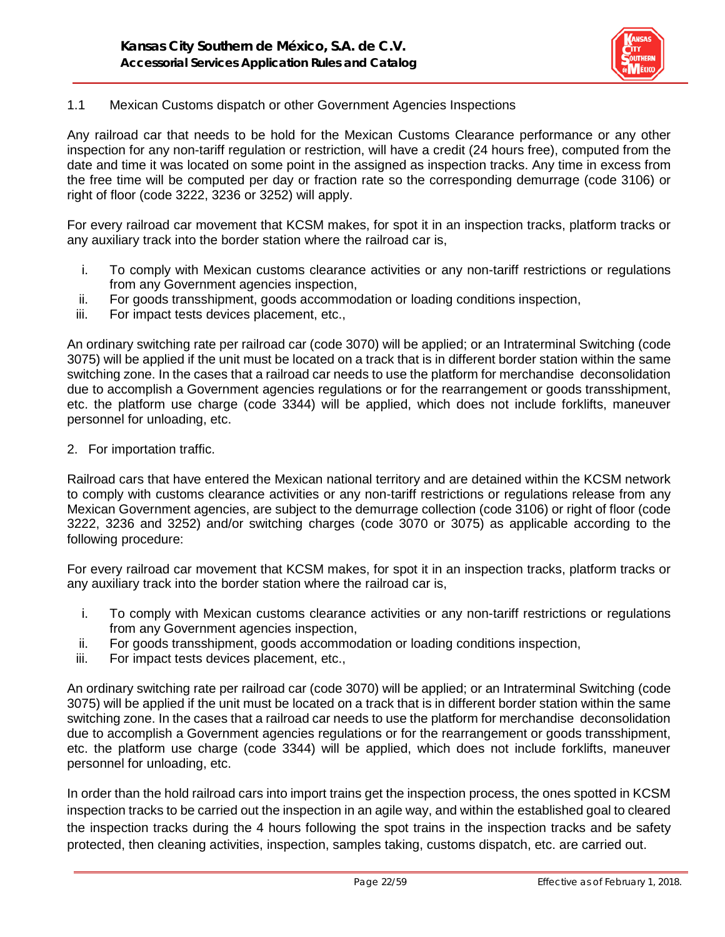

### 1.1 Mexican Customs dispatch or other Government Agencies Inspections

Any railroad car that needs to be hold for the Mexican Customs Clearance performance or any other inspection for any non-tariff regulation or restriction, will have a credit (24 hours free), computed from the date and time it was located on some point in the assigned as inspection tracks. Any time in excess from the free time will be computed per day or fraction rate so the corresponding demurrage (code 3106) or right of floor (code 3222, 3236 or 3252) will apply.

For every railroad car movement that KCSM makes, for spot it in an inspection tracks, platform tracks or any auxiliary track into the border station where the railroad car is,

- i. To comply with Mexican customs clearance activities or any non-tariff restrictions or regulations from any Government agencies inspection,
- ii. For goods transshipment, goods accommodation or loading conditions inspection,
- iii. For impact tests devices placement, etc.,

An ordinary switching rate per railroad car (code 3070) will be applied; or an Intraterminal Switching (code 3075) will be applied if the unit must be located on a track that is in different border station within the same switching zone. In the cases that a railroad car needs to use the platform for merchandise deconsolidation due to accomplish a Government agencies regulations or for the rearrangement or goods transshipment, etc. the platform use charge (code 3344) will be applied, which does not include forklifts, maneuver personnel for unloading, etc.

2. For importation traffic.

Railroad cars that have entered the Mexican national territory and are detained within the KCSM network to comply with customs clearance activities or any non-tariff restrictions or regulations release from any Mexican Government agencies, are subject to the demurrage collection (code 3106) or right of floor (code 3222, 3236 and 3252) and/or switching charges (code 3070 or 3075) as applicable according to the following procedure:

For every railroad car movement that KCSM makes, for spot it in an inspection tracks, platform tracks or any auxiliary track into the border station where the railroad car is,

- i. To comply with Mexican customs clearance activities or any non-tariff restrictions or regulations from any Government agencies inspection,
- ii. For goods transshipment, goods accommodation or loading conditions inspection,
- iii. For impact tests devices placement, etc.,

An ordinary switching rate per railroad car (code 3070) will be applied; or an Intraterminal Switching (code 3075) will be applied if the unit must be located on a track that is in different border station within the same switching zone. In the cases that a railroad car needs to use the platform for merchandise deconsolidation due to accomplish a Government agencies regulations or for the rearrangement or goods transshipment, etc. the platform use charge (code 3344) will be applied, which does not include forklifts, maneuver personnel for unloading, etc.

In order than the hold railroad cars into import trains get the inspection process, the ones spotted in KCSM inspection tracks to be carried out the inspection in an agile way, and within the established goal to cleared the inspection tracks during the 4 hours following the spot trains in the inspection tracks and be safety protected, then cleaning activities, inspection, samples taking, customs dispatch, etc. are carried out.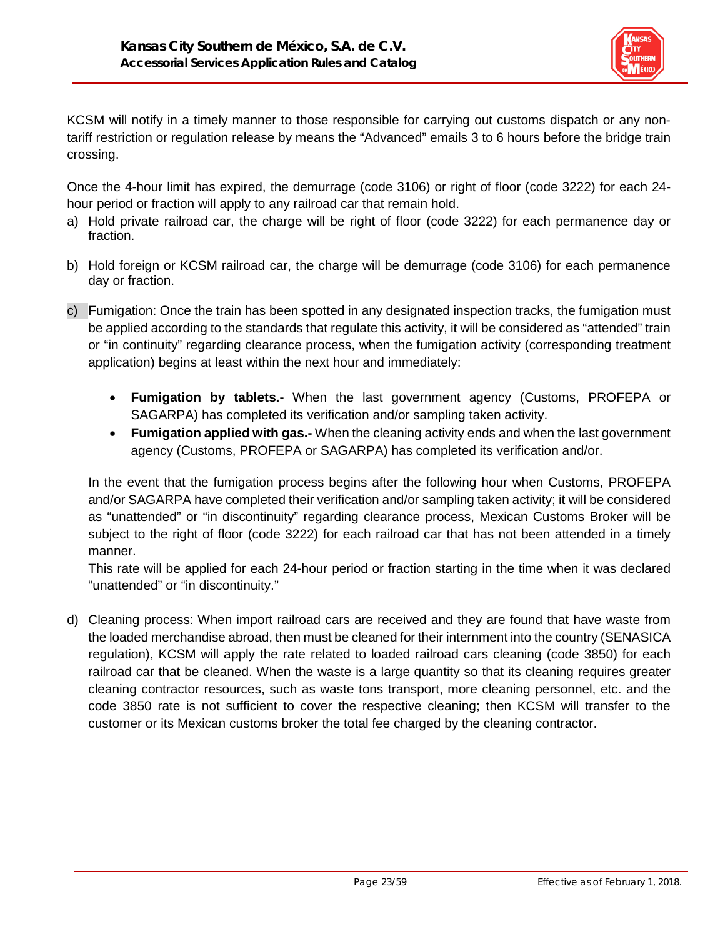

KCSM will notify in a timely manner to those responsible for carrying out customs dispatch or any nontariff restriction or regulation release by means the "Advanced" emails 3 to 6 hours before the bridge train crossing.

Once the 4-hour limit has expired, the demurrage (code 3106) or right of floor (code 3222) for each 24 hour period or fraction will apply to any railroad car that remain hold.

- a) Hold private railroad car, the charge will be right of floor (code 3222) for each permanence day or fraction.
- b) Hold foreign or KCSM railroad car, the charge will be demurrage (code 3106) for each permanence day or fraction.
- c) Fumigation: Once the train has been spotted in any designated inspection tracks, the fumigation must be applied according to the standards that regulate this activity, it will be considered as "attended" train or "in continuity" regarding clearance process, when the fumigation activity (corresponding treatment application) begins at least within the next hour and immediately:
	- **Fumigation by tablets.-** When the last government agency (Customs, PROFEPA or SAGARPA) has completed its verification and/or sampling taken activity.
	- **Fumigation applied with gas.-** When the cleaning activity ends and when the last government agency (Customs, PROFEPA or SAGARPA) has completed its verification and/or.

In the event that the fumigation process begins after the following hour when Customs, PROFEPA and/or SAGARPA have completed their verification and/or sampling taken activity; it will be considered as "unattended" or "in discontinuity" regarding clearance process, Mexican Customs Broker will be subject to the right of floor (code 3222) for each railroad car that has not been attended in a timely manner.

This rate will be applied for each 24-hour period or fraction starting in the time when it was declared "unattended" or "in discontinuity."

d) Cleaning process: When import railroad cars are received and they are found that have waste from the loaded merchandise abroad, then must be cleaned for their internment into the country (SENASICA regulation), KCSM will apply the rate related to loaded railroad cars cleaning (code 3850) for each railroad car that be cleaned. When the waste is a large quantity so that its cleaning requires greater cleaning contractor resources, such as waste tons transport, more cleaning personnel, etc. and the code 3850 rate is not sufficient to cover the respective cleaning; then KCSM will transfer to the customer or its Mexican customs broker the total fee charged by the cleaning contractor.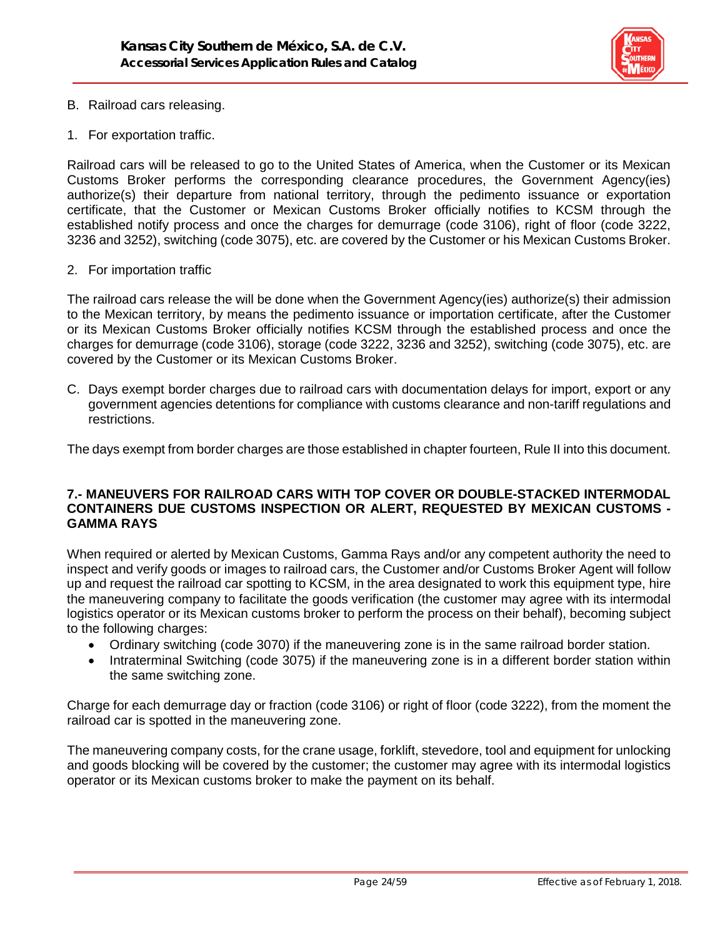

- B. Railroad cars releasing.
- 1. For exportation traffic.

Railroad cars will be released to go to the United States of America, when the Customer or its Mexican Customs Broker performs the corresponding clearance procedures, the Government Agency(ies) authorize(s) their departure from national territory, through the pedimento issuance or exportation certificate, that the Customer or Mexican Customs Broker officially notifies to KCSM through the established notify process and once the charges for demurrage (code 3106), right of floor (code 3222, 3236 and 3252), switching (code 3075), etc. are covered by the Customer or his Mexican Customs Broker.

2. For importation traffic

The railroad cars release the will be done when the Government Agency(ies) authorize(s) their admission to the Mexican territory, by means the pedimento issuance or importation certificate, after the Customer or its Mexican Customs Broker officially notifies KCSM through the established process and once the charges for demurrage (code 3106), storage (code 3222, 3236 and 3252), switching (code 3075), etc. are covered by the Customer or its Mexican Customs Broker.

C. Days exempt border charges due to railroad cars with documentation delays for import, export or any government agencies detentions for compliance with customs clearance and non-tariff regulations and restrictions.

The days exempt from border charges are those established in chapter fourteen, Rule II into this document.

#### **7.- MANEUVERS FOR RAILROAD CARS WITH TOP COVER OR DOUBLE-STACKED INTERMODAL CONTAINERS DUE CUSTOMS INSPECTION OR ALERT, REQUESTED BY MEXICAN CUSTOMS - GAMMA RAYS**

When required or alerted by Mexican Customs, Gamma Rays and/or any competent authority the need to inspect and verify goods or images to railroad cars, the Customer and/or Customs Broker Agent will follow up and request the railroad car spotting to KCSM, in the area designated to work this equipment type, hire the maneuvering company to facilitate the goods verification (the customer may agree with its intermodal logistics operator or its Mexican customs broker to perform the process on their behalf), becoming subject to the following charges:

- Ordinary switching (code 3070) if the maneuvering zone is in the same railroad border station.
- Intraterminal Switching (code 3075) if the maneuvering zone is in a different border station within the same switching zone.

Charge for each demurrage day or fraction (code 3106) or right of floor (code 3222), from the moment the railroad car is spotted in the maneuvering zone.

The maneuvering company costs, for the crane usage, forklift, stevedore, tool and equipment for unlocking and goods blocking will be covered by the customer; the customer may agree with its intermodal logistics operator or its Mexican customs broker to make the payment on its behalf.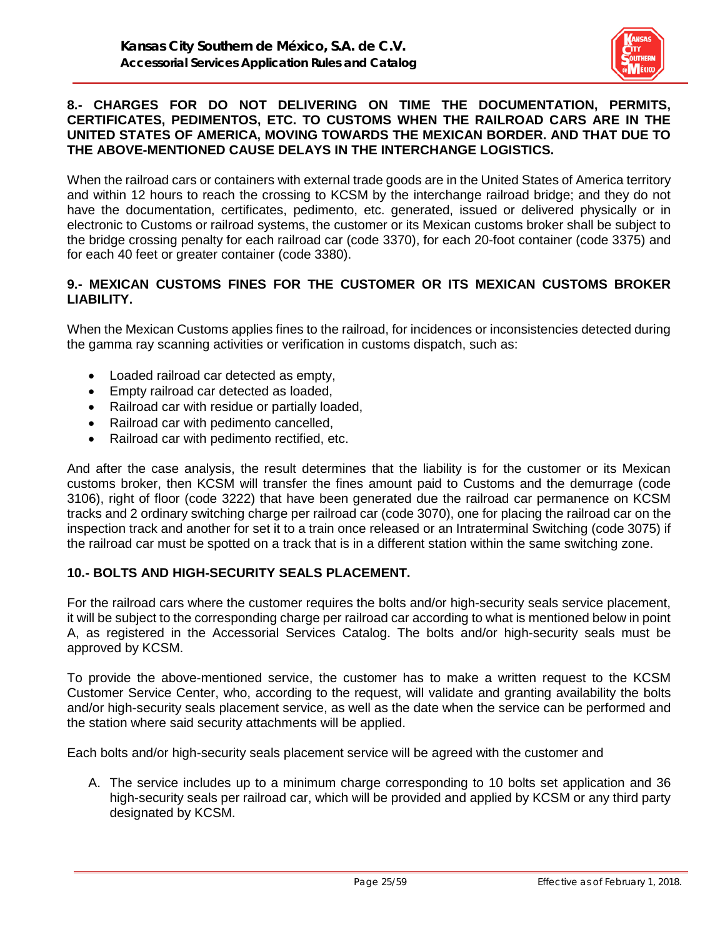

#### **8.- CHARGES FOR DO NOT DELIVERING ON TIME THE DOCUMENTATION, PERMITS, CERTIFICATES, PEDIMENTOS, ETC. TO CUSTOMS WHEN THE RAILROAD CARS ARE IN THE UNITED STATES OF AMERICA, MOVING TOWARDS THE MEXICAN BORDER. AND THAT DUE TO THE ABOVE-MENTIONED CAUSE DELAYS IN THE INTERCHANGE LOGISTICS.**

When the railroad cars or containers with external trade goods are in the United States of America territory and within 12 hours to reach the crossing to KCSM by the interchange railroad bridge; and they do not have the documentation, certificates, pedimento, etc. generated, issued or delivered physically or in electronic to Customs or railroad systems, the customer or its Mexican customs broker shall be subject to the bridge crossing penalty for each railroad car (code 3370), for each 20-foot container (code 3375) and for each 40 feet or greater container (code 3380).

### **9.- MEXICAN CUSTOMS FINES FOR THE CUSTOMER OR ITS MEXICAN CUSTOMS BROKER LIABILITY.**

When the Mexican Customs applies fines to the railroad, for incidences or inconsistencies detected during the gamma ray scanning activities or verification in customs dispatch, such as:

- Loaded railroad car detected as empty,
- Empty railroad car detected as loaded,
- Railroad car with residue or partially loaded,
- Railroad car with pedimento cancelled,
- Railroad car with pedimento rectified, etc.

And after the case analysis, the result determines that the liability is for the customer or its Mexican customs broker, then KCSM will transfer the fines amount paid to Customs and the demurrage (code 3106), right of floor (code 3222) that have been generated due the railroad car permanence on KCSM tracks and 2 ordinary switching charge per railroad car (code 3070), one for placing the railroad car on the inspection track and another for set it to a train once released or an Intraterminal Switching (code 3075) if the railroad car must be spotted on a track that is in a different station within the same switching zone.

#### **10.- BOLTS AND HIGH-SECURITY SEALS PLACEMENT.**

For the railroad cars where the customer requires the bolts and/or high-security seals service placement, it will be subject to the corresponding charge per railroad car according to what is mentioned below in point A, as registered in the Accessorial Services Catalog. The bolts and/or high-security seals must be approved by KCSM.

To provide the above-mentioned service, the customer has to make a written request to the KCSM Customer Service Center, who, according to the request, will validate and granting availability the bolts and/or high-security seals placement service, as well as the date when the service can be performed and the station where said security attachments will be applied.

Each bolts and/or high-security seals placement service will be agreed with the customer and

A. The service includes up to a minimum charge corresponding to 10 bolts set application and 36 high-security seals per railroad car, which will be provided and applied by KCSM or any third party designated by KCSM.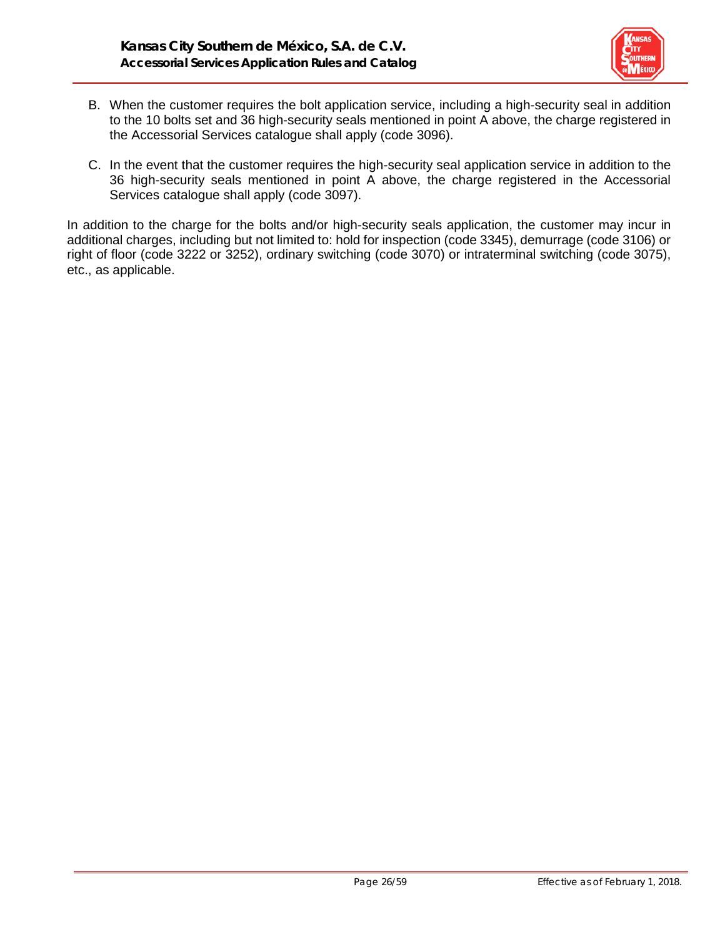

- B. When the customer requires the bolt application service, including a high-security seal in addition to the 10 bolts set and 36 high-security seals mentioned in point A above, the charge registered in the Accessorial Services catalogue shall apply (code 3096).
- C. In the event that the customer requires the high-security seal application service in addition to the 36 high-security seals mentioned in point A above, the charge registered in the Accessorial Services catalogue shall apply (code 3097).

In addition to the charge for the bolts and/or high-security seals application, the customer may incur in additional charges, including but not limited to: hold for inspection (code 3345), demurrage (code 3106) or right of floor (code 3222 or 3252), ordinary switching (code 3070) or intraterminal switching (code 3075), etc., as applicable.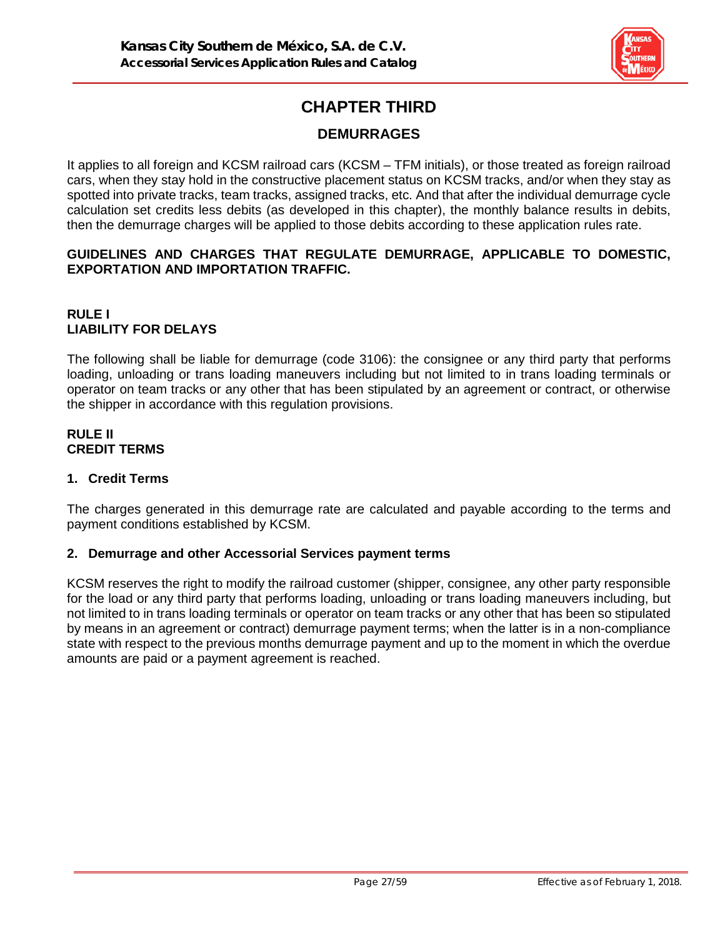

# **CHAPTER THIRD**

# **DEMURRAGES**

It applies to all foreign and KCSM railroad cars (KCSM – TFM initials), or those treated as foreign railroad cars, when they stay hold in the constructive placement status on KCSM tracks, and/or when they stay as spotted into private tracks, team tracks, assigned tracks, etc. And that after the individual demurrage cycle calculation set credits less debits (as developed in this chapter), the monthly balance results in debits, then the demurrage charges will be applied to those debits according to these application rules rate.

### **GUIDELINES AND CHARGES THAT REGULATE DEMURRAGE, APPLICABLE TO DOMESTIC, EXPORTATION AND IMPORTATION TRAFFIC.**

# **RULE I LIABILITY FOR DELAYS**

The following shall be liable for demurrage (code 3106): the consignee or any third party that performs loading, unloading or trans loading maneuvers including but not limited to in trans loading terminals or operator on team tracks or any other that has been stipulated by an agreement or contract, or otherwise the shipper in accordance with this regulation provisions.

## **RULE II CREDIT TERMS**

# **1. Credit Terms**

The charges generated in this demurrage rate are calculated and payable according to the terms and payment conditions established by KCSM.

# **2. Demurrage and other Accessorial Services payment terms**

KCSM reserves the right to modify the railroad customer (shipper, consignee, any other party responsible for the load or any third party that performs loading, unloading or trans loading maneuvers including, but not limited to in trans loading terminals or operator on team tracks or any other that has been so stipulated by means in an agreement or contract) demurrage payment terms; when the latter is in a non-compliance state with respect to the previous months demurrage payment and up to the moment in which the overdue amounts are paid or a payment agreement is reached.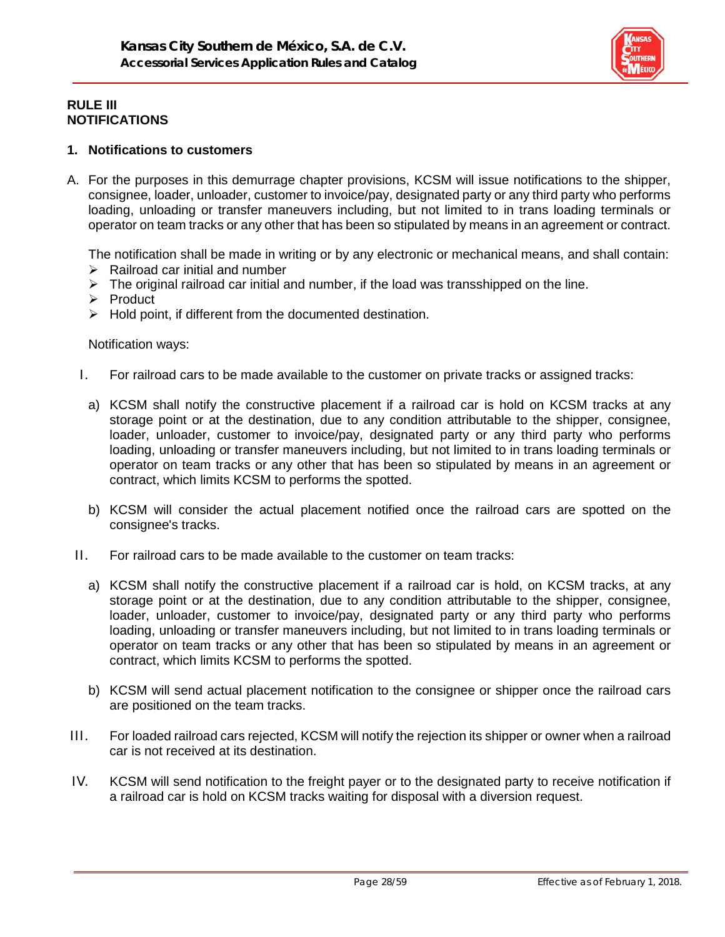

### **RULE III NOTIFICATIONS**

## **1. Notifications to customers**

A. For the purposes in this demurrage chapter provisions, KCSM will issue notifications to the shipper, consignee, loader, unloader, customer to invoice/pay, designated party or any third party who performs loading, unloading or transfer maneuvers including, but not limited to in trans loading terminals or operator on team tracks or any other that has been so stipulated by means in an agreement or contract.

The notification shall be made in writing or by any electronic or mechanical means, and shall contain:  $\triangleright$  Railroad car initial and number

- $\triangleright$  The original railroad car initial and number, if the load was transshipped on the line.
- $\triangleright$  Product
- $\triangleright$  Hold point, if different from the documented destination.

#### Notification ways:

- I. For railroad cars to be made available to the customer on private tracks or assigned tracks:
	- a) KCSM shall notify the constructive placement if a railroad car is hold on KCSM tracks at any storage point or at the destination, due to any condition attributable to the shipper, consignee, loader, unloader, customer to invoice/pay, designated party or any third party who performs loading, unloading or transfer maneuvers including, but not limited to in trans loading terminals or operator on team tracks or any other that has been so stipulated by means in an agreement or contract, which limits KCSM to performs the spotted.
	- b) KCSM will consider the actual placement notified once the railroad cars are spotted on the consignee's tracks.
- II. For railroad cars to be made available to the customer on team tracks:
	- a) KCSM shall notify the constructive placement if a railroad car is hold, on KCSM tracks, at any storage point or at the destination, due to any condition attributable to the shipper, consignee, loader, unloader, customer to invoice/pay, designated party or any third party who performs loading, unloading or transfer maneuvers including, but not limited to in trans loading terminals or operator on team tracks or any other that has been so stipulated by means in an agreement or contract, which limits KCSM to performs the spotted.
	- b) KCSM will send actual placement notification to the consignee or shipper once the railroad cars are positioned on the team tracks.
- III. For loaded railroad cars rejected, KCSM will notify the rejection its shipper or owner when a railroad car is not received at its destination.
- IV. KCSM will send notification to the freight payer or to the designated party to receive notification if a railroad car is hold on KCSM tracks waiting for disposal with a diversion request.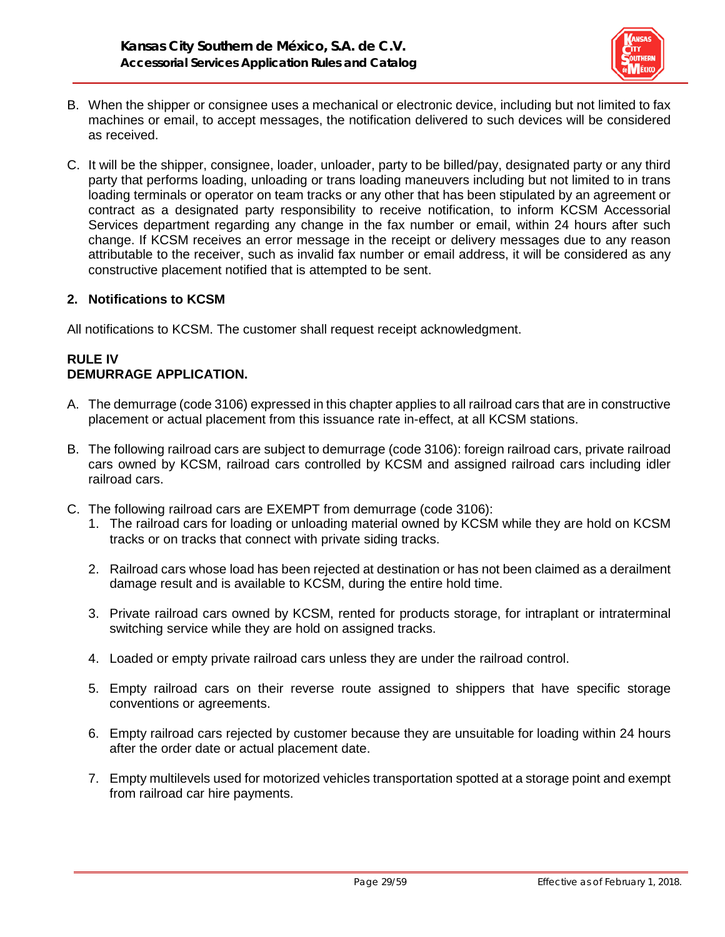

- B. When the shipper or consignee uses a mechanical or electronic device, including but not limited to fax machines or email, to accept messages, the notification delivered to such devices will be considered as received.
- C. It will be the shipper, consignee, loader, unloader, party to be billed/pay, designated party or any third party that performs loading, unloading or trans loading maneuvers including but not limited to in trans loading terminals or operator on team tracks or any other that has been stipulated by an agreement or contract as a designated party responsibility to receive notification, to inform KCSM Accessorial Services department regarding any change in the fax number or email, within 24 hours after such change. If KCSM receives an error message in the receipt or delivery messages due to any reason attributable to the receiver, such as invalid fax number or email address, it will be considered as any constructive placement notified that is attempted to be sent.

### **2. Notifications to KCSM**

All notifications to KCSM. The customer shall request receipt acknowledgment.

## **RULE IV DEMURRAGE APPLICATION.**

- A. The demurrage (code 3106) expressed in this chapter applies to all railroad cars that are in constructive placement or actual placement from this issuance rate in-effect, at all KCSM stations.
- B. The following railroad cars are subject to demurrage (code 3106): foreign railroad cars, private railroad cars owned by KCSM, railroad cars controlled by KCSM and assigned railroad cars including idler railroad cars.
- C. The following railroad cars are EXEMPT from demurrage (code 3106):
	- 1. The railroad cars for loading or unloading material owned by KCSM while they are hold on KCSM tracks or on tracks that connect with private siding tracks.
	- 2. Railroad cars whose load has been rejected at destination or has not been claimed as a derailment damage result and is available to KCSM, during the entire hold time.
	- 3. Private railroad cars owned by KCSM, rented for products storage, for intraplant or intraterminal switching service while they are hold on assigned tracks.
	- 4. Loaded or empty private railroad cars unless they are under the railroad control.
	- 5. Empty railroad cars on their reverse route assigned to shippers that have specific storage conventions or agreements.
	- 6. Empty railroad cars rejected by customer because they are unsuitable for loading within 24 hours after the order date or actual placement date.
	- 7. Empty multilevels used for motorized vehicles transportation spotted at a storage point and exempt from railroad car hire payments.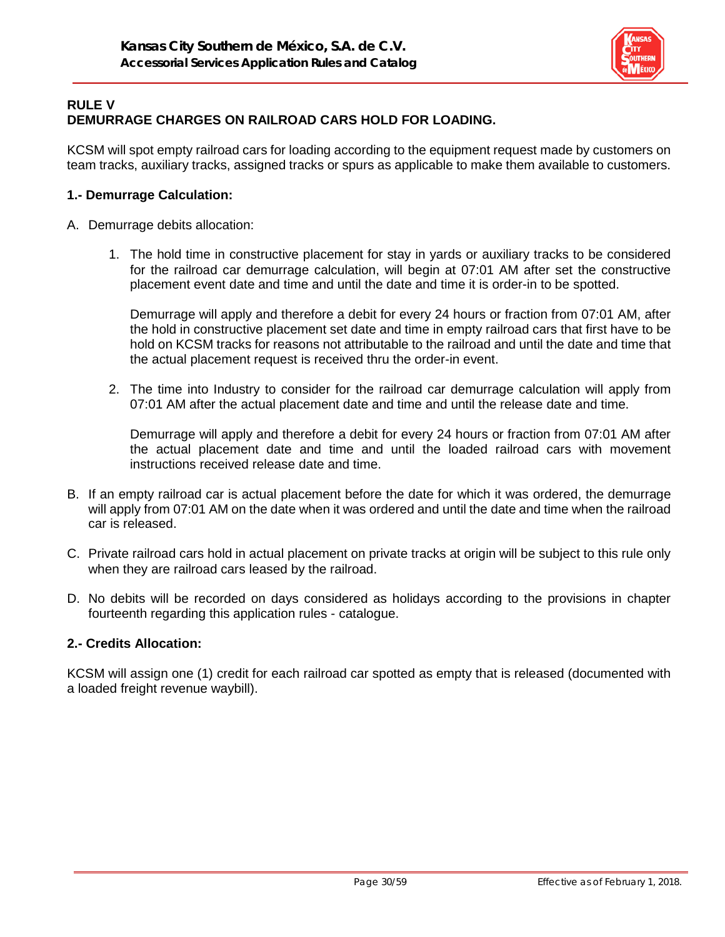

### **RULE V DEMURRAGE CHARGES ON RAILROAD CARS HOLD FOR LOADING.**

KCSM will spot empty railroad cars for loading according to the equipment request made by customers on team tracks, auxiliary tracks, assigned tracks or spurs as applicable to make them available to customers.

#### **1.- Demurrage Calculation:**

- A. Demurrage debits allocation:
	- 1. The hold time in constructive placement for stay in yards or auxiliary tracks to be considered for the railroad car demurrage calculation, will begin at 07:01 AM after set the constructive placement event date and time and until the date and time it is order-in to be spotted.

Demurrage will apply and therefore a debit for every 24 hours or fraction from 07:01 AM, after the hold in constructive placement set date and time in empty railroad cars that first have to be hold on KCSM tracks for reasons not attributable to the railroad and until the date and time that the actual placement request is received thru the order-in event.

2. The time into Industry to consider for the railroad car demurrage calculation will apply from 07:01 AM after the actual placement date and time and until the release date and time.

Demurrage will apply and therefore a debit for every 24 hours or fraction from 07:01 AM after the actual placement date and time and until the loaded railroad cars with movement instructions received release date and time.

- B. If an empty railroad car is actual placement before the date for which it was ordered, the demurrage will apply from 07:01 AM on the date when it was ordered and until the date and time when the railroad car is released.
- C. Private railroad cars hold in actual placement on private tracks at origin will be subject to this rule only when they are railroad cars leased by the railroad.
- D. No debits will be recorded on days considered as holidays according to the provisions in chapter fourteenth regarding this application rules - catalogue.

#### **2.- Credits Allocation:**

KCSM will assign one (1) credit for each railroad car spotted as empty that is released (documented with a loaded freight revenue waybill).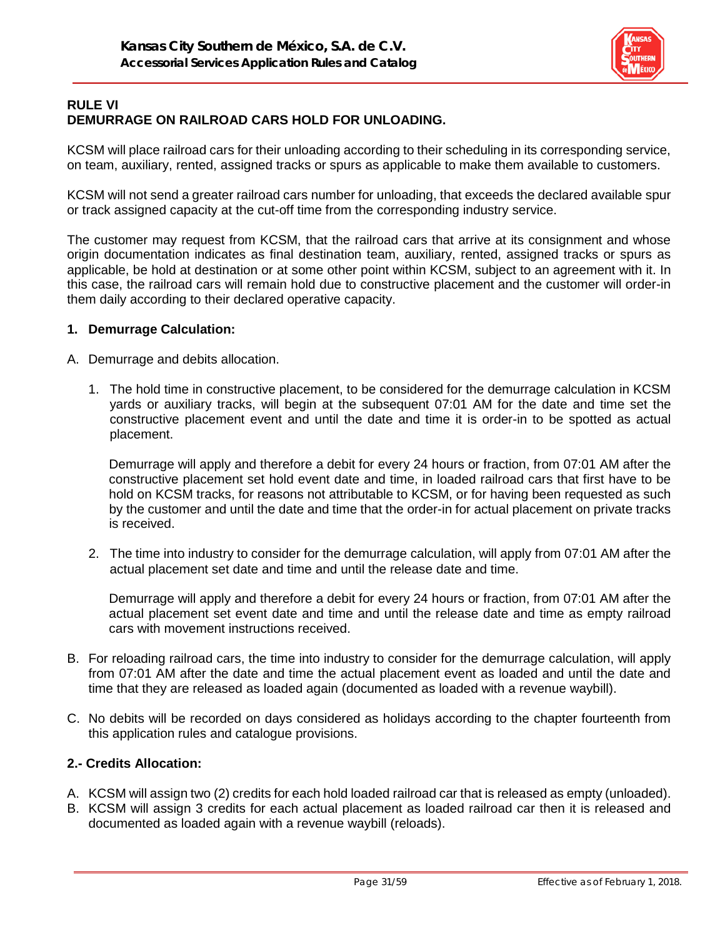

# **RULE VI DEMURRAGE ON RAILROAD CARS HOLD FOR UNLOADING.**

KCSM will place railroad cars for their unloading according to their scheduling in its corresponding service, on team, auxiliary, rented, assigned tracks or spurs as applicable to make them available to customers.

KCSM will not send a greater railroad cars number for unloading, that exceeds the declared available spur or track assigned capacity at the cut-off time from the corresponding industry service.

The customer may request from KCSM, that the railroad cars that arrive at its consignment and whose origin documentation indicates as final destination team, auxiliary, rented, assigned tracks or spurs as applicable, be hold at destination or at some other point within KCSM, subject to an agreement with it. In this case, the railroad cars will remain hold due to constructive placement and the customer will order-in them daily according to their declared operative capacity.

#### **1. Demurrage Calculation:**

- A. Demurrage and debits allocation.
	- 1. The hold time in constructive placement, to be considered for the demurrage calculation in KCSM yards or auxiliary tracks, will begin at the subsequent 07:01 AM for the date and time set the constructive placement event and until the date and time it is order-in to be spotted as actual placement.

Demurrage will apply and therefore a debit for every 24 hours or fraction, from 07:01 AM after the constructive placement set hold event date and time, in loaded railroad cars that first have to be hold on KCSM tracks, for reasons not attributable to KCSM, or for having been requested as such by the customer and until the date and time that the order-in for actual placement on private tracks is received.

2. The time into industry to consider for the demurrage calculation, will apply from 07:01 AM after the actual placement set date and time and until the release date and time.

Demurrage will apply and therefore a debit for every 24 hours or fraction, from 07:01 AM after the actual placement set event date and time and until the release date and time as empty railroad cars with movement instructions received.

- B. For reloading railroad cars, the time into industry to consider for the demurrage calculation, will apply from 07:01 AM after the date and time the actual placement event as loaded and until the date and time that they are released as loaded again (documented as loaded with a revenue waybill).
- C. No debits will be recorded on days considered as holidays according to the chapter fourteenth from this application rules and catalogue provisions.

# **2.- Credits Allocation:**

- A. KCSM will assign two (2) credits for each hold loaded railroad car that is released as empty (unloaded).
- B. KCSM will assign 3 credits for each actual placement as loaded railroad car then it is released and documented as loaded again with a revenue waybill (reloads).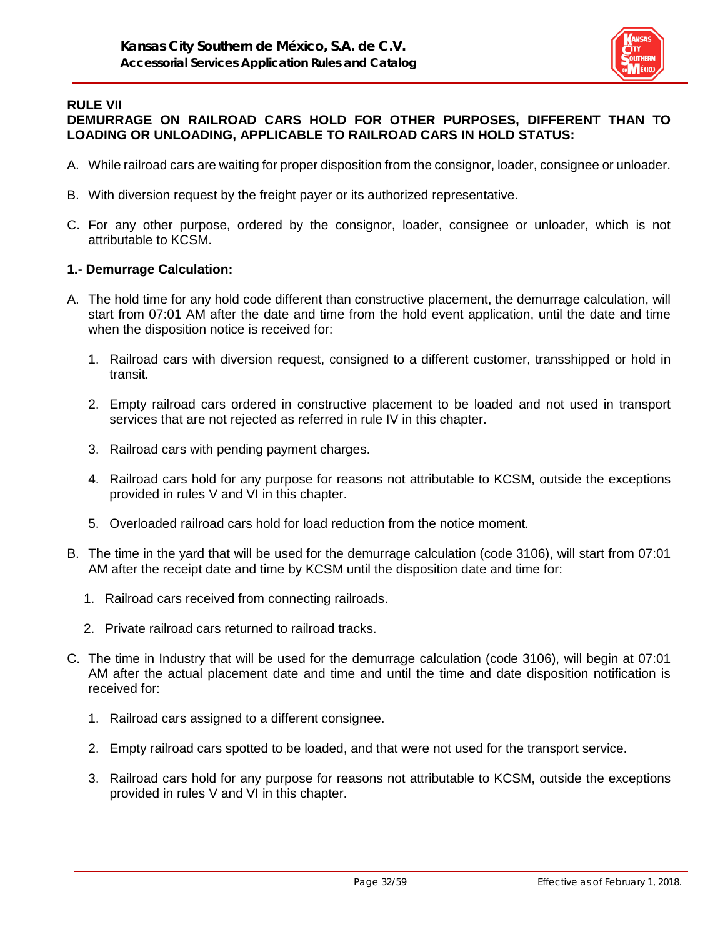

#### **RULE VII DEMURRAGE ON RAILROAD CARS HOLD FOR OTHER PURPOSES, DIFFERENT THAN TO LOADING OR UNLOADING, APPLICABLE TO RAILROAD CARS IN HOLD STATUS:**

- A. While railroad cars are waiting for proper disposition from the consignor, loader, consignee or unloader.
- B. With diversion request by the freight payer or its authorized representative.
- C. For any other purpose, ordered by the consignor, loader, consignee or unloader, which is not attributable to KCSM.

#### **1.- Demurrage Calculation:**

- A. The hold time for any hold code different than constructive placement, the demurrage calculation, will start from 07:01 AM after the date and time from the hold event application, until the date and time when the disposition notice is received for:
	- 1. Railroad cars with diversion request, consigned to a different customer, transshipped or hold in transit.
	- 2. Empty railroad cars ordered in constructive placement to be loaded and not used in transport services that are not rejected as referred in rule IV in this chapter.
	- 3. Railroad cars with pending payment charges.
	- 4. Railroad cars hold for any purpose for reasons not attributable to KCSM, outside the exceptions provided in rules V and VI in this chapter.
	- 5. Overloaded railroad cars hold for load reduction from the notice moment.
- B. The time in the yard that will be used for the demurrage calculation (code 3106), will start from 07:01 AM after the receipt date and time by KCSM until the disposition date and time for:
	- 1. Railroad cars received from connecting railroads.
	- 2. Private railroad cars returned to railroad tracks.
- C. The time in Industry that will be used for the demurrage calculation (code 3106), will begin at 07:01 AM after the actual placement date and time and until the time and date disposition notification is received for:
	- 1. Railroad cars assigned to a different consignee.
	- 2. Empty railroad cars spotted to be loaded, and that were not used for the transport service.
	- 3. Railroad cars hold for any purpose for reasons not attributable to KCSM, outside the exceptions provided in rules V and VI in this chapter.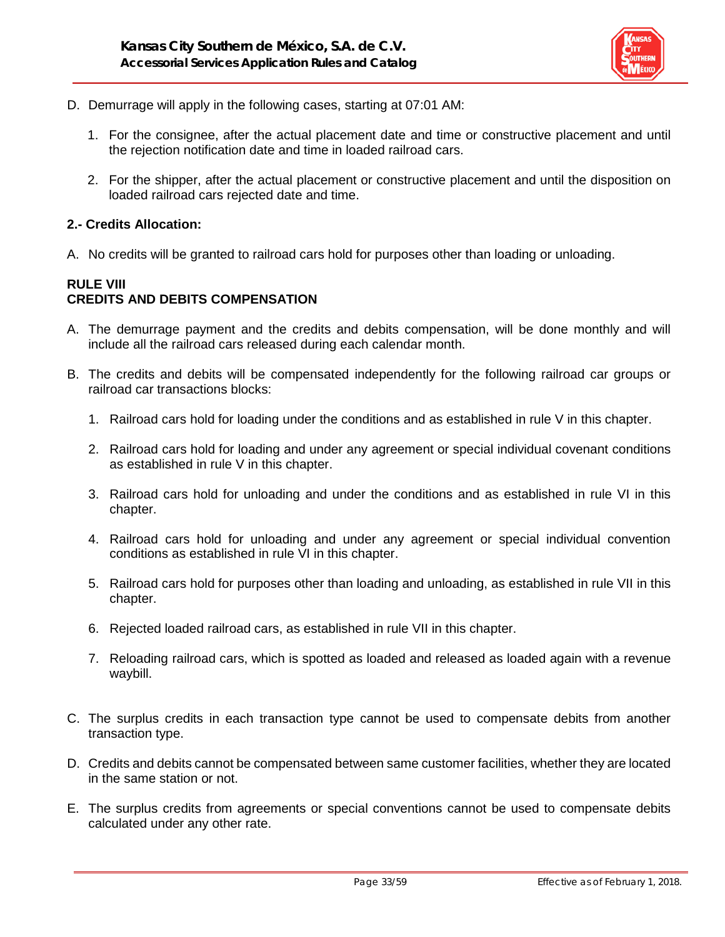

- D. Demurrage will apply in the following cases, starting at 07:01 AM:
	- 1. For the consignee, after the actual placement date and time or constructive placement and until the rejection notification date and time in loaded railroad cars.
	- 2. For the shipper, after the actual placement or constructive placement and until the disposition on loaded railroad cars rejected date and time.

#### **2.- Credits Allocation:**

A. No credits will be granted to railroad cars hold for purposes other than loading or unloading.

## **RULE VIII CREDITS AND DEBITS COMPENSATION**

- A. The demurrage payment and the credits and debits compensation, will be done monthly and will include all the railroad cars released during each calendar month.
- B. The credits and debits will be compensated independently for the following railroad car groups or railroad car transactions blocks:
	- 1. Railroad cars hold for loading under the conditions and as established in rule V in this chapter.
	- 2. Railroad cars hold for loading and under any agreement or special individual covenant conditions as established in rule V in this chapter.
	- 3. Railroad cars hold for unloading and under the conditions and as established in rule VI in this chapter.
	- 4. Railroad cars hold for unloading and under any agreement or special individual convention conditions as established in rule VI in this chapter.
	- 5. Railroad cars hold for purposes other than loading and unloading, as established in rule VII in this chapter.
	- 6. Rejected loaded railroad cars, as established in rule VII in this chapter.
	- 7. Reloading railroad cars, which is spotted as loaded and released as loaded again with a revenue waybill.
- C. The surplus credits in each transaction type cannot be used to compensate debits from another transaction type.
- D. Credits and debits cannot be compensated between same customer facilities, whether they are located in the same station or not.
- E. The surplus credits from agreements or special conventions cannot be used to compensate debits calculated under any other rate.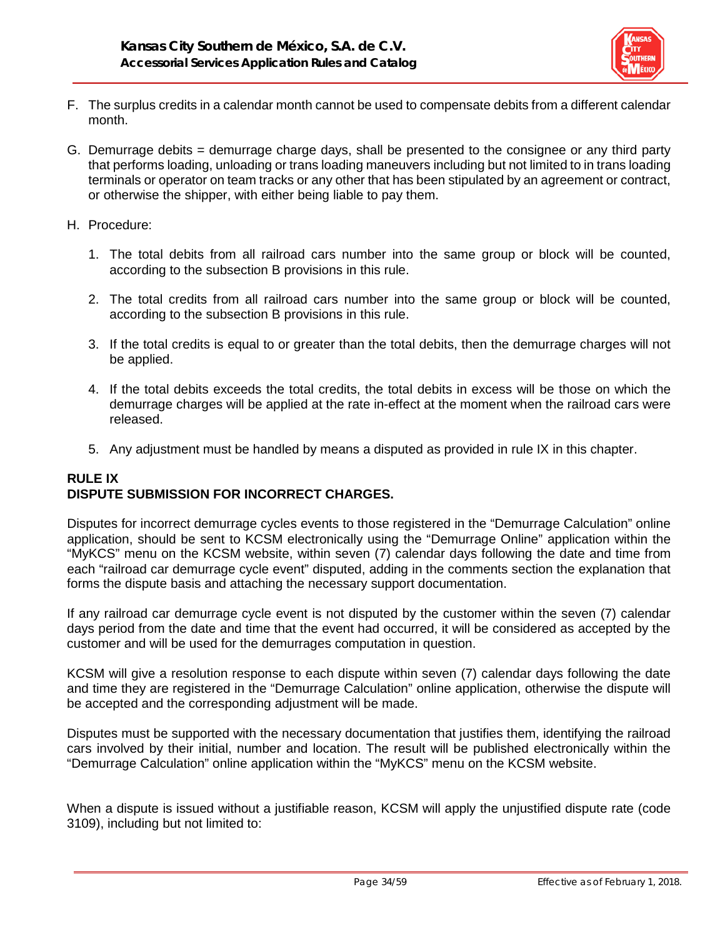

- F. The surplus credits in a calendar month cannot be used to compensate debits from a different calendar month.
- G. Demurrage debits = demurrage charge days, shall be presented to the consignee or any third party that performs loading, unloading or trans loading maneuvers including but not limited to in trans loading terminals or operator on team tracks or any other that has been stipulated by an agreement or contract, or otherwise the shipper, with either being liable to pay them.
- H. Procedure:
	- 1. The total debits from all railroad cars number into the same group or block will be counted, according to the subsection B provisions in this rule.
	- 2. The total credits from all railroad cars number into the same group or block will be counted, according to the subsection B provisions in this rule.
	- 3. If the total credits is equal to or greater than the total debits, then the demurrage charges will not be applied.
	- 4. If the total debits exceeds the total credits, the total debits in excess will be those on which the demurrage charges will be applied at the rate in-effect at the moment when the railroad cars were released.
	- 5. Any adjustment must be handled by means a disputed as provided in rule IX in this chapter.

# **RULE IX DISPUTE SUBMISSION FOR INCORRECT CHARGES.**

Disputes for incorrect demurrage cycles events to those registered in the "Demurrage Calculation" online application, should be sent to KCSM electronically using the "Demurrage Online" application within the "MyKCS" menu on the KCSM website, within seven (7) calendar days following the date and time from each "railroad car demurrage cycle event" disputed, adding in the comments section the explanation that forms the dispute basis and attaching the necessary support documentation.

If any railroad car demurrage cycle event is not disputed by the customer within the seven (7) calendar days period from the date and time that the event had occurred, it will be considered as accepted by the customer and will be used for the demurrages computation in question.

KCSM will give a resolution response to each dispute within seven (7) calendar days following the date and time they are registered in the "Demurrage Calculation" online application, otherwise the dispute will be accepted and the corresponding adjustment will be made.

Disputes must be supported with the necessary documentation that justifies them, identifying the railroad cars involved by their initial, number and location. The result will be published electronically within the "Demurrage Calculation" online application within the "MyKCS" menu on the KCSM website.

When a dispute is issued without a justifiable reason, KCSM will apply the unjustified dispute rate (code 3109), including but not limited to: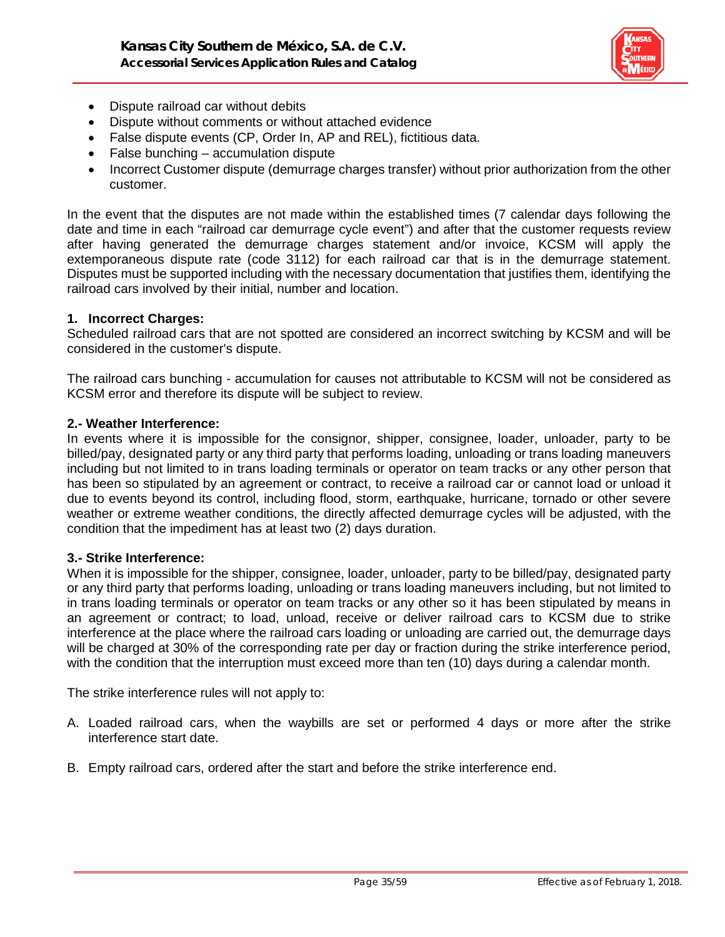

- Dispute railroad car without debits
- Dispute without comments or without attached evidence
- False dispute events (CP, Order In, AP and REL), fictitious data.
- False bunching accumulation dispute
- Incorrect Customer dispute (demurrage charges transfer) without prior authorization from the other customer.

In the event that the disputes are not made within the established times (7 calendar days following the date and time in each "railroad car demurrage cycle event") and after that the customer requests review after having generated the demurrage charges statement and/or invoice, KCSM will apply the extemporaneous dispute rate (code 3112) for each railroad car that is in the demurrage statement. Disputes must be supported including with the necessary documentation that justifies them, identifying the railroad cars involved by their initial, number and location.

#### **1. Incorrect Charges:**

Scheduled railroad cars that are not spotted are considered an incorrect switching by KCSM and will be considered in the customer's dispute.

The railroad cars bunching - accumulation for causes not attributable to KCSM will not be considered as KCSM error and therefore its dispute will be subject to review.

#### **2.- Weather Interference:**

In events where it is impossible for the consignor, shipper, consignee, loader, unloader, party to be billed/pay, designated party or any third party that performs loading, unloading or trans loading maneuvers including but not limited to in trans loading terminals or operator on team tracks or any other person that has been so stipulated by an agreement or contract, to receive a railroad car or cannot load or unload it due to events beyond its control, including flood, storm, earthquake, hurricane, tornado or other severe weather or extreme weather conditions, the directly affected demurrage cycles will be adjusted, with the condition that the impediment has at least two (2) days duration.

#### **3.- Strike Interference:**

When it is impossible for the shipper, consignee, loader, unloader, party to be billed/pay, designated party or any third party that performs loading, unloading or trans loading maneuvers including, but not limited to in trans loading terminals or operator on team tracks or any other so it has been stipulated by means in an agreement or contract; to load, unload, receive or deliver railroad cars to KCSM due to strike interference at the place where the railroad cars loading or unloading are carried out, the demurrage days will be charged at 30% of the corresponding rate per day or fraction during the strike interference period, with the condition that the interruption must exceed more than ten (10) days during a calendar month.

The strike interference rules will not apply to:

- A. Loaded railroad cars, when the waybills are set or performed 4 days or more after the strike interference start date.
- B. Empty railroad cars, ordered after the start and before the strike interference end.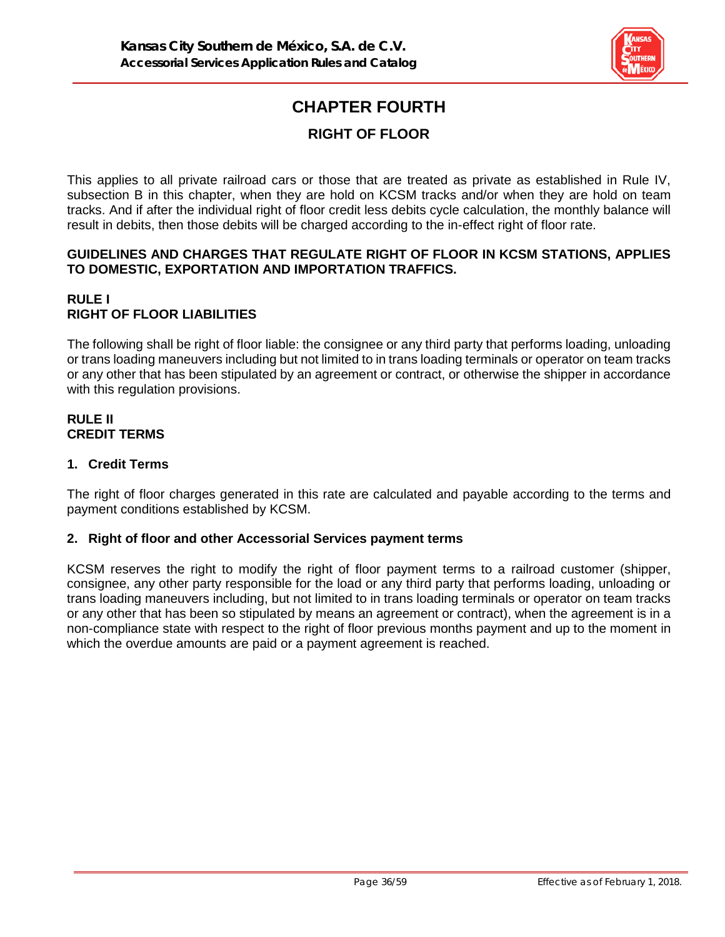

# **CHAPTER FOURTH**

# **RIGHT OF FLOOR**

This applies to all private railroad cars or those that are treated as private as established in Rule IV, subsection B in this chapter, when they are hold on KCSM tracks and/or when they are hold on team tracks. And if after the individual right of floor credit less debits cycle calculation, the monthly balance will result in debits, then those debits will be charged according to the in-effect right of floor rate.

#### **GUIDELINES AND CHARGES THAT REGULATE RIGHT OF FLOOR IN KCSM STATIONS, APPLIES TO DOMESTIC, EXPORTATION AND IMPORTATION TRAFFICS.**

# **RULE I RIGHT OF FLOOR LIABILITIES**

The following shall be right of floor liable: the consignee or any third party that performs loading, unloading or trans loading maneuvers including but not limited to in trans loading terminals or operator on team tracks or any other that has been stipulated by an agreement or contract, or otherwise the shipper in accordance with this regulation provisions.

#### **RULE II CREDIT TERMS**

# **1. Credit Terms**

The right of floor charges generated in this rate are calculated and payable according to the terms and payment conditions established by KCSM.

# **2. Right of floor and other Accessorial Services payment terms**

KCSM reserves the right to modify the right of floor payment terms to a railroad customer (shipper, consignee, any other party responsible for the load or any third party that performs loading, unloading or trans loading maneuvers including, but not limited to in trans loading terminals or operator on team tracks or any other that has been so stipulated by means an agreement or contract), when the agreement is in a non-compliance state with respect to the right of floor previous months payment and up to the moment in which the overdue amounts are paid or a payment agreement is reached.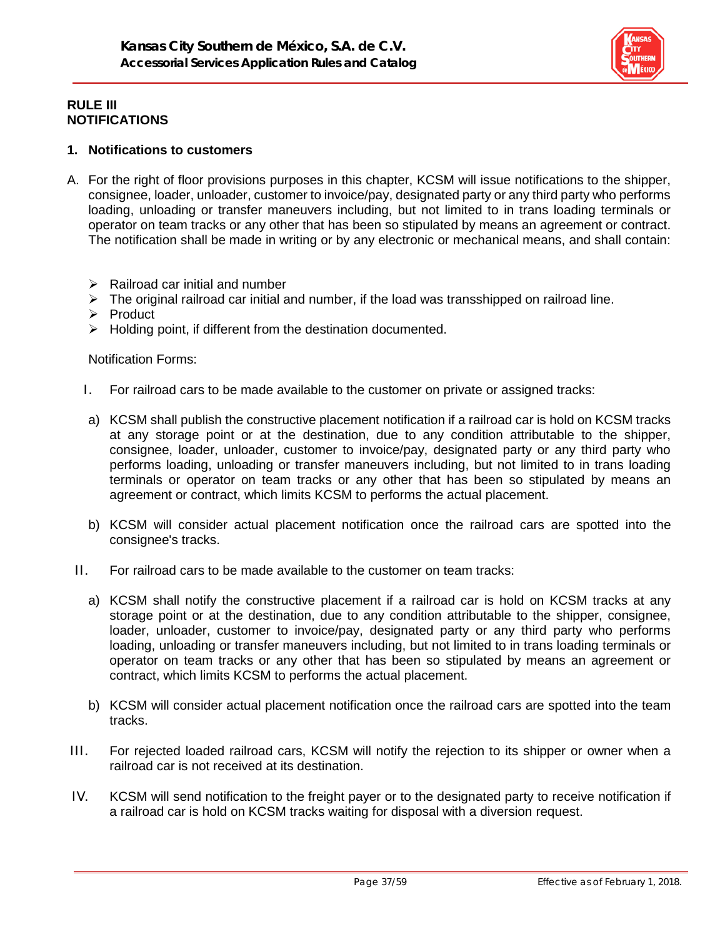

### **RULE III NOTIFICATIONS**

#### **1. Notifications to customers**

- A. For the right of floor provisions purposes in this chapter, KCSM will issue notifications to the shipper, consignee, loader, unloader, customer to invoice/pay, designated party or any third party who performs loading, unloading or transfer maneuvers including, but not limited to in trans loading terminals or operator on team tracks or any other that has been so stipulated by means an agreement or contract. The notification shall be made in writing or by any electronic or mechanical means, and shall contain:
	- $\triangleright$  Railroad car initial and number
	- $\triangleright$  The original railroad car initial and number, if the load was transshipped on railroad line.
	- $\triangleright$  Product
	- $\triangleright$  Holding point, if different from the destination documented.

Notification Forms:

- I. For railroad cars to be made available to the customer on private or assigned tracks:
- a) KCSM shall publish the constructive placement notification if a railroad car is hold on KCSM tracks at any storage point or at the destination, due to any condition attributable to the shipper, consignee, loader, unloader, customer to invoice/pay, designated party or any third party who performs loading, unloading or transfer maneuvers including, but not limited to in trans loading terminals or operator on team tracks or any other that has been so stipulated by means an agreement or contract, which limits KCSM to performs the actual placement.
- b) KCSM will consider actual placement notification once the railroad cars are spotted into the consignee's tracks.
- II. For railroad cars to be made available to the customer on team tracks:
	- a) KCSM shall notify the constructive placement if a railroad car is hold on KCSM tracks at any storage point or at the destination, due to any condition attributable to the shipper, consignee, loader, unloader, customer to invoice/pay, designated party or any third party who performs loading, unloading or transfer maneuvers including, but not limited to in trans loading terminals or operator on team tracks or any other that has been so stipulated by means an agreement or contract, which limits KCSM to performs the actual placement.
	- b) KCSM will consider actual placement notification once the railroad cars are spotted into the team tracks.
- III. For rejected loaded railroad cars, KCSM will notify the rejection to its shipper or owner when a railroad car is not received at its destination.
- IV. KCSM will send notification to the freight payer or to the designated party to receive notification if a railroad car is hold on KCSM tracks waiting for disposal with a diversion request.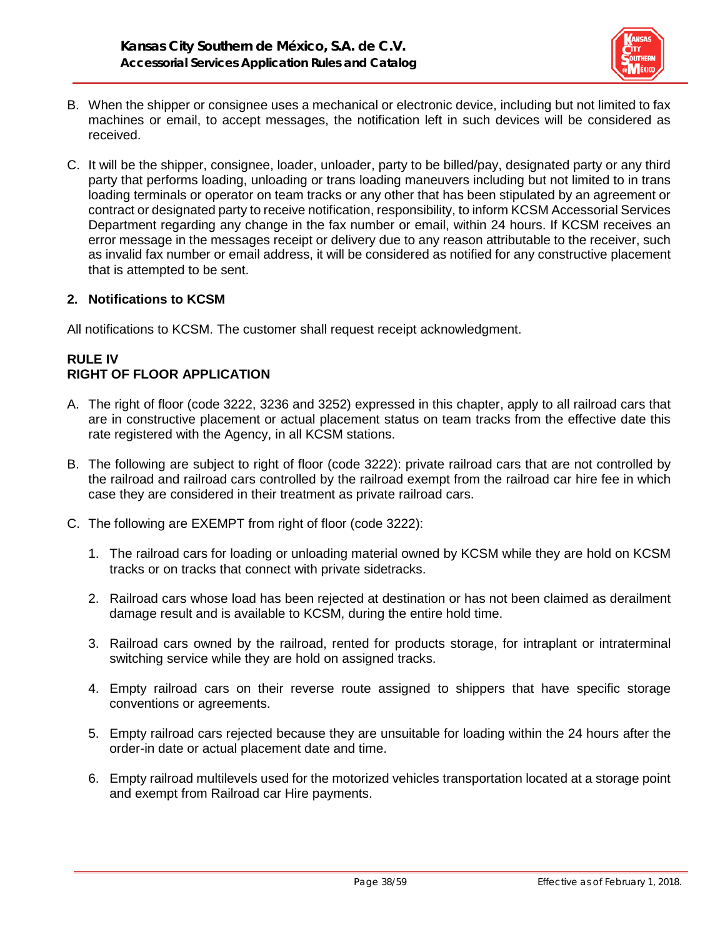

- B. When the shipper or consignee uses a mechanical or electronic device, including but not limited to fax machines or email, to accept messages, the notification left in such devices will be considered as received.
- C. It will be the shipper, consignee, loader, unloader, party to be billed/pay, designated party or any third party that performs loading, unloading or trans loading maneuvers including but not limited to in trans loading terminals or operator on team tracks or any other that has been stipulated by an agreement or contract or designated party to receive notification, responsibility, to inform KCSM Accessorial Services Department regarding any change in the fax number or email, within 24 hours. If KCSM receives an error message in the messages receipt or delivery due to any reason attributable to the receiver, such as invalid fax number or email address, it will be considered as notified for any constructive placement that is attempted to be sent.

### **2. Notifications to KCSM**

All notifications to KCSM. The customer shall request receipt acknowledgment.

# **RULE IV RIGHT OF FLOOR APPLICATION**

- A. The right of floor (code 3222, 3236 and 3252) expressed in this chapter, apply to all railroad cars that are in constructive placement or actual placement status on team tracks from the effective date this rate registered with the Agency, in all KCSM stations.
- B. The following are subject to right of floor (code 3222): private railroad cars that are not controlled by the railroad and railroad cars controlled by the railroad exempt from the railroad car hire fee in which case they are considered in their treatment as private railroad cars.
- C. The following are EXEMPT from right of floor (code 3222):
	- 1. The railroad cars for loading or unloading material owned by KCSM while they are hold on KCSM tracks or on tracks that connect with private sidetracks.
	- 2. Railroad cars whose load has been rejected at destination or has not been claimed as derailment damage result and is available to KCSM, during the entire hold time.
	- 3. Railroad cars owned by the railroad, rented for products storage, for intraplant or intraterminal switching service while they are hold on assigned tracks.
	- 4. Empty railroad cars on their reverse route assigned to shippers that have specific storage conventions or agreements.
	- 5. Empty railroad cars rejected because they are unsuitable for loading within the 24 hours after the order-in date or actual placement date and time.
	- 6. Empty railroad multilevels used for the motorized vehicles transportation located at a storage point and exempt from Railroad car Hire payments.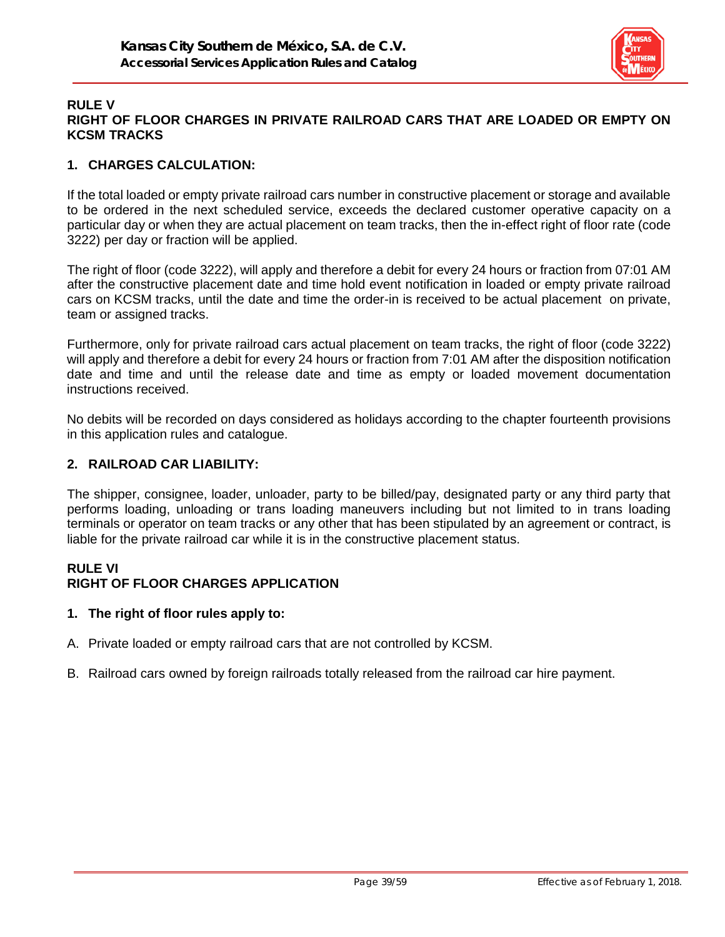

#### **RULE V RIGHT OF FLOOR CHARGES IN PRIVATE RAILROAD CARS THAT ARE LOADED OR EMPTY ON KCSM TRACKS**

## **1. CHARGES CALCULATION:**

If the total loaded or empty private railroad cars number in constructive placement or storage and available to be ordered in the next scheduled service, exceeds the declared customer operative capacity on a particular day or when they are actual placement on team tracks, then the in-effect right of floor rate (code 3222) per day or fraction will be applied.

The right of floor (code 3222), will apply and therefore a debit for every 24 hours or fraction from 07:01 AM after the constructive placement date and time hold event notification in loaded or empty private railroad cars on KCSM tracks, until the date and time the order-in is received to be actual placement on private, team or assigned tracks.

Furthermore, only for private railroad cars actual placement on team tracks, the right of floor (code 3222) will apply and therefore a debit for every 24 hours or fraction from 7:01 AM after the disposition notification date and time and until the release date and time as empty or loaded movement documentation instructions received.

No debits will be recorded on days considered as holidays according to the chapter fourteenth provisions in this application rules and catalogue.

### **2. RAILROAD CAR LIABILITY:**

The shipper, consignee, loader, unloader, party to be billed/pay, designated party or any third party that performs loading, unloading or trans loading maneuvers including but not limited to in trans loading terminals or operator on team tracks or any other that has been stipulated by an agreement or contract, is liable for the private railroad car while it is in the constructive placement status.

# **RULE VI**

# **RIGHT OF FLOOR CHARGES APPLICATION**

#### **1. The right of floor rules apply to:**

- A. Private loaded or empty railroad cars that are not controlled by KCSM.
- B. Railroad cars owned by foreign railroads totally released from the railroad car hire payment.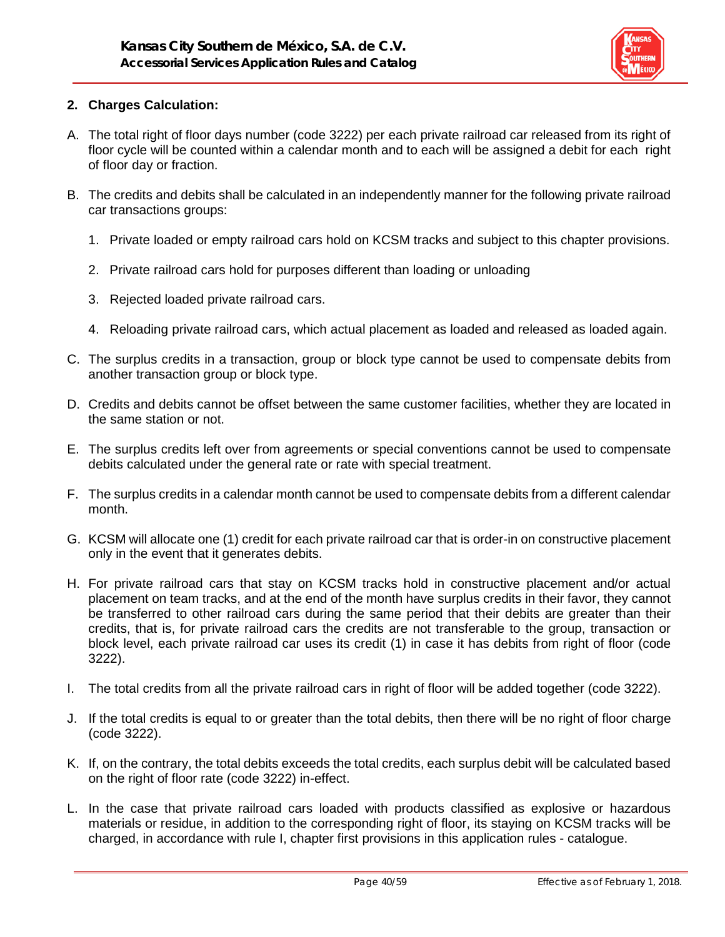

## **2. Charges Calculation:**

- A. The total right of floor days number (code 3222) per each private railroad car released from its right of floor cycle will be counted within a calendar month and to each will be assigned a debit for each right of floor day or fraction.
- B. The credits and debits shall be calculated in an independently manner for the following private railroad car transactions groups:
	- 1. Private loaded or empty railroad cars hold on KCSM tracks and subject to this chapter provisions.
	- 2. Private railroad cars hold for purposes different than loading or unloading
	- 3. Rejected loaded private railroad cars.
	- 4. Reloading private railroad cars, which actual placement as loaded and released as loaded again.
- C. The surplus credits in a transaction, group or block type cannot be used to compensate debits from another transaction group or block type.
- D. Credits and debits cannot be offset between the same customer facilities, whether they are located in the same station or not.
- E. The surplus credits left over from agreements or special conventions cannot be used to compensate debits calculated under the general rate or rate with special treatment.
- F. The surplus credits in a calendar month cannot be used to compensate debits from a different calendar month.
- G. KCSM will allocate one (1) credit for each private railroad car that is order-in on constructive placement only in the event that it generates debits.
- H. For private railroad cars that stay on KCSM tracks hold in constructive placement and/or actual placement on team tracks, and at the end of the month have surplus credits in their favor, they cannot be transferred to other railroad cars during the same period that their debits are greater than their credits, that is, for private railroad cars the credits are not transferable to the group, transaction or block level, each private railroad car uses its credit (1) in case it has debits from right of floor (code 3222).
- I. The total credits from all the private railroad cars in right of floor will be added together (code 3222).
- J. If the total credits is equal to or greater than the total debits, then there will be no right of floor charge (code 3222).
- K. If, on the contrary, the total debits exceeds the total credits, each surplus debit will be calculated based on the right of floor rate (code 3222) in-effect.
- L. In the case that private railroad cars loaded with products classified as explosive or hazardous materials or residue, in addition to the corresponding right of floor, its staying on KCSM tracks will be charged, in accordance with rule I, chapter first provisions in this application rules - catalogue.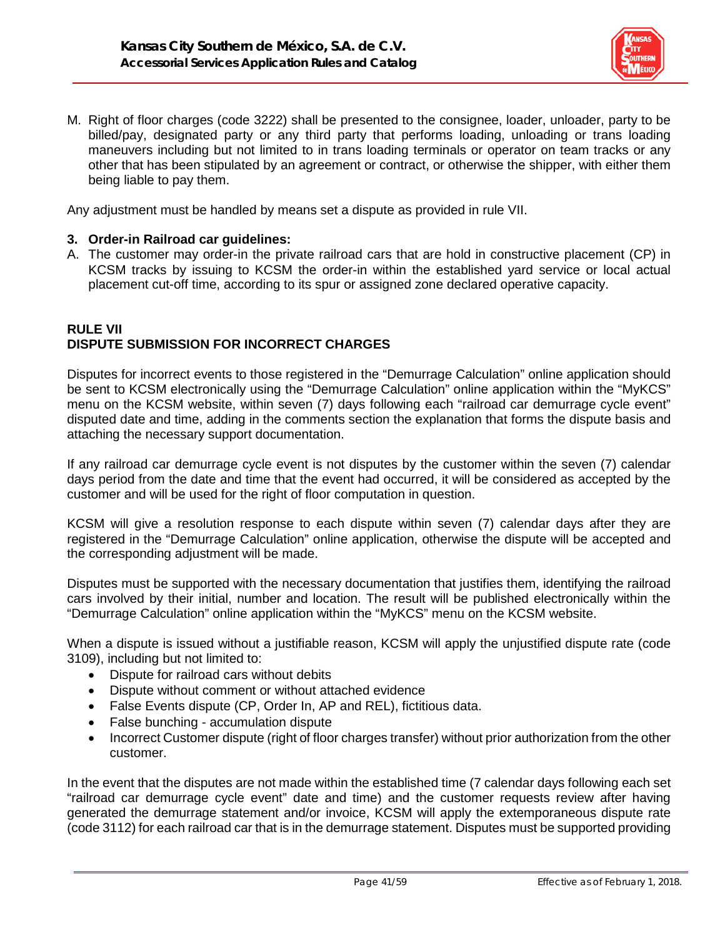

M. Right of floor charges (code 3222) shall be presented to the consignee, loader, unloader, party to be billed/pay, designated party or any third party that performs loading, unloading or trans loading maneuvers including but not limited to in trans loading terminals or operator on team tracks or any other that has been stipulated by an agreement or contract, or otherwise the shipper, with either them being liable to pay them.

Any adjustment must be handled by means set a dispute as provided in rule VII.

#### **3. Order-in Railroad car guidelines:**

A. The customer may order-in the private railroad cars that are hold in constructive placement (CP) in KCSM tracks by issuing to KCSM the order-in within the established yard service or local actual placement cut-off time, according to its spur or assigned zone declared operative capacity.

## **RULE VII DISPUTE SUBMISSION FOR INCORRECT CHARGES**

Disputes for incorrect events to those registered in the "Demurrage Calculation" online application should be sent to KCSM electronically using the "Demurrage Calculation" online application within the "MyKCS" menu on the KCSM website, within seven (7) days following each "railroad car demurrage cycle event" disputed date and time, adding in the comments section the explanation that forms the dispute basis and attaching the necessary support documentation.

If any railroad car demurrage cycle event is not disputes by the customer within the seven (7) calendar days period from the date and time that the event had occurred, it will be considered as accepted by the customer and will be used for the right of floor computation in question.

KCSM will give a resolution response to each dispute within seven (7) calendar days after they are registered in the "Demurrage Calculation" online application, otherwise the dispute will be accepted and the corresponding adjustment will be made.

Disputes must be supported with the necessary documentation that justifies them, identifying the railroad cars involved by their initial, number and location. The result will be published electronically within the "Demurrage Calculation" online application within the "MyKCS" menu on the KCSM website.

When a dispute is issued without a justifiable reason, KCSM will apply the unjustified dispute rate (code 3109), including but not limited to:

- Dispute for railroad cars without debits
- Dispute without comment or without attached evidence
- False Events dispute (CP, Order In, AP and REL), fictitious data.
- False bunching accumulation dispute
- Incorrect Customer dispute (right of floor charges transfer) without prior authorization from the other customer.

In the event that the disputes are not made within the established time (7 calendar days following each set "railroad car demurrage cycle event" date and time) and the customer requests review after having generated the demurrage statement and/or invoice, KCSM will apply the extemporaneous dispute rate (code 3112) for each railroad car that is in the demurrage statement. Disputes must be supported providing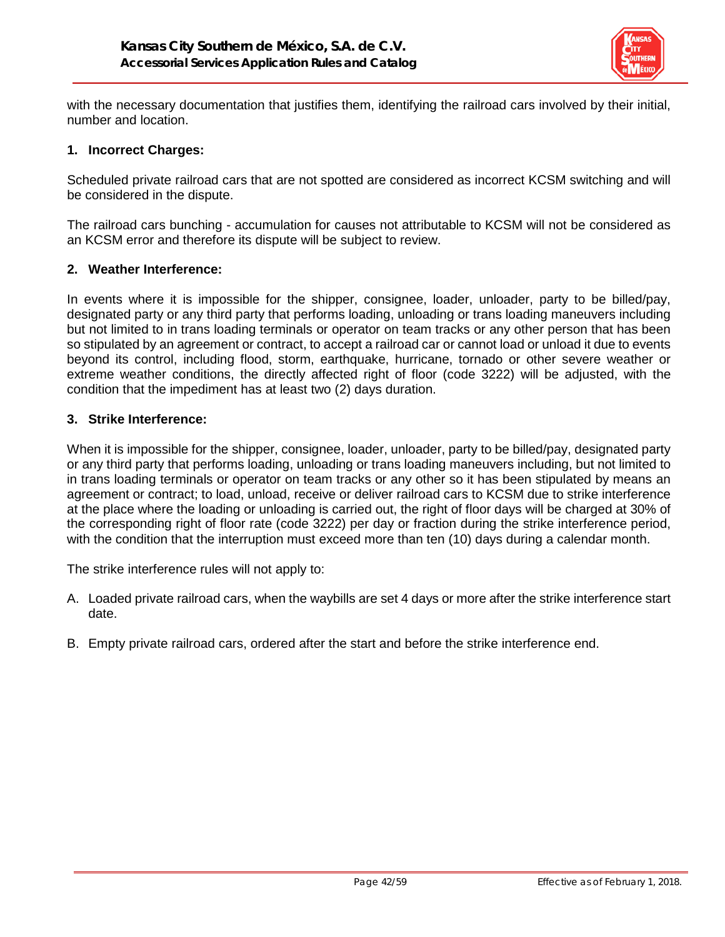

with the necessary documentation that justifies them, identifying the railroad cars involved by their initial, number and location.

#### **1. Incorrect Charges:**

Scheduled private railroad cars that are not spotted are considered as incorrect KCSM switching and will be considered in the dispute.

The railroad cars bunching - accumulation for causes not attributable to KCSM will not be considered as an KCSM error and therefore its dispute will be subject to review.

#### **2. Weather Interference:**

In events where it is impossible for the shipper, consignee, loader, unloader, party to be billed/pay, designated party or any third party that performs loading, unloading or trans loading maneuvers including but not limited to in trans loading terminals or operator on team tracks or any other person that has been so stipulated by an agreement or contract, to accept a railroad car or cannot load or unload it due to events beyond its control, including flood, storm, earthquake, hurricane, tornado or other severe weather or extreme weather conditions, the directly affected right of floor (code 3222) will be adjusted, with the condition that the impediment has at least two (2) days duration.

#### **3. Strike Interference:**

When it is impossible for the shipper, consignee, loader, unloader, party to be billed/pay, designated party or any third party that performs loading, unloading or trans loading maneuvers including, but not limited to in trans loading terminals or operator on team tracks or any other so it has been stipulated by means an agreement or contract; to load, unload, receive or deliver railroad cars to KCSM due to strike interference at the place where the loading or unloading is carried out, the right of floor days will be charged at 30% of the corresponding right of floor rate (code 3222) per day or fraction during the strike interference period, with the condition that the interruption must exceed more than ten (10) days during a calendar month.

The strike interference rules will not apply to:

- A. Loaded private railroad cars, when the waybills are set 4 days or more after the strike interference start date.
- B. Empty private railroad cars, ordered after the start and before the strike interference end.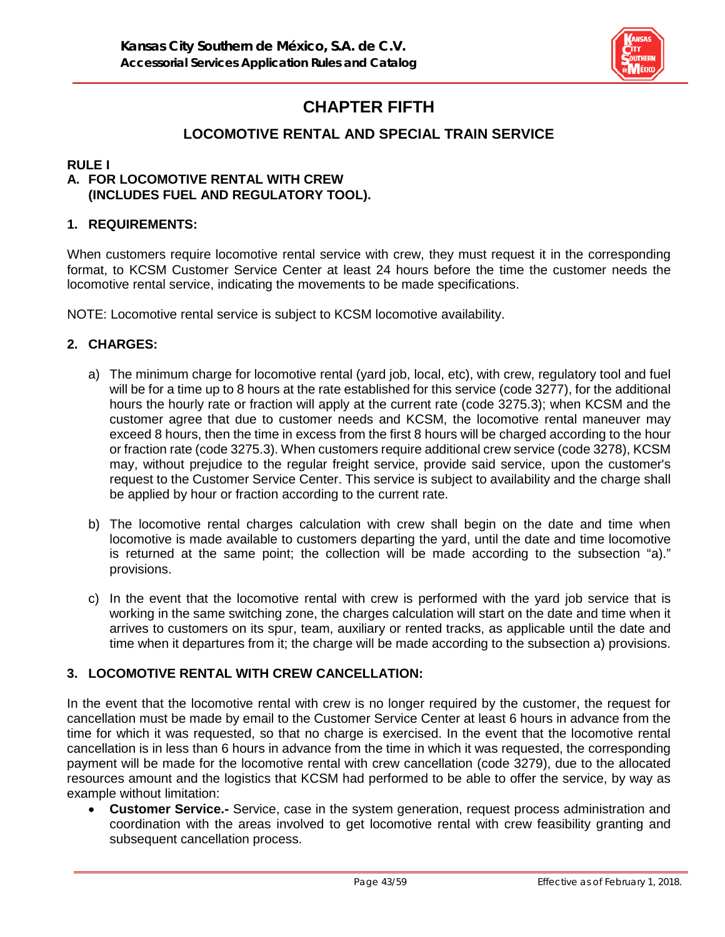

# **CHAPTER FIFTH**

# **LOCOMOTIVE RENTAL AND SPECIAL TRAIN SERVICE**

### **RULE I**

# **A. FOR LOCOMOTIVE RENTAL WITH CREW (INCLUDES FUEL AND REGULATORY TOOL).**

## **1. REQUIREMENTS:**

When customers require locomotive rental service with crew, they must request it in the corresponding format, to KCSM Customer Service Center at least 24 hours before the time the customer needs the locomotive rental service, indicating the movements to be made specifications.

NOTE: Locomotive rental service is subject to KCSM locomotive availability.

#### **2. CHARGES:**

- a) The minimum charge for locomotive rental (yard job, local, etc), with crew, regulatory tool and fuel will be for a time up to 8 hours at the rate established for this service (code 3277), for the additional hours the hourly rate or fraction will apply at the current rate (code 3275.3); when KCSM and the customer agree that due to customer needs and KCSM, the locomotive rental maneuver may exceed 8 hours, then the time in excess from the first 8 hours will be charged according to the hour or fraction rate (code 3275.3). When customers require additional crew service (code 3278), KCSM may, without prejudice to the regular freight service, provide said service, upon the customer's request to the Customer Service Center. This service is subject to availability and the charge shall be applied by hour or fraction according to the current rate.
- b) The locomotive rental charges calculation with crew shall begin on the date and time when locomotive is made available to customers departing the yard, until the date and time locomotive is returned at the same point; the collection will be made according to the subsection "a)." provisions.
- c) In the event that the locomotive rental with crew is performed with the yard job service that is working in the same switching zone, the charges calculation will start on the date and time when it arrives to customers on its spur, team, auxiliary or rented tracks, as applicable until the date and time when it departures from it; the charge will be made according to the subsection a) provisions.

# **3. LOCOMOTIVE RENTAL WITH CREW CANCELLATION:**

In the event that the locomotive rental with crew is no longer required by the customer, the request for cancellation must be made by email to the Customer Service Center at least 6 hours in advance from the time for which it was requested, so that no charge is exercised. In the event that the locomotive rental cancellation is in less than 6 hours in advance from the time in which it was requested, the corresponding payment will be made for the locomotive rental with crew cancellation (code 3279), due to the allocated resources amount and the logistics that KCSM had performed to be able to offer the service, by way as example without limitation:

• **Customer Service.-** Service, case in the system generation, request process administration and coordination with the areas involved to get locomotive rental with crew feasibility granting and subsequent cancellation process.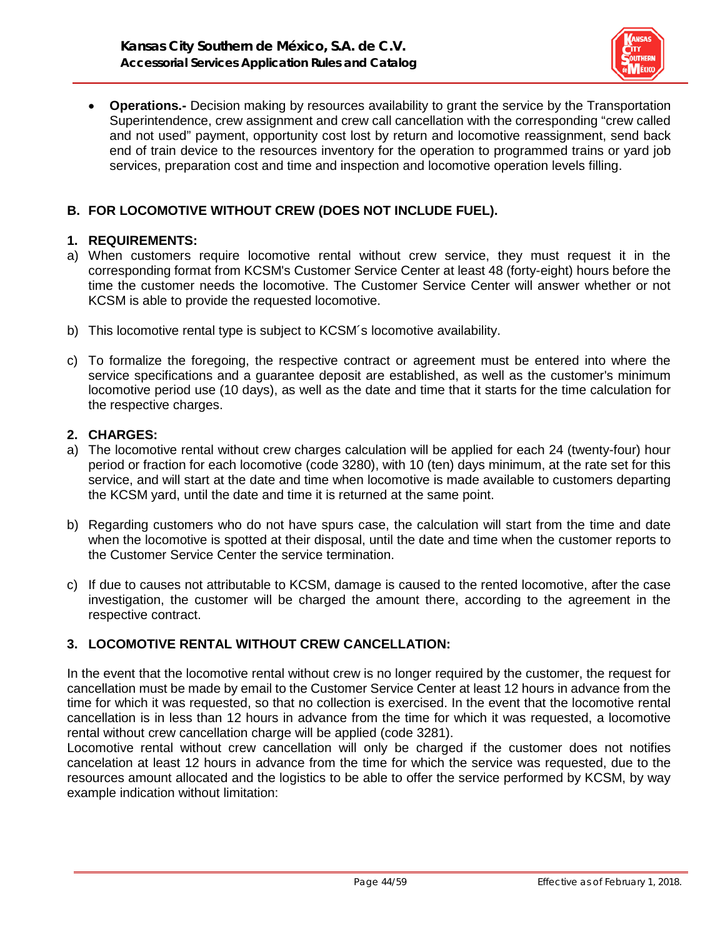

• **Operations.-** Decision making by resources availability to grant the service by the Transportation Superintendence, crew assignment and crew call cancellation with the corresponding "crew called and not used" payment, opportunity cost lost by return and locomotive reassignment, send back end of train device to the resources inventory for the operation to programmed trains or yard job services, preparation cost and time and inspection and locomotive operation levels filling.

# **B. FOR LOCOMOTIVE WITHOUT CREW (DOES NOT INCLUDE FUEL).**

#### **1. REQUIREMENTS:**

- a) When customers require locomotive rental without crew service, they must request it in the corresponding format from KCSM's Customer Service Center at least 48 (forty-eight) hours before the time the customer needs the locomotive. The Customer Service Center will answer whether or not KCSM is able to provide the requested locomotive.
- b) This locomotive rental type is subject to KCSM´s locomotive availability.
- c) To formalize the foregoing, the respective contract or agreement must be entered into where the service specifications and a guarantee deposit are established, as well as the customer's minimum locomotive period use (10 days), as well as the date and time that it starts for the time calculation for the respective charges.

### **2. CHARGES:**

- a) The locomotive rental without crew charges calculation will be applied for each 24 (twenty-four) hour period or fraction for each locomotive (code 3280), with 10 (ten) days minimum, at the rate set for this service, and will start at the date and time when locomotive is made available to customers departing the KCSM yard, until the date and time it is returned at the same point.
- b) Regarding customers who do not have spurs case, the calculation will start from the time and date when the locomotive is spotted at their disposal, until the date and time when the customer reports to the Customer Service Center the service termination.
- c) If due to causes not attributable to KCSM, damage is caused to the rented locomotive, after the case investigation, the customer will be charged the amount there, according to the agreement in the respective contract.

# **3. LOCOMOTIVE RENTAL WITHOUT CREW CANCELLATION:**

In the event that the locomotive rental without crew is no longer required by the customer, the request for cancellation must be made by email to the Customer Service Center at least 12 hours in advance from the time for which it was requested, so that no collection is exercised. In the event that the locomotive rental cancellation is in less than 12 hours in advance from the time for which it was requested, a locomotive rental without crew cancellation charge will be applied (code 3281).

Locomotive rental without crew cancellation will only be charged if the customer does not notifies cancelation at least 12 hours in advance from the time for which the service was requested, due to the resources amount allocated and the logistics to be able to offer the service performed by KCSM, by way example indication without limitation: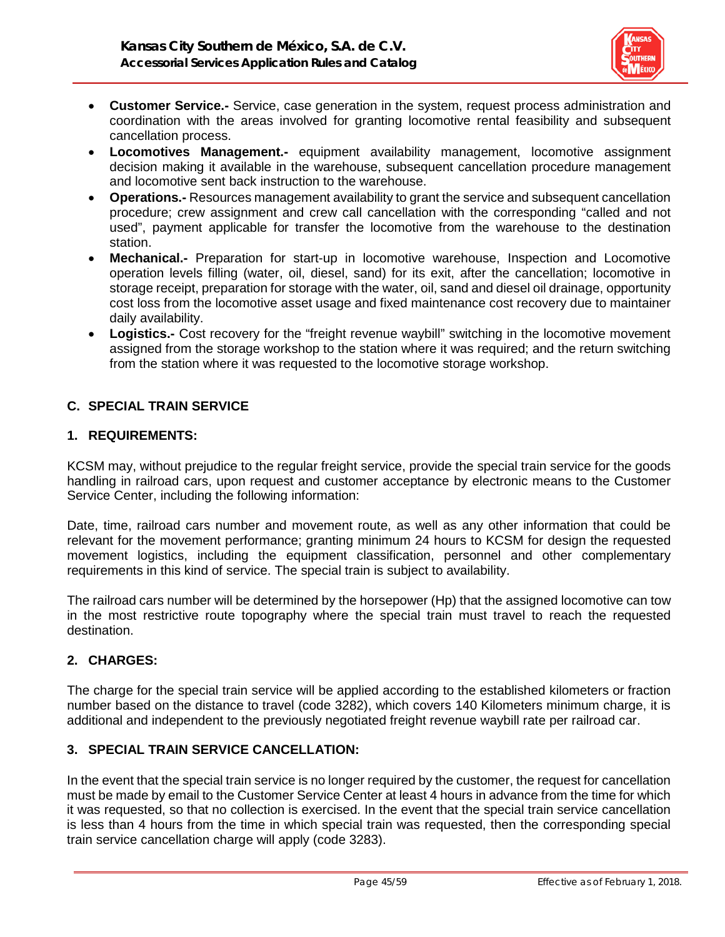

- **Customer Service.-** Service, case generation in the system, request process administration and coordination with the areas involved for granting locomotive rental feasibility and subsequent cancellation process.
- **Locomotives Management.-** equipment availability management, locomotive assignment decision making it available in the warehouse, subsequent cancellation procedure management and locomotive sent back instruction to the warehouse.
- **Operations.-** Resources management availability to grant the service and subsequent cancellation procedure; crew assignment and crew call cancellation with the corresponding "called and not used", payment applicable for transfer the locomotive from the warehouse to the destination station.
- **Mechanical.-** Preparation for start-up in locomotive warehouse, Inspection and Locomotive operation levels filling (water, oil, diesel, sand) for its exit, after the cancellation; locomotive in storage receipt, preparation for storage with the water, oil, sand and diesel oil drainage, opportunity cost loss from the locomotive asset usage and fixed maintenance cost recovery due to maintainer daily availability.
- **Logistics.-** Cost recovery for the "freight revenue waybill" switching in the locomotive movement assigned from the storage workshop to the station where it was required; and the return switching from the station where it was requested to the locomotive storage workshop.

# **C. SPECIAL TRAIN SERVICE**

### **1. REQUIREMENTS:**

KCSM may, without prejudice to the regular freight service, provide the special train service for the goods handling in railroad cars, upon request and customer acceptance by electronic means to the Customer Service Center, including the following information:

Date, time, railroad cars number and movement route, as well as any other information that could be relevant for the movement performance; granting minimum 24 hours to KCSM for design the requested movement logistics, including the equipment classification, personnel and other complementary requirements in this kind of service. The special train is subject to availability.

The railroad cars number will be determined by the horsepower (Hp) that the assigned locomotive can tow in the most restrictive route topography where the special train must travel to reach the requested destination.

# **2. CHARGES:**

The charge for the special train service will be applied according to the established kilometers or fraction number based on the distance to travel (code 3282), which covers 140 Kilometers minimum charge, it is additional and independent to the previously negotiated freight revenue waybill rate per railroad car.

# **3. SPECIAL TRAIN SERVICE CANCELLATION:**

In the event that the special train service is no longer required by the customer, the request for cancellation must be made by email to the Customer Service Center at least 4 hours in advance from the time for which it was requested, so that no collection is exercised. In the event that the special train service cancellation is less than 4 hours from the time in which special train was requested, then the corresponding special train service cancellation charge will apply (code 3283).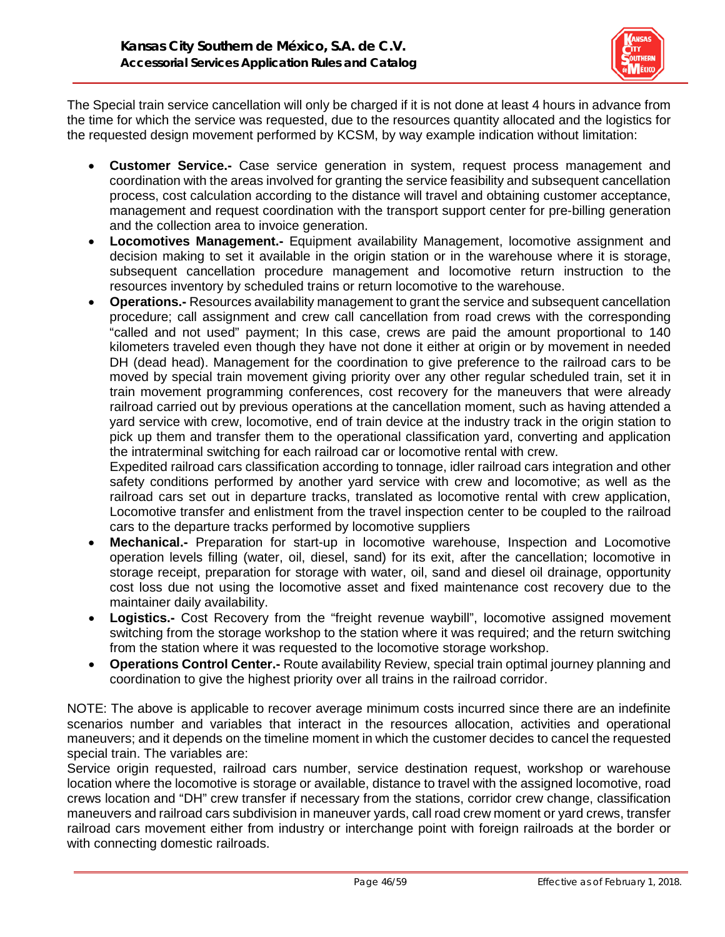

The Special train service cancellation will only be charged if it is not done at least 4 hours in advance from the time for which the service was requested, due to the resources quantity allocated and the logistics for the requested design movement performed by KCSM, by way example indication without limitation:

- **Customer Service.-** Case service generation in system, request process management and coordination with the areas involved for granting the service feasibility and subsequent cancellation process, cost calculation according to the distance will travel and obtaining customer acceptance, management and request coordination with the transport support center for pre-billing generation and the collection area to invoice generation.
- **Locomotives Management.-** Equipment availability Management, locomotive assignment and decision making to set it available in the origin station or in the warehouse where it is storage, subsequent cancellation procedure management and locomotive return instruction to the resources inventory by scheduled trains or return locomotive to the warehouse.
- **Operations.-** Resources availability management to grant the service and subsequent cancellation procedure; call assignment and crew call cancellation from road crews with the corresponding "called and not used" payment; In this case, crews are paid the amount proportional to 140 kilometers traveled even though they have not done it either at origin or by movement in needed DH (dead head). Management for the coordination to give preference to the railroad cars to be moved by special train movement giving priority over any other regular scheduled train, set it in train movement programming conferences, cost recovery for the maneuvers that were already railroad carried out by previous operations at the cancellation moment, such as having attended a yard service with crew, locomotive, end of train device at the industry track in the origin station to pick up them and transfer them to the operational classification yard, converting and application the intraterminal switching for each railroad car or locomotive rental with crew.

Expedited railroad cars classification according to tonnage, idler railroad cars integration and other safety conditions performed by another yard service with crew and locomotive; as well as the railroad cars set out in departure tracks, translated as locomotive rental with crew application, Locomotive transfer and enlistment from the travel inspection center to be coupled to the railroad cars to the departure tracks performed by locomotive suppliers

- **Mechanical.-** Preparation for start-up in locomotive warehouse, Inspection and Locomotive operation levels filling (water, oil, diesel, sand) for its exit, after the cancellation; locomotive in storage receipt, preparation for storage with water, oil, sand and diesel oil drainage, opportunity cost loss due not using the locomotive asset and fixed maintenance cost recovery due to the maintainer daily availability.
- Logistics.- Cost Recovery from the "freight revenue waybill", locomotive assigned movement switching from the storage workshop to the station where it was required; and the return switching from the station where it was requested to the locomotive storage workshop.
- **Operations Control Center.-** Route availability Review, special train optimal journey planning and coordination to give the highest priority over all trains in the railroad corridor.

NOTE: The above is applicable to recover average minimum costs incurred since there are an indefinite scenarios number and variables that interact in the resources allocation, activities and operational maneuvers; and it depends on the timeline moment in which the customer decides to cancel the requested special train. The variables are:

Service origin requested, railroad cars number, service destination request, workshop or warehouse location where the locomotive is storage or available, distance to travel with the assigned locomotive, road crews location and "DH" crew transfer if necessary from the stations, corridor crew change, classification maneuvers and railroad cars subdivision in maneuver yards, call road crew moment or yard crews, transfer railroad cars movement either from industry or interchange point with foreign railroads at the border or with connecting domestic railroads.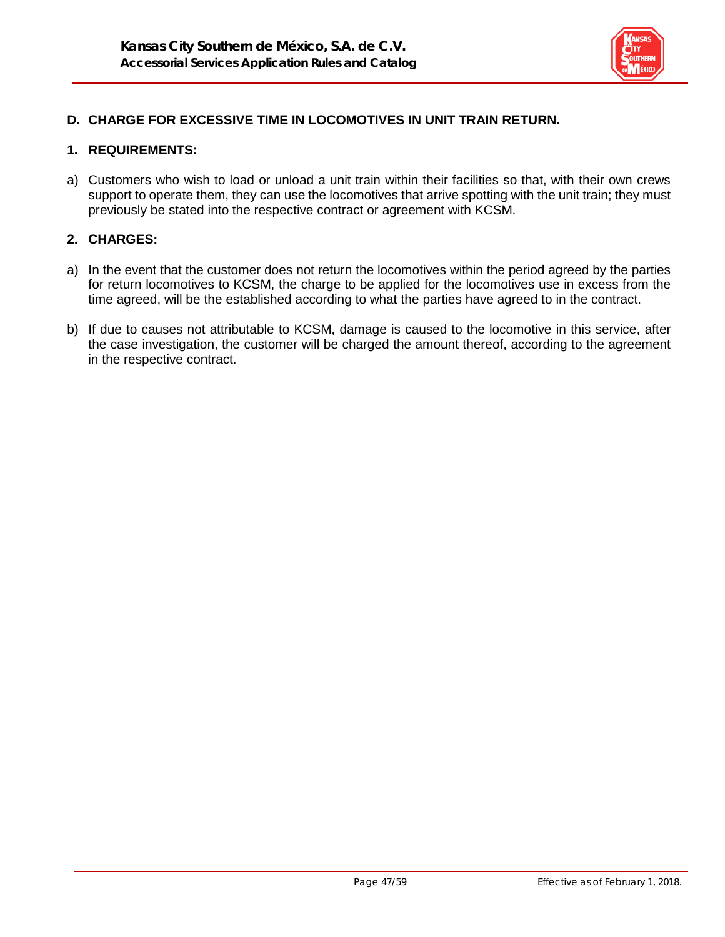

# **D. CHARGE FOR EXCESSIVE TIME IN LOCOMOTIVES IN UNIT TRAIN RETURN.**

#### **1. REQUIREMENTS:**

a) Customers who wish to load or unload a unit train within their facilities so that, with their own crews support to operate them, they can use the locomotives that arrive spotting with the unit train; they must previously be stated into the respective contract or agreement with KCSM.

#### **2. CHARGES:**

- a) In the event that the customer does not return the locomotives within the period agreed by the parties for return locomotives to KCSM, the charge to be applied for the locomotives use in excess from the time agreed, will be the established according to what the parties have agreed to in the contract.
- b) If due to causes not attributable to KCSM, damage is caused to the locomotive in this service, after the case investigation, the customer will be charged the amount thereof, according to the agreement in the respective contract.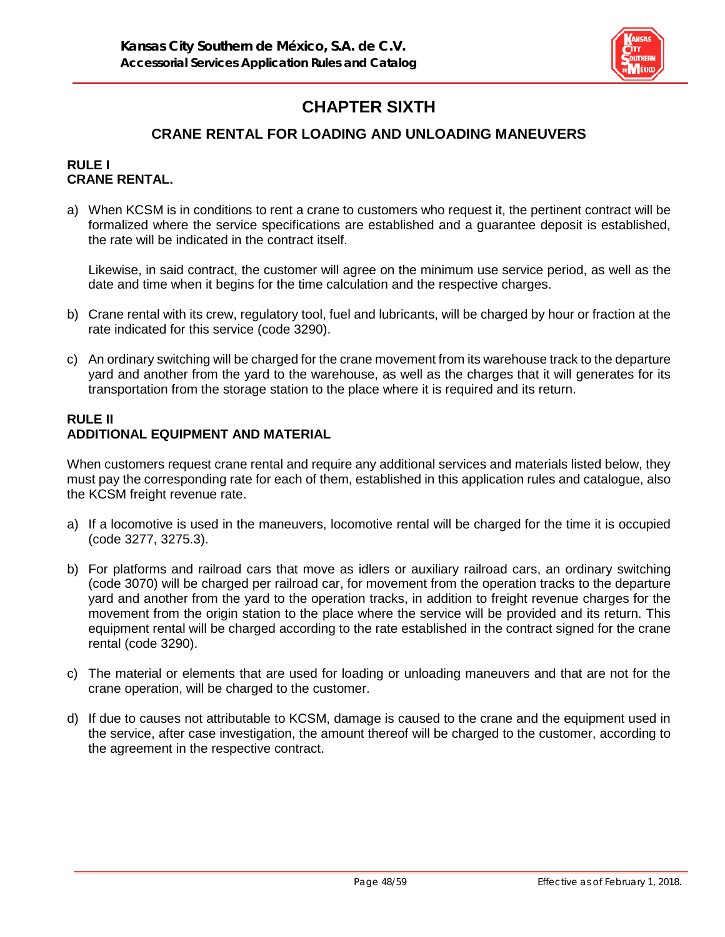

# **CHAPTER SIXTH**

# **CRANE RENTAL FOR LOADING AND UNLOADING MANEUVERS**

#### **RULE I CRANE RENTAL.**

a) When KCSM is in conditions to rent a crane to customers who request it, the pertinent contract will be formalized where the service specifications are established and a guarantee deposit is established, the rate will be indicated in the contract itself.

Likewise, in said contract, the customer will agree on the minimum use service period, as well as the date and time when it begins for the time calculation and the respective charges.

- b) Crane rental with its crew, regulatory tool, fuel and lubricants, will be charged by hour or fraction at the rate indicated for this service (code 3290).
- c) An ordinary switching will be charged for the crane movement from its warehouse track to the departure yard and another from the yard to the warehouse, as well as the charges that it will generates for its transportation from the storage station to the place where it is required and its return.

#### **RULE II ADDITIONAL EQUIPMENT AND MATERIAL**

When customers request crane rental and require any additional services and materials listed below, they must pay the corresponding rate for each of them, established in this application rules and catalogue, also the KCSM freight revenue rate.

- a) If a locomotive is used in the maneuvers, locomotive rental will be charged for the time it is occupied (code 3277, 3275.3).
- b) For platforms and railroad cars that move as idlers or auxiliary railroad cars, an ordinary switching (code 3070) will be charged per railroad car, for movement from the operation tracks to the departure yard and another from the yard to the operation tracks, in addition to freight revenue charges for the movement from the origin station to the place where the service will be provided and its return. This equipment rental will be charged according to the rate established in the contract signed for the crane rental (code 3290).
- c) The material or elements that are used for loading or unloading maneuvers and that are not for the crane operation, will be charged to the customer.
- d) If due to causes not attributable to KCSM, damage is caused to the crane and the equipment used in the service, after case investigation, the amount thereof will be charged to the customer, according to the agreement in the respective contract.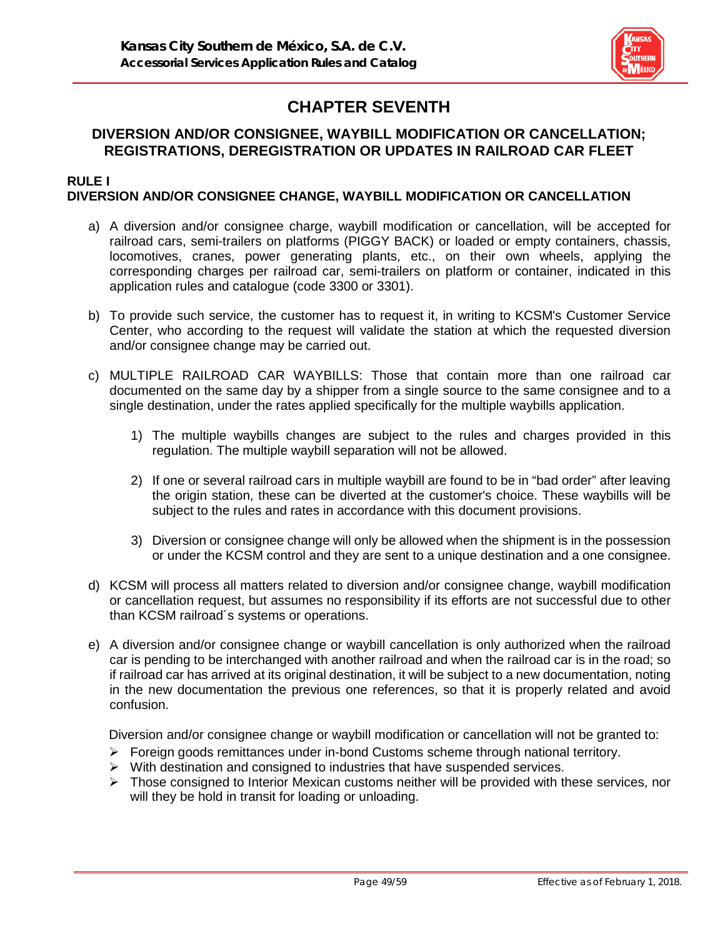

# **CHAPTER SEVENTH**

# **DIVERSION AND/OR CONSIGNEE, WAYBILL MODIFICATION OR CANCELLATION; REGISTRATIONS, DEREGISTRATION OR UPDATES IN RAILROAD CAR FLEET**

#### **RULE I DIVERSION AND/OR CONSIGNEE CHANGE, WAYBILL MODIFICATION OR CANCELLATION**

- a) A diversion and/or consignee charge, waybill modification or cancellation, will be accepted for railroad cars, semi-trailers on platforms (PIGGY BACK) or loaded or empty containers, chassis, locomotives, cranes, power generating plants, etc., on their own wheels, applying the corresponding charges per railroad car, semi-trailers on platform or container, indicated in this application rules and catalogue (code 3300 or 3301).
- b) To provide such service, the customer has to request it, in writing to KCSM's Customer Service Center, who according to the request will validate the station at which the requested diversion and/or consignee change may be carried out.
- c) MULTIPLE RAILROAD CAR WAYBILLS: Those that contain more than one railroad car documented on the same day by a shipper from a single source to the same consignee and to a single destination, under the rates applied specifically for the multiple waybills application.
	- 1) The multiple waybills changes are subject to the rules and charges provided in this regulation. The multiple waybill separation will not be allowed.
	- 2) If one or several railroad cars in multiple waybill are found to be in "bad order" after leaving the origin station, these can be diverted at the customer's choice. These waybills will be subject to the rules and rates in accordance with this document provisions.
	- 3) Diversion or consignee change will only be allowed when the shipment is in the possession or under the KCSM control and they are sent to a unique destination and a one consignee.
- d) KCSM will process all matters related to diversion and/or consignee change, waybill modification or cancellation request, but assumes no responsibility if its efforts are not successful due to other than KCSM railroad´s systems or operations.
- e) A diversion and/or consignee change or waybill cancellation is only authorized when the railroad car is pending to be interchanged with another railroad and when the railroad car is in the road; so if railroad car has arrived at its original destination, it will be subject to a new documentation, noting in the new documentation the previous one references, so that it is properly related and avoid confusion.

Diversion and/or consignee change or waybill modification or cancellation will not be granted to:

- $\triangleright$  Foreign goods remittances under in-bond Customs scheme through national territory.
- $\triangleright$  With destination and consigned to industries that have suspended services.
- $\triangleright$  Those consigned to Interior Mexican customs neither will be provided with these services, nor will they be hold in transit for loading or unloading.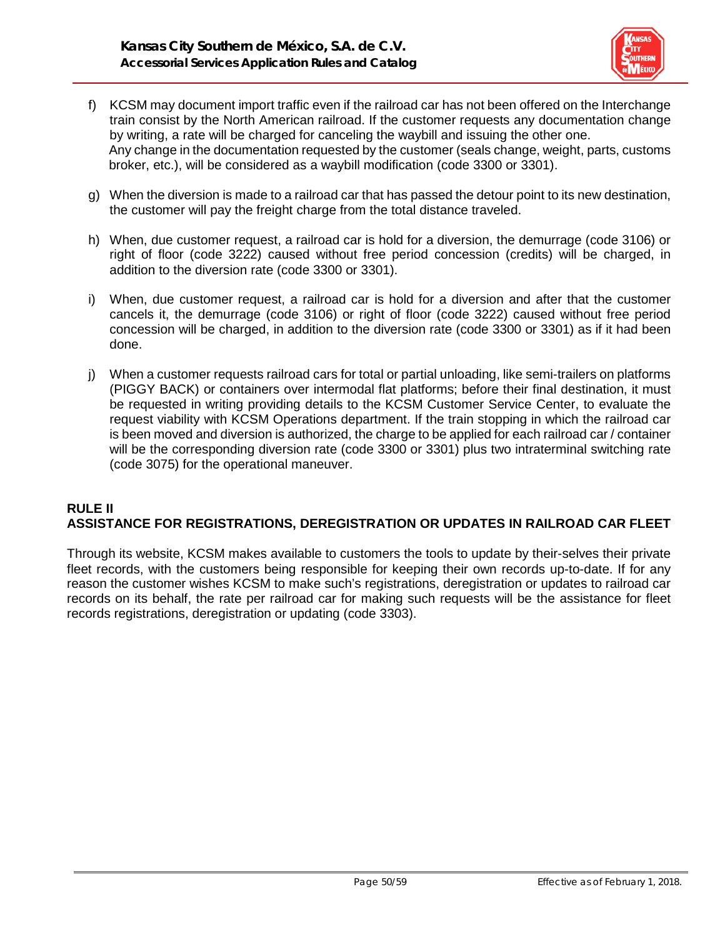

- f) KCSM may document import traffic even if the railroad car has not been offered on the Interchange train consist by the North American railroad. If the customer requests any documentation change by writing, a rate will be charged for canceling the waybill and issuing the other one. Any change in the documentation requested by the customer (seals change, weight, parts, customs broker, etc.), will be considered as a waybill modification (code 3300 or 3301).
- g) When the diversion is made to a railroad car that has passed the detour point to its new destination, the customer will pay the freight charge from the total distance traveled.
- h) When, due customer request, a railroad car is hold for a diversion, the demurrage (code 3106) or right of floor (code 3222) caused without free period concession (credits) will be charged, in addition to the diversion rate (code 3300 or 3301).
- i) When, due customer request, a railroad car is hold for a diversion and after that the customer cancels it, the demurrage (code 3106) or right of floor (code 3222) caused without free period concession will be charged, in addition to the diversion rate (code 3300 or 3301) as if it had been done.
- j) When a customer requests railroad cars for total or partial unloading, like semi-trailers on platforms (PIGGY BACK) or containers over intermodal flat platforms; before their final destination, it must be requested in writing providing details to the KCSM Customer Service Center, to evaluate the request viability with KCSM Operations department. If the train stopping in which the railroad car is been moved and diversion is authorized, the charge to be applied for each railroad car / container will be the corresponding diversion rate (code 3300 or 3301) plus two intraterminal switching rate (code 3075) for the operational maneuver.

### **RULE II ASSISTANCE FOR REGISTRATIONS, DEREGISTRATION OR UPDATES IN RAILROAD CAR FLEET**

Through its website, KCSM makes available to customers the tools to update by their-selves their private fleet records, with the customers being responsible for keeping their own records up-to-date. If for any reason the customer wishes KCSM to make such's registrations, deregistration or updates to railroad car records on its behalf, the rate per railroad car for making such requests will be the assistance for fleet records registrations, deregistration or updating (code 3303).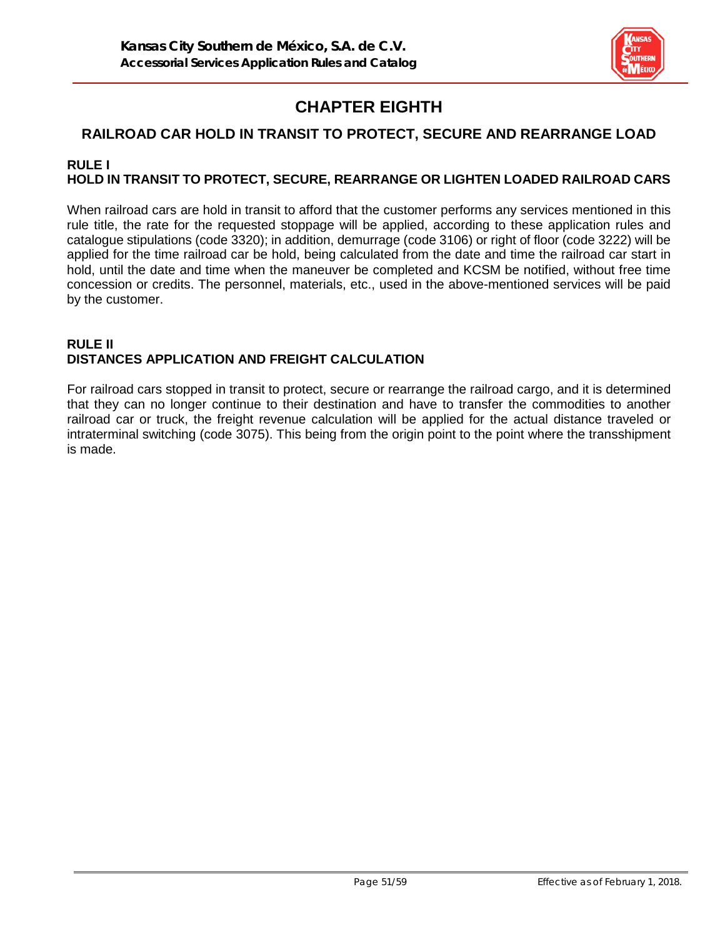

# **CHAPTER EIGHTH**

# **RAILROAD CAR HOLD IN TRANSIT TO PROTECT, SECURE AND REARRANGE LOAD**

#### **RULE I HOLD IN TRANSIT TO PROTECT, SECURE, REARRANGE OR LIGHTEN LOADED RAILROAD CARS**

When railroad cars are hold in transit to afford that the customer performs any services mentioned in this rule title, the rate for the requested stoppage will be applied, according to these application rules and catalogue stipulations (code 3320); in addition, demurrage (code 3106) or right of floor (code 3222) will be applied for the time railroad car be hold, being calculated from the date and time the railroad car start in hold, until the date and time when the maneuver be completed and KCSM be notified, without free time concession or credits. The personnel, materials, etc., used in the above-mentioned services will be paid by the customer.

### **RULE II DISTANCES APPLICATION AND FREIGHT CALCULATION**

For railroad cars stopped in transit to protect, secure or rearrange the railroad cargo, and it is determined that they can no longer continue to their destination and have to transfer the commodities to another railroad car or truck, the freight revenue calculation will be applied for the actual distance traveled or intraterminal switching (code 3075). This being from the origin point to the point where the transshipment is made.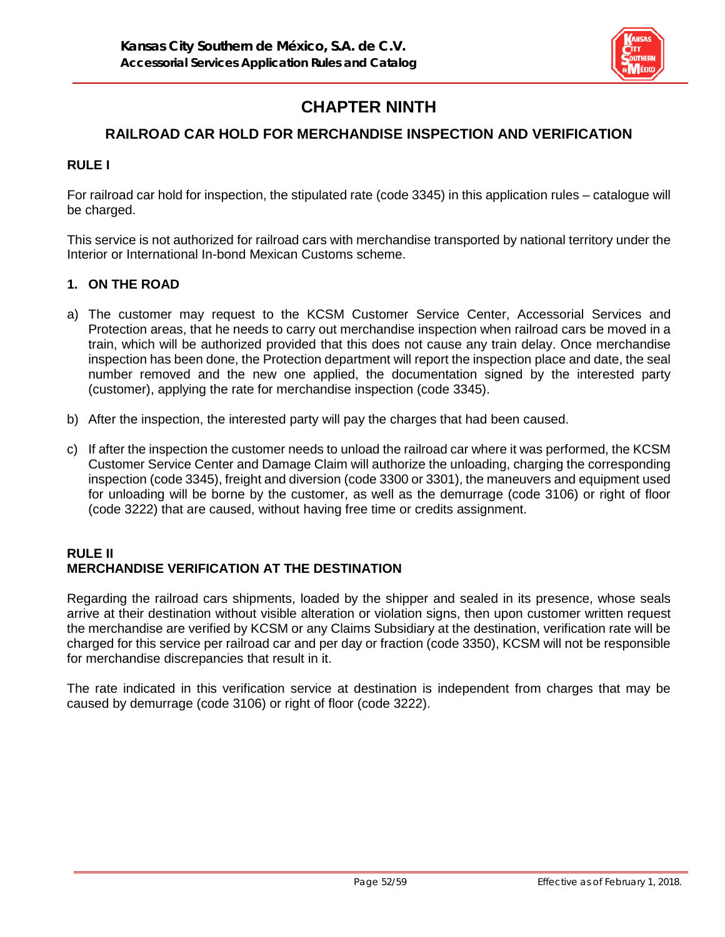

# **CHAPTER NINTH**

# **RAILROAD CAR HOLD FOR MERCHANDISE INSPECTION AND VERIFICATION**

### **RULE I**

For railroad car hold for inspection, the stipulated rate (code 3345) in this application rules – catalogue will be charged.

This service is not authorized for railroad cars with merchandise transported by national territory under the Interior or International In-bond Mexican Customs scheme.

### **1. ON THE ROAD**

- a) The customer may request to the KCSM Customer Service Center, Accessorial Services and Protection areas, that he needs to carry out merchandise inspection when railroad cars be moved in a train, which will be authorized provided that this does not cause any train delay. Once merchandise inspection has been done, the Protection department will report the inspection place and date, the seal number removed and the new one applied, the documentation signed by the interested party (customer), applying the rate for merchandise inspection (code 3345).
- b) After the inspection, the interested party will pay the charges that had been caused.
- c) If after the inspection the customer needs to unload the railroad car where it was performed, the KCSM Customer Service Center and Damage Claim will authorize the unloading, charging the corresponding inspection (code 3345), freight and diversion (code 3300 or 3301), the maneuvers and equipment used for unloading will be borne by the customer, as well as the demurrage (code 3106) or right of floor (code 3222) that are caused, without having free time or credits assignment.

#### **RULE II MERCHANDISE VERIFICATION AT THE DESTINATION**

Regarding the railroad cars shipments, loaded by the shipper and sealed in its presence, whose seals arrive at their destination without visible alteration or violation signs, then upon customer written request the merchandise are verified by KCSM or any Claims Subsidiary at the destination, verification rate will be charged for this service per railroad car and per day or fraction (code 3350), KCSM will not be responsible for merchandise discrepancies that result in it.

The rate indicated in this verification service at destination is independent from charges that may be caused by demurrage (code 3106) or right of floor (code 3222).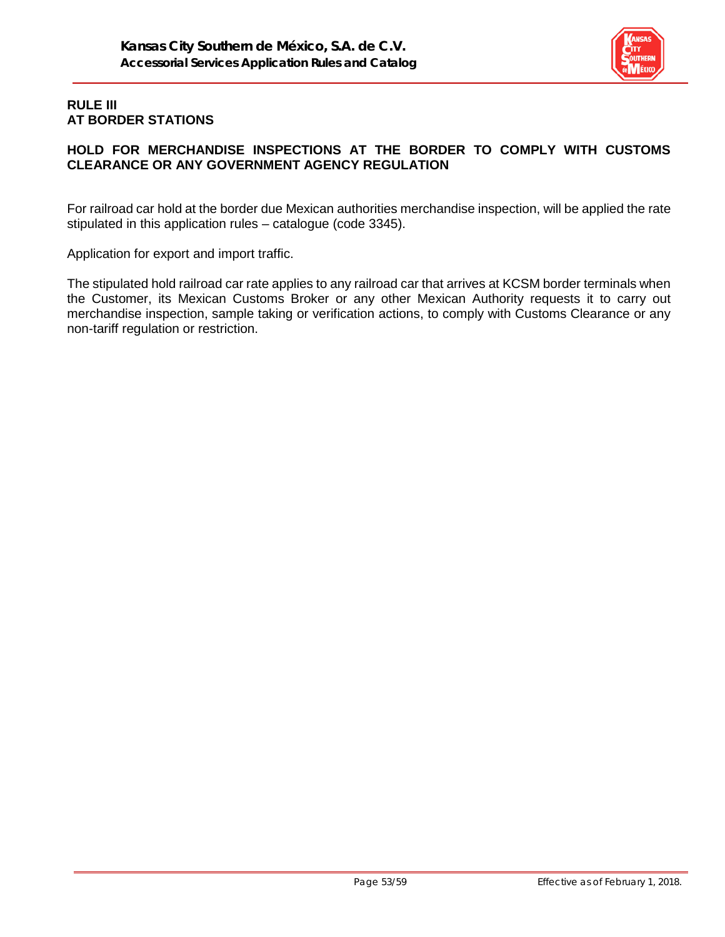

## **RULE III AT BORDER STATIONS**

# **HOLD FOR MERCHANDISE INSPECTIONS AT THE BORDER TO COMPLY WITH CUSTOMS CLEARANCE OR ANY GOVERNMENT AGENCY REGULATION**

For railroad car hold at the border due Mexican authorities merchandise inspection, will be applied the rate stipulated in this application rules – catalogue (code 3345).

Application for export and import traffic.

The stipulated hold railroad car rate applies to any railroad car that arrives at KCSM border terminals when the Customer, its Mexican Customs Broker or any other Mexican Authority requests it to carry out merchandise inspection, sample taking or verification actions, to comply with Customs Clearance or any non-tariff regulation or restriction.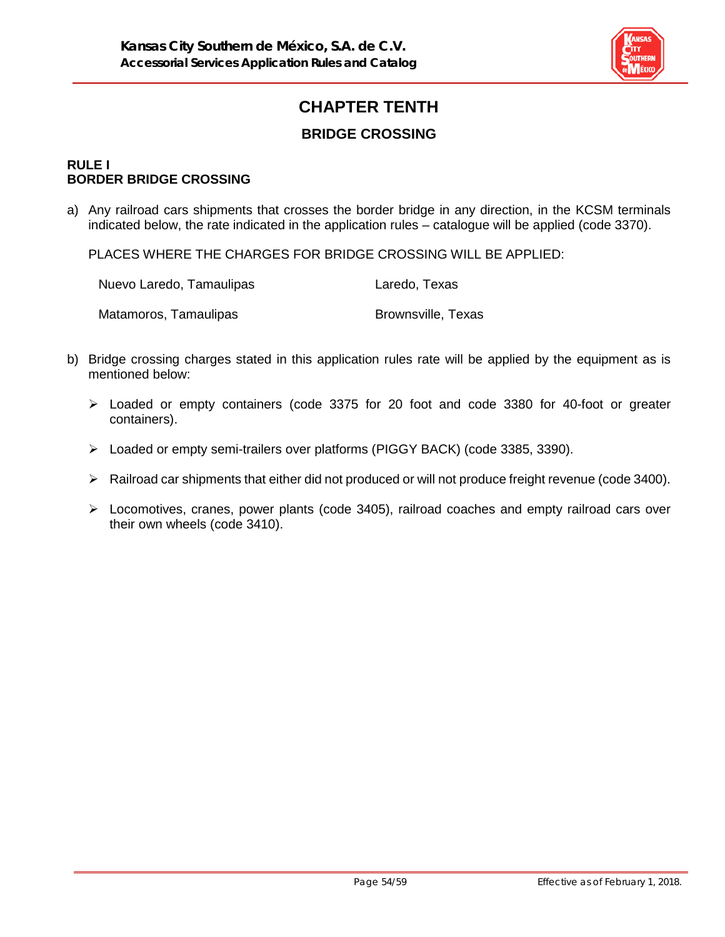

# **CHAPTER TENTH BRIDGE CROSSING**

#### **RULE I BORDER BRIDGE CROSSING**

a) Any railroad cars shipments that crosses the border bridge in any direction, in the KCSM terminals indicated below, the rate indicated in the application rules – catalogue will be applied (code 3370).

PLACES WHERE THE CHARGES FOR BRIDGE CROSSING WILL BE APPLIED:

| Nuevo Laredo, Tamaulipas | Laredo, Texas             |
|--------------------------|---------------------------|
| Matamoros, Tamaulipas    | <b>Brownsville, Texas</b> |

- b) Bridge crossing charges stated in this application rules rate will be applied by the equipment as is mentioned below:
	- $\triangleright$  Loaded or empty containers (code 3375 for 20 foot and code 3380 for 40-foot or greater containers).
	- Loaded or empty semi-trailers over platforms (PIGGY BACK) (code 3385, 3390).
	- Railroad car shipments that either did not produced or will not produce freight revenue (code 3400).
	- $\triangleright$  Locomotives, cranes, power plants (code 3405), railroad coaches and empty railroad cars over their own wheels (code 3410).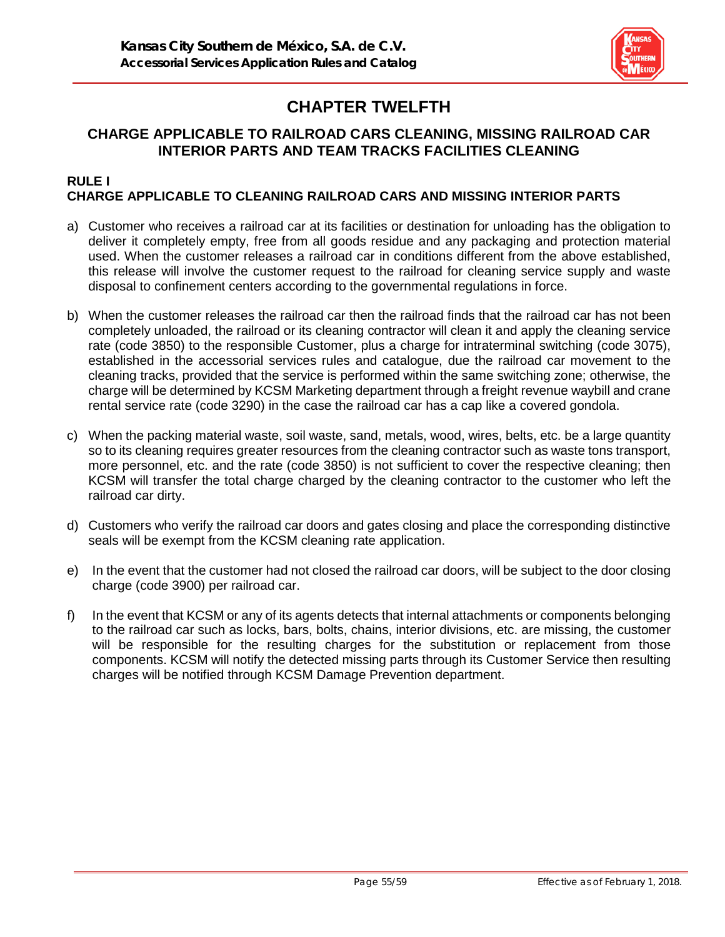

# **CHAPTER TWELFTH**

# **CHARGE APPLICABLE TO RAILROAD CARS CLEANING, MISSING RAILROAD CAR INTERIOR PARTS AND TEAM TRACKS FACILITIES CLEANING**

#### **RULE I CHARGE APPLICABLE TO CLEANING RAILROAD CARS AND MISSING INTERIOR PARTS**

- a) Customer who receives a railroad car at its facilities or destination for unloading has the obligation to deliver it completely empty, free from all goods residue and any packaging and protection material used. When the customer releases a railroad car in conditions different from the above established, this release will involve the customer request to the railroad for cleaning service supply and waste disposal to confinement centers according to the governmental regulations in force.
- b) When the customer releases the railroad car then the railroad finds that the railroad car has not been completely unloaded, the railroad or its cleaning contractor will clean it and apply the cleaning service rate (code 3850) to the responsible Customer, plus a charge for intraterminal switching (code 3075), established in the accessorial services rules and catalogue, due the railroad car movement to the cleaning tracks, provided that the service is performed within the same switching zone; otherwise, the charge will be determined by KCSM Marketing department through a freight revenue waybill and crane rental service rate (code 3290) in the case the railroad car has a cap like a covered gondola.
- c) When the packing material waste, soil waste, sand, metals, wood, wires, belts, etc. be a large quantity so to its cleaning requires greater resources from the cleaning contractor such as waste tons transport, more personnel, etc. and the rate (code 3850) is not sufficient to cover the respective cleaning; then KCSM will transfer the total charge charged by the cleaning contractor to the customer who left the railroad car dirty.
- d) Customers who verify the railroad car doors and gates closing and place the corresponding distinctive seals will be exempt from the KCSM cleaning rate application.
- e) In the event that the customer had not closed the railroad car doors, will be subject to the door closing charge (code 3900) per railroad car.
- f) In the event that KCSM or any of its agents detects that internal attachments or components belonging to the railroad car such as locks, bars, bolts, chains, interior divisions, etc. are missing, the customer will be responsible for the resulting charges for the substitution or replacement from those components. KCSM will notify the detected missing parts through its Customer Service then resulting charges will be notified through KCSM Damage Prevention department.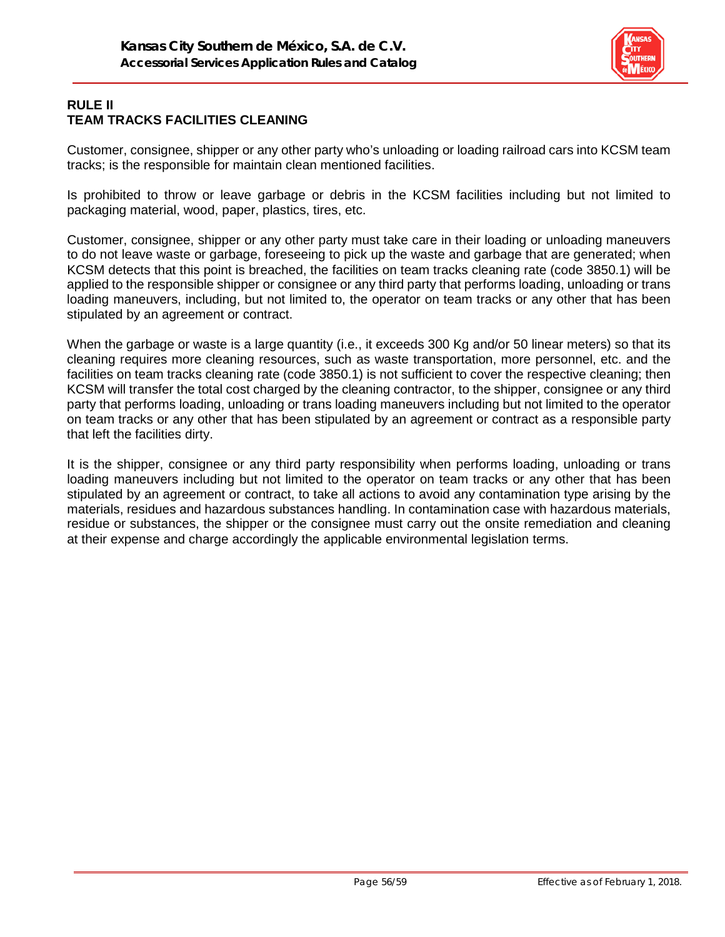

# **RULE II TEAM TRACKS FACILITIES CLEANING**

Customer, consignee, shipper or any other party who's unloading or loading railroad cars into KCSM team tracks; is the responsible for maintain clean mentioned facilities.

Is prohibited to throw or leave garbage or debris in the KCSM facilities including but not limited to packaging material, wood, paper, plastics, tires, etc.

Customer, consignee, shipper or any other party must take care in their loading or unloading maneuvers to do not leave waste or garbage, foreseeing to pick up the waste and garbage that are generated; when KCSM detects that this point is breached, the facilities on team tracks cleaning rate (code 3850.1) will be applied to the responsible shipper or consignee or any third party that performs loading, unloading or trans loading maneuvers, including, but not limited to, the operator on team tracks or any other that has been stipulated by an agreement or contract.

When the garbage or waste is a large quantity (i.e., it exceeds 300 Kg and/or 50 linear meters) so that its cleaning requires more cleaning resources, such as waste transportation, more personnel, etc. and the facilities on team tracks cleaning rate (code 3850.1) is not sufficient to cover the respective cleaning; then KCSM will transfer the total cost charged by the cleaning contractor, to the shipper, consignee or any third party that performs loading, unloading or trans loading maneuvers including but not limited to the operator on team tracks or any other that has been stipulated by an agreement or contract as a responsible party that left the facilities dirty.

It is the shipper, consignee or any third party responsibility when performs loading, unloading or trans loading maneuvers including but not limited to the operator on team tracks or any other that has been stipulated by an agreement or contract, to take all actions to avoid any contamination type arising by the materials, residues and hazardous substances handling. In contamination case with hazardous materials, residue or substances, the shipper or the consignee must carry out the onsite remediation and cleaning at their expense and charge accordingly the applicable environmental legislation terms.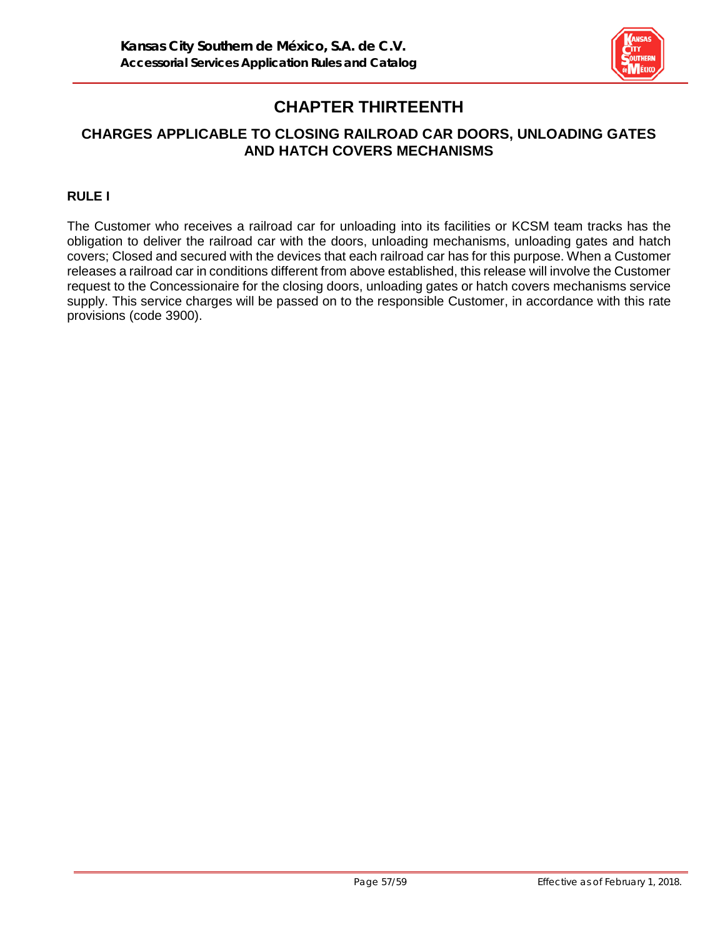

# **CHAPTER THIRTEENTH**

# **CHARGES APPLICABLE TO CLOSING RAILROAD CAR DOORS, UNLOADING GATES AND HATCH COVERS MECHANISMS**

# **RULE I**

The Customer who receives a railroad car for unloading into its facilities or KCSM team tracks has the obligation to deliver the railroad car with the doors, unloading mechanisms, unloading gates and hatch covers; Closed and secured with the devices that each railroad car has for this purpose. When a Customer releases a railroad car in conditions different from above established, this release will involve the Customer request to the Concessionaire for the closing doors, unloading gates or hatch covers mechanisms service supply. This service charges will be passed on to the responsible Customer, in accordance with this rate provisions (code 3900).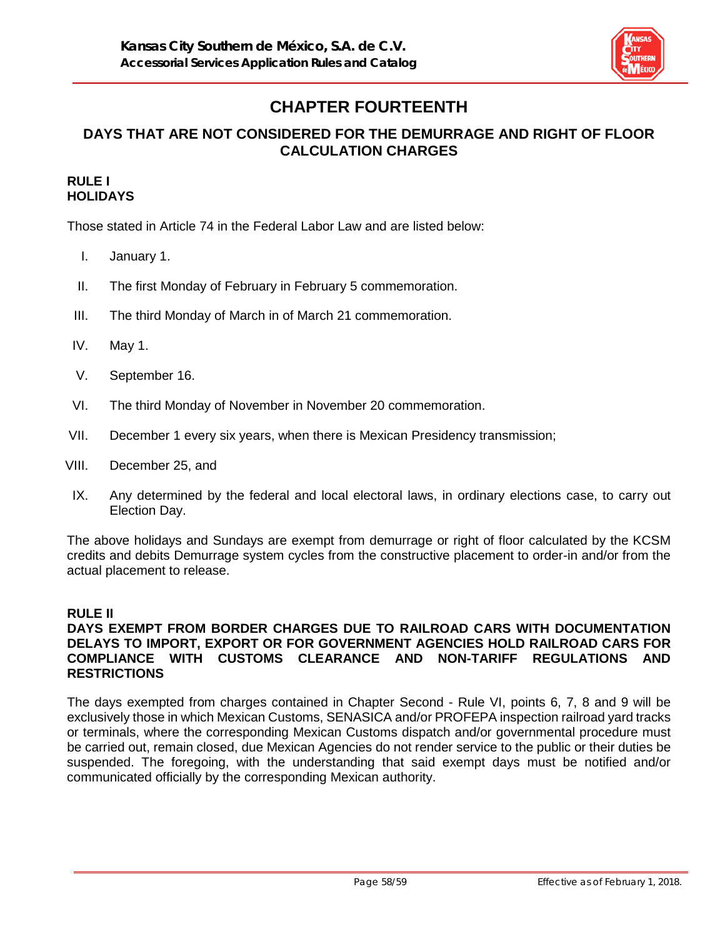

# **CHAPTER FOURTEENTH**

# **DAYS THAT ARE NOT CONSIDERED FOR THE DEMURRAGE AND RIGHT OF FLOOR CALCULATION CHARGES**

#### **RULE I HOLIDAYS**

Those stated in Article 74 in the Federal Labor Law and are listed below:

- I. January 1.
- II. The first Monday of February in February 5 commemoration.
- III. The third Monday of March in of March 21 commemoration.
- IV. May 1.
- V. September 16.
- VI. The third Monday of November in November 20 commemoration.
- VII. December 1 every six years, when there is Mexican Presidency transmission;
- VIII. December 25, and
- IX. Any determined by the federal and local electoral laws, in ordinary elections case, to carry out Election Day.

The above holidays and Sundays are exempt from demurrage or right of floor calculated by the KCSM credits and debits Demurrage system cycles from the constructive placement to order-in and/or from the actual placement to release.

# **RULE II**

#### **DAYS EXEMPT FROM BORDER CHARGES DUE TO RAILROAD CARS WITH DOCUMENTATION DELAYS TO IMPORT, EXPORT OR FOR GOVERNMENT AGENCIES HOLD RAILROAD CARS FOR COMPLIANCE WITH CUSTOMS CLEARANCE AND NON-TARIFF REGULATIONS AND RESTRICTIONS**

The days exempted from charges contained in Chapter Second - Rule VI, points 6, 7, 8 and 9 will be exclusively those in which Mexican Customs, SENASICA and/or PROFEPA inspection railroad yard tracks or terminals, where the corresponding Mexican Customs dispatch and/or governmental procedure must be carried out, remain closed, due Mexican Agencies do not render service to the public or their duties be suspended. The foregoing, with the understanding that said exempt days must be notified and/or communicated officially by the corresponding Mexican authority.